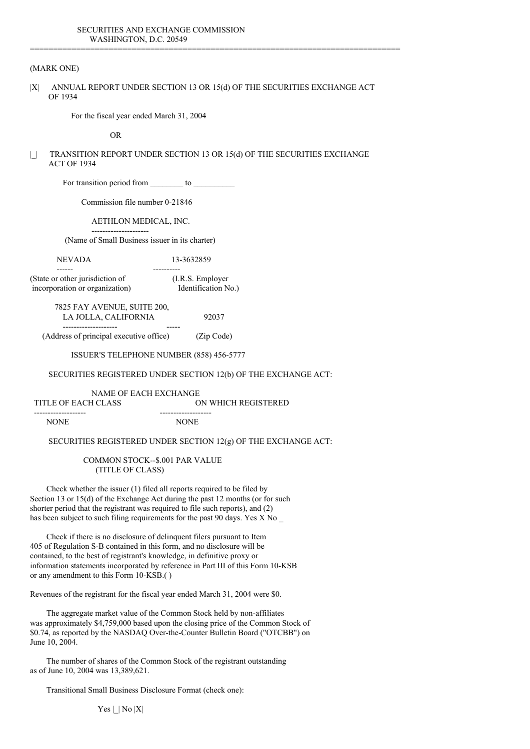### (MARK ONE)

|X| ANNUAL REPORT UNDER SECTION 13 OR 15(d) OF THE SECURITIES EXCHANGE ACT OF 1934

================================================================================

For the fiscal year ended March 31, 2004

OR

| | TRANSITION REPORT UNDER SECTION 13 OR 15(d) OF THE SECURITIES EXCHANGE ACT OF 1934

For transition period from  $\_\_\_\_$  to  $\_\_\_\_\_\_$ 

Commission file number 0-21846

AETHLON MEDICAL, INC.

---------------------

(Name of Small Business issuer in its charter)

NEVADA 13-3632859

------ ---------- (State or other jurisdiction of (I.R.S. Employer incorporation or organization) Identification No.)

-------------------- -----

7825 FAY AVENUE, SUITE 200, LA JOLLA, CALIFORNIA 92037

(Address of principal executive office) (Zip Code)

ISSUER'S TELEPHONE NUMBER (858) 456-5777

SECURITIES REGISTERED UNDER SECTION 12(b) OF THE EXCHANGE ACT:

NAME OF EACH EXCHANGE TITLE OF EACH CLASS

NONE NONE

------------------- -------------------

SECURITIES REGISTERED UNDER SECTION 12(g) OF THE EXCHANGE ACT:

## COMMON STOCK--\$.001 PAR VALUE (TITLE OF CLASS)

Check whether the issuer (1) filed all reports required to be filed by Section 13 or 15(d) of the Exchange Act during the past 12 months (or for such shorter period that the registrant was required to file such reports), and (2) has been subject to such filing requirements for the past 90 days. Yes X No

Check if there is no disclosure of delinquent filers pursuant to Item 405 of Regulation S-B contained in this form, and no disclosure will be contained, to the best of registrant's knowledge, in definitive proxy or information statements incorporated by reference in Part III of this Form 10-KSB or any amendment to this Form 10-KSB.( )

Revenues of the registrant for the fiscal year ended March 31, 2004 were \$0.

The aggregate market value of the Common Stock held by non-affiliates was approximately \$4,759,000 based upon the closing price of the Common Stock of \$0.74, as reported by the NASDAQ Over-the-Counter Bulletin Board ("OTCBB") on June 10, 2004.

The number of shares of the Common Stock of the registrant outstanding as of June 10, 2004 was 13,389,621.

Transitional Small Business Disclosure Format (check one):

 $Yes \mid | No \nvert X |$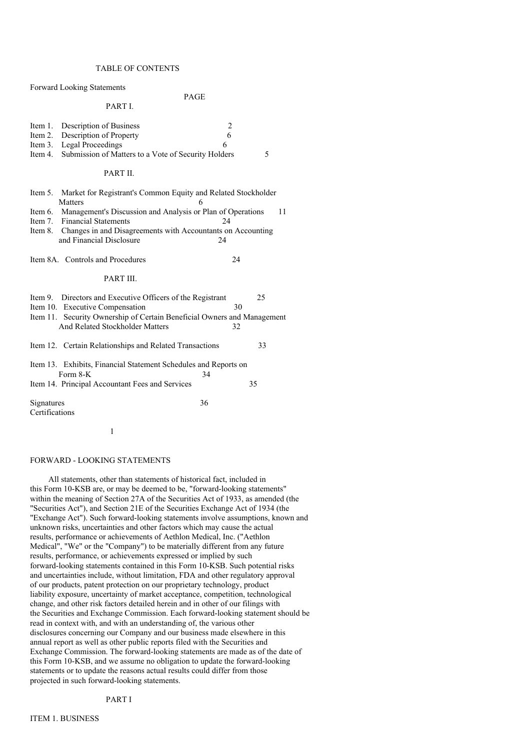### TABLE OF CONTENTS

| <b>Forward Looking Statements</b>                                                                                                                                                                                                                                                                                   |
|---------------------------------------------------------------------------------------------------------------------------------------------------------------------------------------------------------------------------------------------------------------------------------------------------------------------|
| <b>PAGE</b><br>PART I.                                                                                                                                                                                                                                                                                              |
| Description of Business<br>Item 1.<br>2<br>Description of Property<br>6<br>Item 2.<br><b>Legal Proceedings</b><br>Item 3.<br>6<br>Submission of Matters to a Vote of Security Holders<br>5<br>Item 4.                                                                                                               |
| PART II.                                                                                                                                                                                                                                                                                                            |
| Item 5. Market for Registrant's Common Equity and Related Stockholder<br>Matters<br>6<br>Item 6. Management's Discussion and Analysis or Plan of Operations<br>11<br>Item 7. Financial Statements<br>24<br>Changes in and Disagreements with Accountants on Accounting<br>Item 8.<br>and Financial Disclosure<br>24 |
| Item 8A. Controls and Procedures<br>24                                                                                                                                                                                                                                                                              |
| PART III.                                                                                                                                                                                                                                                                                                           |
| 25<br>Item 9. Directors and Executive Officers of the Registrant<br>Item 10. Executive Compensation<br>30<br>Item 11. Security Ownership of Certain Beneficial Owners and Management<br><b>And Related Stockholder Matters</b><br>32                                                                                |
| 33<br>Item 12. Certain Relationships and Related Transactions                                                                                                                                                                                                                                                       |
| Item 13. Exhibits, Financial Statement Schedules and Reports on<br>Form 8-K<br>34<br>Item 14. Principal Accountant Fees and Services<br>35                                                                                                                                                                          |
| 36<br>Signatures<br>Certifications                                                                                                                                                                                                                                                                                  |
| $\mathbf{1}$                                                                                                                                                                                                                                                                                                        |

#### FORWARD - LOOKING STATEMENTS

All statements, other than statements of historical fact, included in this Form 10-KSB are, or may be deemed to be, "forward-looking statements" within the meaning of Section 27A of the Securities Act of 1933, as amended (the "Securities Act"), and Section 21E of the Securities Exchange Act of 1934 (the "Exchange Act"). Such forward-looking statements involve assumptions, known and unknown risks, uncertainties and other factors which may cause the actual results, performance or achievements of Aethlon Medical, Inc. ("Aethlon Medical", "We" or the "Company") to be materially different from any future results, performance, or achievements expressed or implied by such forward-looking statements contained in this Form 10-KSB. Such potential risks and uncertainties include, without limitation, FDA and other regulatory approval of our products, patent protection on our proprietary technology, product liability exposure, uncertainty of market acceptance, competition, technological change, and other risk factors detailed herein and in other of our filings with the Securities and Exchange Commission. Each forward-looking statement should be read in context with, and with an understanding of, the various other disclosures concerning our Company and our business made elsewhere in this annual report as well as other public reports filed with the Securities and Exchange Commission. The forward-looking statements are made as of the date of this Form 10-KSB, and we assume no obligation to update the forward-looking statements or to update the reasons actual results could differ from those projected in such forward-looking statements.

PART I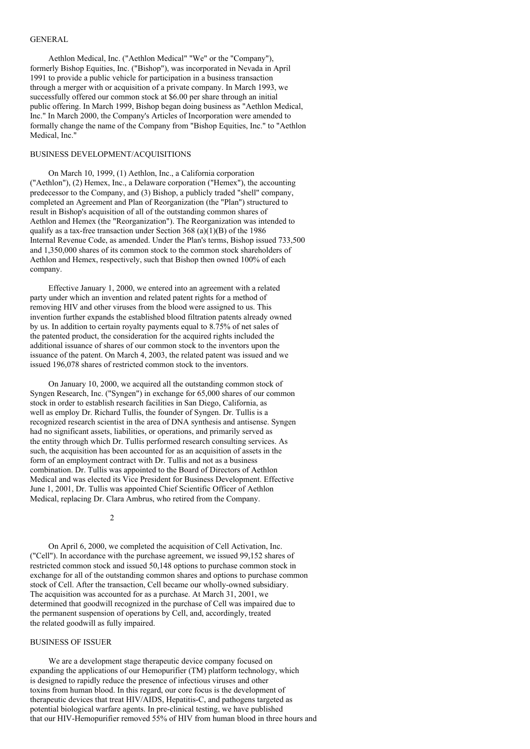#### GENERAL

Aethlon Medical, Inc. ("Aethlon Medical" "We" or the "Company"), formerly Bishop Equities, Inc. ("Bishop"), was incorporated in Nevada in April 1991 to provide a public vehicle for participation in a business transaction through a merger with or acquisition of a private company. In March 1993, we successfully offered our common stock at \$6.00 per share through an initial public offering. In March 1999, Bishop began doing business as "Aethlon Medical, Inc." In March 2000, the Company's Articles of Incorporation were amended to formally change the name of the Company from "Bishop Equities, Inc." to "Aethlon Medical, Inc."

#### BUSINESS DEVELOPMENT/ACQUISITIONS

On March 10, 1999, (1) Aethlon, Inc., a California corporation ("Aethlon"), (2) Hemex, Inc., a Delaware corporation ("Hemex"), the accounting predecessor to the Company, and (3) Bishop, a publicly traded "shell" company, completed an Agreement and Plan of Reorganization (the "Plan") structured to result in Bishop's acquisition of all of the outstanding common shares of Aethlon and Hemex (the "Reorganization"). The Reorganization was intended to qualify as a tax-free transaction under Section 368 (a)(1)(B) of the 1986 Internal Revenue Code, as amended. Under the Plan's terms, Bishop issued 733,500 and 1,350,000 shares of its common stock to the common stock shareholders of Aethlon and Hemex, respectively, such that Bishop then owned 100% of each company.

Effective January 1, 2000, we entered into an agreement with a related party under which an invention and related patent rights for a method of removing HIV and other viruses from the blood were assigned to us. This invention further expands the established blood filtration patents already owned by us. In addition to certain royalty payments equal to 8.75% of net sales of the patented product, the consideration for the acquired rights included the additional issuance of shares of our common stock to the inventors upon the issuance of the patent. On March 4, 2003, the related patent was issued and we issued 196,078 shares of restricted common stock to the inventors.

On January 10, 2000, we acquired all the outstanding common stock of Syngen Research, Inc. ("Syngen") in exchange for 65,000 shares of our common stock in order to establish research facilities in San Diego, California, as well as employ Dr. Richard Tullis, the founder of Syngen. Dr. Tullis is a recognized research scientist in the area of DNA synthesis and antisense. Syngen had no significant assets, liabilities, or operations, and primarily served as the entity through which Dr. Tullis performed research consulting services. As such, the acquisition has been accounted for as an acquisition of assets in the form of an employment contract with Dr. Tullis and not as a business combination. Dr. Tullis was appointed to the Board of Directors of Aethlon Medical and was elected its Vice President for Business Development. Effective June 1, 2001, Dr. Tullis was appointed Chief Scientific Officer of Aethlon Medical, replacing Dr. Clara Ambrus, who retired from the Company.

2

On April 6, 2000, we completed the acquisition of Cell Activation, Inc. ("Cell"). In accordance with the purchase agreement, we issued 99,152 shares of restricted common stock and issued 50,148 options to purchase common stock in exchange for all of the outstanding common shares and options to purchase common stock of Cell. After the transaction, Cell became our wholly-owned subsidiary. The acquisition was accounted for as a purchase. At March 31, 2001, we determined that goodwill recognized in the purchase of Cell was impaired due to the permanent suspension of operations by Cell, and, accordingly, treated the related goodwill as fully impaired.

#### BUSINESS OF ISSUER

We are a development stage therapeutic device company focused on expanding the applications of our Hemopurifier (TM) platform technology, which is designed to rapidly reduce the presence of infectious viruses and other toxins from human blood. In this regard, our core focus is the development of therapeutic devices that treat HIV/AIDS, Hepatitis-C, and pathogens targeted as potential biological warfare agents. In pre-clinical testing, we have published that our HIV-Hemopurifier removed 55% of HIV from human blood in three hours and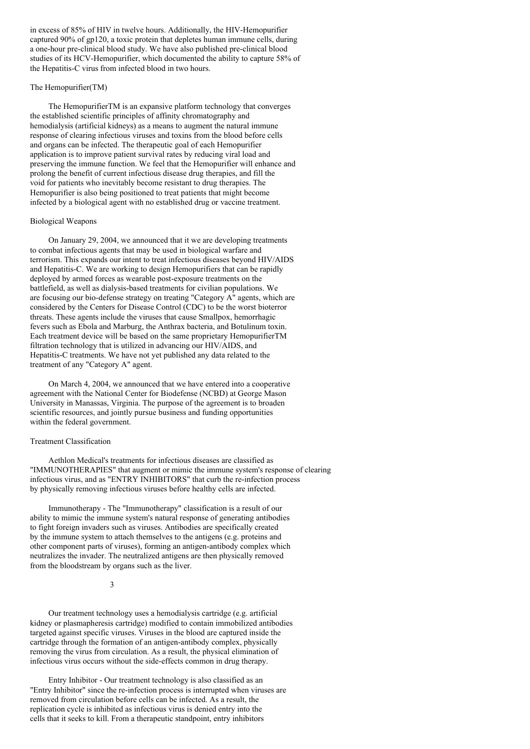in excess of 85% of HIV in twelve hours. Additionally, the HIV-Hemopurifier captured 90% of gp120, a toxic protein that depletes human immune cells, during a one-hour pre-clinical blood study. We have also published pre-clinical blood studies of its HCV-Hemopurifier, which documented the ability to capture 58% of the Hepatitis-C virus from infected blood in two hours.

### The Hemopurifier(TM)

The HemopurifierTM is an expansive platform technology that converges the established scientific principles of affinity chromatography and hemodialysis (artificial kidneys) as a means to augment the natural immune response of clearing infectious viruses and toxins from the blood before cells and organs can be infected. The therapeutic goal of each Hemopurifier application is to improve patient survival rates by reducing viral load and preserving the immune function. We feel that the Hemopurifier will enhance and prolong the benefit of current infectious disease drug therapies, and fill the void for patients who inevitably become resistant to drug therapies. The Hemopurifier is also being positioned to treat patients that might become infected by a biological agent with no established drug or vaccine treatment.

#### Biological Weapons

On January 29, 2004, we announced that it we are developing treatments to combat infectious agents that may be used in biological warfare and terrorism. This expands our intent to treat infectious diseases beyond HIV/AIDS and Hepatitis-C. We are working to design Hemopurifiers that can be rapidly deployed by armed forces as wearable post-exposure treatments on the battlefield, as well as dialysis-based treatments for civilian populations. We are focusing our bio-defense strategy on treating "Category A" agents, which are considered by the Centers for Disease Control (CDC) to be the worst bioterror threats. These agents include the viruses that cause Smallpox, hemorrhagic fevers such as Ebola and Marburg, the Anthrax bacteria, and Botulinum toxin. Each treatment device will be based on the same proprietary HemopurifierTM filtration technology that is utilized in advancing our HIV/AIDS, and Hepatitis-C treatments. We have not yet published any data related to the treatment of any "Category A" agent.

On March 4, 2004, we announced that we have entered into a cooperative agreement with the National Center for Biodefense (NCBD) at George Mason University in Manassas, Virginia. The purpose of the agreement is to broaden scientific resources, and jointly pursue business and funding opportunities within the federal government.

#### Treatment Classification

Aethlon Medical's treatments for infectious diseases are classified as "IMMUNOTHERAPIES" that augment or mimic the immune system's response of clearing infectious virus, and as "ENTRY INHIBITORS" that curb the re-infection process by physically removing infectious viruses before healthy cells are infected.

Immunotherapy - The "Immunotherapy" classification is a result of our ability to mimic the immune system's natural response of generating antibodies to fight foreign invaders such as viruses. Antibodies are specifically created by the immune system to attach themselves to the antigens (e.g. proteins and other component parts of viruses), forming an antigen-antibody complex which neutralizes the invader. The neutralized antigens are then physically removed from the bloodstream by organs such as the liver.

3

Our treatment technology uses a hemodialysis cartridge (e.g. artificial kidney or plasmapheresis cartridge) modified to contain immobilized antibodies targeted against specific viruses. Viruses in the blood are captured inside the cartridge through the formation of an antigen-antibody complex, physically removing the virus from circulation. As a result, the physical elimination of infectious virus occurs without the side-effects common in drug therapy.

Entry Inhibitor - Our treatment technology is also classified as an "Entry Inhibitor" since the re-infection process is interrupted when viruses are removed from circulation before cells can be infected. As a result, the replication cycle is inhibited as infectious virus is denied entry into the cells that it seeks to kill. From a therapeutic standpoint, entry inhibitors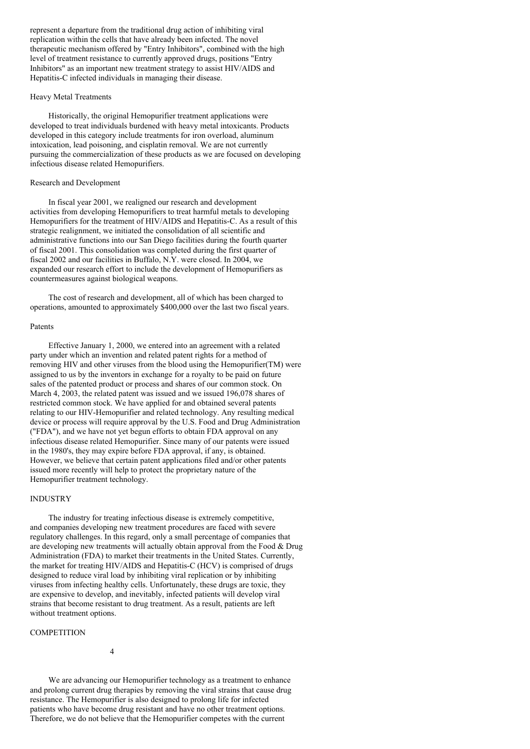represent a departure from the traditional drug action of inhibiting viral replication within the cells that have already been infected. The novel therapeutic mechanism offered by "Entry Inhibitors", combined with the high level of treatment resistance to currently approved drugs, positions "Entry Inhibitors" as an important new treatment strategy to assist HIV/AIDS and Hepatitis-C infected individuals in managing their disease.

#### Heavy Metal Treatments

Historically, the original Hemopurifier treatment applications were developed to treat individuals burdened with heavy metal intoxicants. Products developed in this category include treatments for iron overload, aluminum intoxication, lead poisoning, and cisplatin removal. We are not currently pursuing the commercialization of these products as we are focused on developing infectious disease related Hemopurifiers.

#### Research and Development

In fiscal year 2001, we realigned our research and development activities from developing Hemopurifiers to treat harmful metals to developing Hemopurifiers for the treatment of HIV/AIDS and Hepatitis-C. As a result of this strategic realignment, we initiated the consolidation of all scientific and administrative functions into our San Diego facilities during the fourth quarter of fiscal 2001. This consolidation was completed during the first quarter of fiscal 2002 and our facilities in Buffalo, N.Y. were closed. In 2004, we expanded our research effort to include the development of Hemopurifiers as countermeasures against biological weapons.

The cost of research and development, all of which has been charged to operations, amounted to approximately \$400,000 over the last two fiscal years.

#### Patents

Effective January 1, 2000, we entered into an agreement with a related party under which an invention and related patent rights for a method of removing HIV and other viruses from the blood using the Hemopurifier(TM) were assigned to us by the inventors in exchange for a royalty to be paid on future sales of the patented product or process and shares of our common stock. On March 4, 2003, the related patent was issued and we issued 196,078 shares of restricted common stock. We have applied for and obtained several patents relating to our HIV-Hemopurifier and related technology. Any resulting medical device or process will require approval by the U.S. Food and Drug Administration ("FDA"), and we have not yet begun efforts to obtain FDA approval on any infectious disease related Hemopurifier. Since many of our patents were issued in the 1980's, they may expire before FDA approval, if any, is obtained. However, we believe that certain patent applications filed and/or other patents issued more recently will help to protect the proprietary nature of the Hemopurifier treatment technology.

#### INDUSTRY

The industry for treating infectious disease is extremely competitive, and companies developing new treatment procedures are faced with severe regulatory challenges. In this regard, only a small percentage of companies that are developing new treatments will actually obtain approval from the Food  $&$  Drug Administration (FDA) to market their treatments in the United States. Currently, the market for treating HIV/AIDS and Hepatitis-C (HCV) is comprised of drugs designed to reduce viral load by inhibiting viral replication or by inhibiting viruses from infecting healthy cells. Unfortunately, these drugs are toxic, they are expensive to develop, and inevitably, infected patients will develop viral strains that become resistant to drug treatment. As a result, patients are left without treatment options.

#### **COMPETITION**

We are advancing our Hemopurifier technology as a treatment to enhance and prolong current drug therapies by removing the viral strains that cause drug resistance. The Hemopurifier is also designed to prolong life for infected patients who have become drug resistant and have no other treatment options. Therefore, we do not believe that the Hemopurifier competes with the current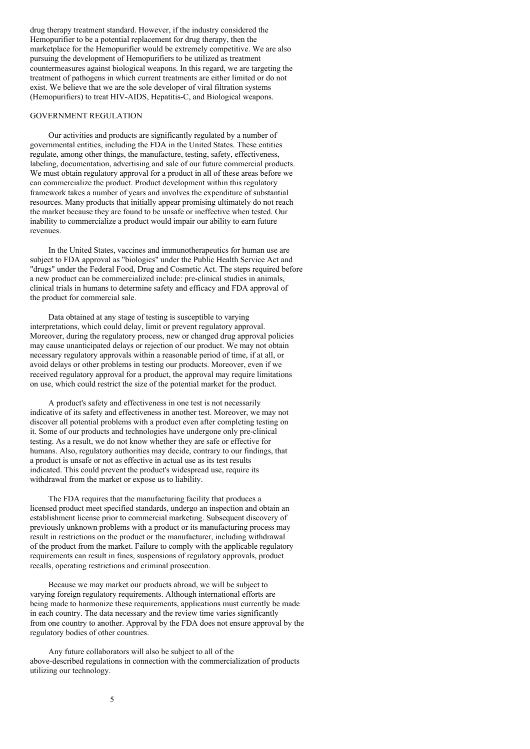drug therapy treatment standard. However, if the industry considered the Hemopurifier to be a potential replacement for drug therapy, then the marketplace for the Hemopurifier would be extremely competitive. We are also pursuing the development of Hemopurifiers to be utilized as treatment countermeasures against biological weapons. In this regard, we are targeting the treatment of pathogens in which current treatments are either limited or do not exist. We believe that we are the sole developer of viral filtration systems (Hemopurifiers) to treat HIV-AIDS, Hepatitis-C, and Biological weapons.

## GOVERNMENT REGULATION

Our activities and products are significantly regulated by a number of governmental entities, including the FDA in the United States. These entities regulate, among other things, the manufacture, testing, safety, effectiveness, labeling, documentation, advertising and sale of our future commercial products. We must obtain regulatory approval for a product in all of these areas before we can commercialize the product. Product development within this regulatory framework takes a number of years and involves the expenditure of substantial resources. Many products that initially appear promising ultimately do not reach the market because they are found to be unsafe or ineffective when tested. Our inability to commercialize a product would impair our ability to earn future revenues.

In the United States, vaccines and immunotherapeutics for human use are subject to FDA approval as "biologics" under the Public Health Service Act and "drugs" under the Federal Food, Drug and Cosmetic Act. The steps required before a new product can be commercialized include: pre-clinical studies in animals, clinical trials in humans to determine safety and efficacy and FDA approval of the product for commercial sale.

Data obtained at any stage of testing is susceptible to varying interpretations, which could delay, limit or prevent regulatory approval. Moreover, during the regulatory process, new or changed drug approval policies may cause unanticipated delays or rejection of our product. We may not obtain necessary regulatory approvals within a reasonable period of time, if at all, or avoid delays or other problems in testing our products. Moreover, even if we received regulatory approval for a product, the approval may require limitations on use, which could restrict the size of the potential market for the product.

A product's safety and effectiveness in one test is not necessarily indicative of its safety and effectiveness in another test. Moreover, we may not discover all potential problems with a product even after completing testing on it. Some of our products and technologies have undergone only pre-clinical testing. As a result, we do not know whether they are safe or effective for humans. Also, regulatory authorities may decide, contrary to our findings, that a product is unsafe or not as effective in actual use as its test results indicated. This could prevent the product's widespread use, require its withdrawal from the market or expose us to liability.

The FDA requires that the manufacturing facility that produces a licensed product meet specified standards, undergo an inspection and obtain an establishment license prior to commercial marketing. Subsequent discovery of previously unknown problems with a product or its manufacturing process may result in restrictions on the product or the manufacturer, including withdrawal of the product from the market. Failure to comply with the applicable regulatory requirements can result in fines, suspensions of regulatory approvals, product recalls, operating restrictions and criminal prosecution.

Because we may market our products abroad, we will be subject to varying foreign regulatory requirements. Although international efforts are being made to harmonize these requirements, applications must currently be made in each country. The data necessary and the review time varies significantly from one country to another. Approval by the FDA does not ensure approval by the regulatory bodies of other countries.

Any future collaborators will also be subject to all of the above-described regulations in connection with the commercialization of products utilizing our technology.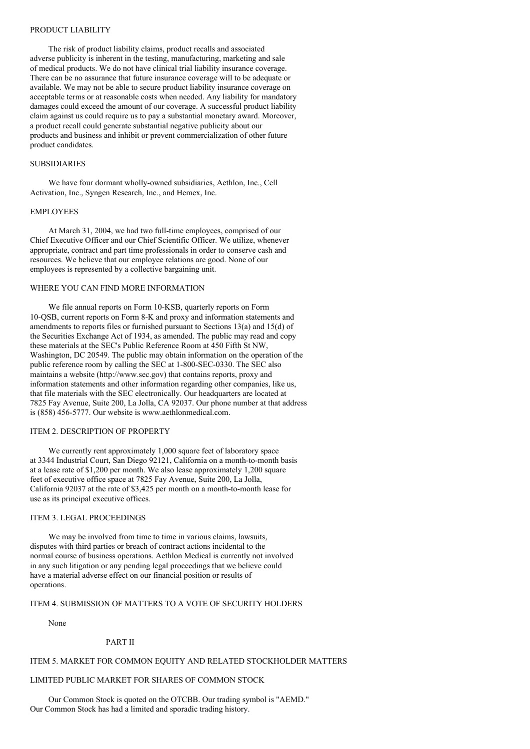### PRODUCT LIABILITY

The risk of product liability claims, product recalls and associated adverse publicity is inherent in the testing, manufacturing, marketing and sale of medical products. We do not have clinical trial liability insurance coverage. There can be no assurance that future insurance coverage will to be adequate or available. We may not be able to secure product liability insurance coverage on acceptable terms or at reasonable costs when needed. Any liability for mandatory damages could exceed the amount of our coverage. A successful product liability claim against us could require us to pay a substantial monetary award. Moreover, a product recall could generate substantial negative publicity about our products and business and inhibit or prevent commercialization of other future product candidates.

#### SUBSIDIARIES

We have four dormant wholly-owned subsidiaries, Aethlon, Inc., Cell Activation, Inc., Syngen Research, Inc., and Hemex, Inc.

#### EMPLOYEES

At March 31, 2004, we had two full-time employees, comprised of our Chief Executive Officer and our Chief Scientific Officer. We utilize, whenever appropriate, contract and part time professionals in order to conserve cash and resources. We believe that our employee relations are good. None of our employees is represented by a collective bargaining unit.

## WHERE YOU CAN FIND MORE INFORMATION

We file annual reports on Form 10-KSB, quarterly reports on Form 10-QSB, current reports on Form 8-K and proxy and information statements and amendments to reports files or furnished pursuant to Sections 13(a) and 15(d) of the Securities Exchange Act of 1934, as amended. The public may read and copy these materials at the SEC's Public Reference Room at 450 Fifth St NW, Washington, DC 20549. The public may obtain information on the operation of the public reference room by calling the SEC at 1-800-SEC-0330. The SEC also maintains a website (http://www.sec.gov) that contains reports, proxy and information statements and other information regarding other companies, like us, that file materials with the SEC electronically. Our headquarters are located at 7825 Fay Avenue, Suite 200, La Jolla, CA 92037. Our phone number at that address is (858) 456-5777. Our website is www.aethlonmedical.com.

#### ITEM 2. DESCRIPTION OF PROPERTY

We currently rent approximately 1,000 square feet of laboratory space at 3344 Industrial Court, San Diego 92121, California on a month-to-month basis at a lease rate of \$1,200 per month. We also lease approximately 1,200 square feet of executive office space at 7825 Fay Avenue, Suite 200, La Jolla, California 92037 at the rate of \$3,425 per month on a month-to-month lease for use as its principal executive offices.

### ITEM 3. LEGAL PROCEEDINGS

We may be involved from time to time in various claims, lawsuits, disputes with third parties or breach of contract actions incidental to the normal course of business operations. Aethlon Medical is currently not involved in any such litigation or any pending legal proceedings that we believe could have a material adverse effect on our financial position or results of operations.

### ITEM 4. SUBMISSION OF MATTERS TO A VOTE OF SECURITY HOLDERS

None

#### PART II

#### ITEM 5. MARKET FOR COMMON EQUITY AND RELATED STOCKHOLDER MATTERS

# LIMITED PUBLIC MARKET FOR SHARES OF COMMON STOCK

Our Common Stock is quoted on the OTCBB. Our trading symbol is "AEMD." Our Common Stock has had a limited and sporadic trading history.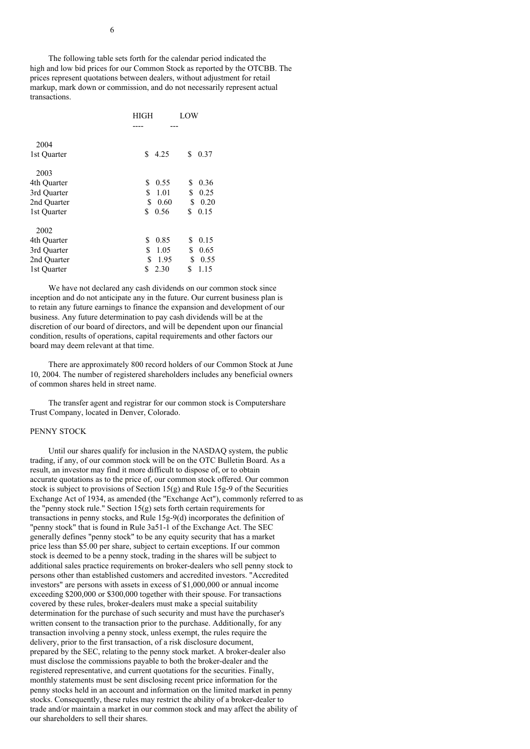The following table sets forth for the calendar period indicated the high and low bid prices for our Common Stock as reported by the OTCBB. The prices represent quotations between dealers, without adjustment for retail markup, mark down or commission, and do not necessarily represent actual transactions.

|             | HIGH       | LOW        |
|-------------|------------|------------|
|             |            |            |
| 2004        |            |            |
| 1st Quarter | \$<br>4.25 | \$<br>0.37 |
| 2003        |            |            |
| 4th Quarter | \$<br>0.55 | \$<br>0.36 |
| 3rd Quarter | \$<br>1.01 | \$<br>0.25 |
| 2nd Quarter | \$<br>0.60 | \$<br>0.20 |
| 1st Quarter | \$<br>0.56 | \$<br>0.15 |
| 2002        |            |            |
| 4th Quarter | 0.85<br>\$ | \$<br>0.15 |
| 3rd Quarter | \$<br>1.05 | \$<br>0.65 |
| 2nd Quarter | \$<br>1.95 | \$<br>0.55 |
| 1st Quarter | \$<br>2.30 | \$<br>1.15 |

We have not declared any cash dividends on our common stock since inception and do not anticipate any in the future. Our current business plan is to retain any future earnings to finance the expansion and development of our business. Any future determination to pay cash dividends will be at the discretion of our board of directors, and will be dependent upon our financial condition, results of operations, capital requirements and other factors our board may deem relevant at that time.

There are approximately 800 record holders of our Common Stock at June 10, 2004. The number of registered shareholders includes any beneficial owners of common shares held in street name.

The transfer agent and registrar for our common stock is Computershare Trust Company, located in Denver, Colorado.

#### PENNY STOCK

Until our shares qualify for inclusion in the NASDAQ system, the public trading, if any, of our common stock will be on the OTC Bulletin Board. As a result, an investor may find it more difficult to dispose of, or to obtain accurate quotations as to the price of, our common stock offered. Our common stock is subject to provisions of Section 15(g) and Rule 15g-9 of the Securities Exchange Act of 1934, as amended (the "Exchange Act"), commonly referred to as the "penny stock rule." Section  $15(g)$  sets forth certain requirements for transactions in penny stocks, and Rule 15g-9(d) incorporates the definition of "penny stock" that is found in Rule 3a51-1 of the Exchange Act. The SEC generally defines "penny stock" to be any equity security that has a market price less than \$5.00 per share, subject to certain exceptions. If our common stock is deemed to be a penny stock, trading in the shares will be subject to additional sales practice requirements on broker-dealers who sell penny stock to persons other than established customers and accredited investors. "Accredited investors" are persons with assets in excess of \$1,000,000 or annual income exceeding \$200,000 or \$300,000 together with their spouse. For transactions covered by these rules, broker-dealers must make a special suitability determination for the purchase of such security and must have the purchaser's written consent to the transaction prior to the purchase. Additionally, for any transaction involving a penny stock, unless exempt, the rules require the delivery, prior to the first transaction, of a risk disclosure document, prepared by the SEC, relating to the penny stock market. A broker-dealer also must disclose the commissions payable to both the broker-dealer and the registered representative, and current quotations for the securities. Finally, monthly statements must be sent disclosing recent price information for the penny stocks held in an account and information on the limited market in penny stocks. Consequently, these rules may restrict the ability of a broker-dealer to trade and/or maintain a market in our common stock and may affect the ability of our shareholders to sell their shares.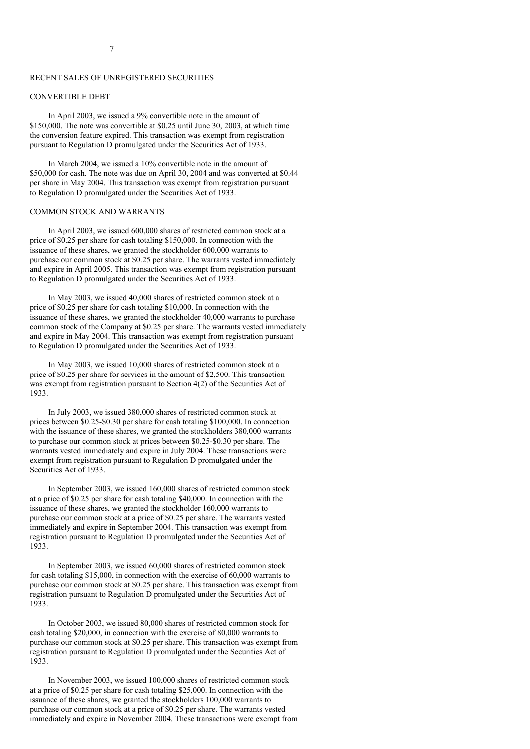# RECENT SALES OF UNREGISTERED SECURITIES

#### CONVERTIBLE DEBT

In April 2003, we issued a 9% convertible note in the amount of \$150,000. The note was convertible at \$0.25 until June 30, 2003, at which time the conversion feature expired. This transaction was exempt from registration pursuant to Regulation D promulgated under the Securities Act of 1933.

In March 2004, we issued a 10% convertible note in the amount of \$50,000 for cash. The note was due on April 30, 2004 and was converted at \$0.44 per share in May 2004. This transaction was exempt from registration pursuant to Regulation D promulgated under the Securities Act of 1933.

#### COMMON STOCK AND WARRANTS

In April 2003, we issued 600,000 shares of restricted common stock at a price of \$0.25 per share for cash totaling \$150,000. In connection with the issuance of these shares, we granted the stockholder 600,000 warrants to purchase our common stock at \$0.25 per share. The warrants vested immediately and expire in April 2005. This transaction was exempt from registration pursuant to Regulation D promulgated under the Securities Act of 1933.

In May 2003, we issued 40,000 shares of restricted common stock at a price of \$0.25 per share for cash totaling \$10,000. In connection with the issuance of these shares, we granted the stockholder 40,000 warrants to purchase common stock of the Company at \$0.25 per share. The warrants vested immediately and expire in May 2004. This transaction was exempt from registration pursuant to Regulation D promulgated under the Securities Act of 1933.

In May 2003, we issued 10,000 shares of restricted common stock at a price of \$0.25 per share for services in the amount of \$2,500. This transaction was exempt from registration pursuant to Section 4(2) of the Securities Act of 1933.

In July 2003, we issued 380,000 shares of restricted common stock at prices between \$0.25-\$0.30 per share for cash totaling \$100,000. In connection with the issuance of these shares, we granted the stockholders 380,000 warrants to purchase our common stock at prices between \$0.25-\$0.30 per share. The warrants vested immediately and expire in July 2004. These transactions were exempt from registration pursuant to Regulation D promulgated under the Securities Act of 1933.

In September 2003, we issued 160,000 shares of restricted common stock at a price of \$0.25 per share for cash totaling \$40,000. In connection with the issuance of these shares, we granted the stockholder 160,000 warrants to purchase our common stock at a price of \$0.25 per share. The warrants vested immediately and expire in September 2004. This transaction was exempt from registration pursuant to Regulation D promulgated under the Securities Act of 1933.

In September 2003, we issued 60,000 shares of restricted common stock for cash totaling \$15,000, in connection with the exercise of 60,000 warrants to purchase our common stock at \$0.25 per share. This transaction was exempt from registration pursuant to Regulation D promulgated under the Securities Act of 1933.

In October 2003, we issued 80,000 shares of restricted common stock for cash totaling \$20,000, in connection with the exercise of 80,000 warrants to purchase our common stock at \$0.25 per share. This transaction was exempt from registration pursuant to Regulation D promulgated under the Securities Act of 1933.

In November 2003, we issued 100,000 shares of restricted common stock at a price of \$0.25 per share for cash totaling \$25,000. In connection with the issuance of these shares, we granted the stockholders 100,000 warrants to purchase our common stock at a price of \$0.25 per share. The warrants vested immediately and expire in November 2004. These transactions were exempt from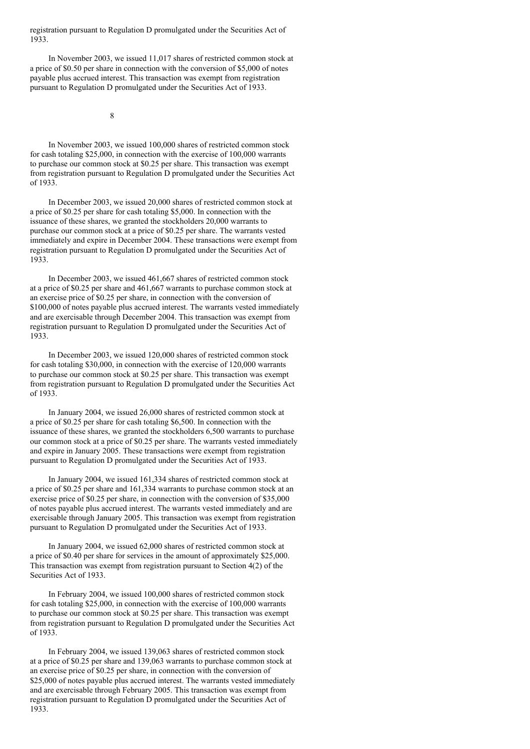registration pursuant to Regulation D promulgated under the Securities Act of 1933.

In November 2003, we issued 11,017 shares of restricted common stock at a price of \$0.50 per share in connection with the conversion of \$5,000 of notes payable plus accrued interest. This transaction was exempt from registration pursuant to Regulation D promulgated under the Securities Act of 1933.

8

In November 2003, we issued 100,000 shares of restricted common stock for cash totaling \$25,000, in connection with the exercise of 100,000 warrants to purchase our common stock at \$0.25 per share. This transaction was exempt from registration pursuant to Regulation D promulgated under the Securities Act of 1933.

In December 2003, we issued 20,000 shares of restricted common stock at a price of \$0.25 per share for cash totaling \$5,000. In connection with the issuance of these shares, we granted the stockholders 20,000 warrants to purchase our common stock at a price of \$0.25 per share. The warrants vested immediately and expire in December 2004. These transactions were exempt from registration pursuant to Regulation D promulgated under the Securities Act of 1933.

In December 2003, we issued 461,667 shares of restricted common stock at a price of \$0.25 per share and 461,667 warrants to purchase common stock at an exercise price of \$0.25 per share, in connection with the conversion of \$100,000 of notes payable plus accrued interest. The warrants vested immediately and are exercisable through December 2004. This transaction was exempt from registration pursuant to Regulation D promulgated under the Securities Act of 1933.

In December 2003, we issued 120,000 shares of restricted common stock for cash totaling \$30,000, in connection with the exercise of 120,000 warrants to purchase our common stock at \$0.25 per share. This transaction was exempt from registration pursuant to Regulation D promulgated under the Securities Act of 1933.

In January 2004, we issued 26,000 shares of restricted common stock at a price of \$0.25 per share for cash totaling \$6,500. In connection with the issuance of these shares, we granted the stockholders 6,500 warrants to purchase our common stock at a price of \$0.25 per share. The warrants vested immediately and expire in January 2005. These transactions were exempt from registration pursuant to Regulation D promulgated under the Securities Act of 1933.

In January 2004, we issued 161,334 shares of restricted common stock at a price of \$0.25 per share and 161,334 warrants to purchase common stock at an exercise price of \$0.25 per share, in connection with the conversion of \$35,000 of notes payable plus accrued interest. The warrants vested immediately and are exercisable through January 2005. This transaction was exempt from registration pursuant to Regulation D promulgated under the Securities Act of 1933.

In January 2004, we issued 62,000 shares of restricted common stock at a price of \$0.40 per share for services in the amount of approximately \$25,000. This transaction was exempt from registration pursuant to Section 4(2) of the Securities Act of 1933.

In February 2004, we issued 100,000 shares of restricted common stock for cash totaling \$25,000, in connection with the exercise of 100,000 warrants to purchase our common stock at \$0.25 per share. This transaction was exempt from registration pursuant to Regulation D promulgated under the Securities Act of 1933.

In February 2004, we issued 139,063 shares of restricted common stock at a price of \$0.25 per share and 139,063 warrants to purchase common stock at an exercise price of \$0.25 per share, in connection with the conversion of \$25,000 of notes payable plus accrued interest. The warrants vested immediately and are exercisable through February 2005. This transaction was exempt from registration pursuant to Regulation D promulgated under the Securities Act of 1933.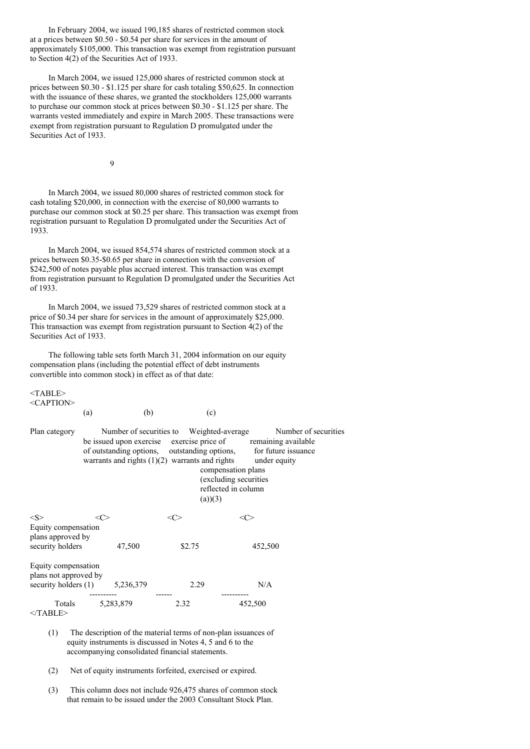In February 2004, we issued 190,185 shares of restricted common stock at a prices between \$0.50 - \$0.54 per share for services in the amount of approximately \$105,000. This transaction was exempt from registration pursuant to Section 4(2) of the Securities Act of 1933.

In March 2004, we issued 125,000 shares of restricted common stock at prices between \$0.30 - \$1.125 per share for cash totaling \$50,625. In connection with the issuance of these shares, we granted the stockholders 125,000 warrants to purchase our common stock at prices between \$0.30 - \$1.125 per share. The warrants vested immediately and expire in March 2005. These transactions were exempt from registration pursuant to Regulation D promulgated under the Securities Act of 1933.

9

In March 2004, we issued 80,000 shares of restricted common stock for cash totaling \$20,000, in connection with the exercise of 80,000 warrants to purchase our common stock at \$0.25 per share. This transaction was exempt from registration pursuant to Regulation D promulgated under the Securities Act of 1933.

In March 2004, we issued 854,574 shares of restricted common stock at a prices between \$0.35-\$0.65 per share in connection with the conversion of \$242,500 of notes payable plus accrued interest. This transaction was exempt from registration pursuant to Regulation D promulgated under the Securities Act of 1933.

In March 2004, we issued 73,529 shares of restricted common stock at a price of \$0.34 per share for services in the amount of approximately \$25,000. This transaction was exempt from registration pursuant to Section 4(2) of the Securities Act of 1933.

The following table sets forth March 31, 2004 information on our equity compensation plans (including the potential effect of debt instruments convertible into common stock) in effect as of that date:

<TABLE> <CAPTION>

(a)  $(b)$   $(c)$ 

| Plan category                                                |                                  | Number of securities to Weighted-average<br>warrants and rights $(1)(2)$ warrants and rights<br>(a)(3) | be issued upon exercise exercise price of remaining available<br>of outstanding options, outstanding options, for future issuance<br>under equity<br>compensation plans<br>(excluding securities)<br>reflected in column | Number of securities |
|--------------------------------------------------------------|----------------------------------|--------------------------------------------------------------------------------------------------------|--------------------------------------------------------------------------------------------------------------------------------------------------------------------------------------------------------------------------|----------------------|
| $<\!\!S\!\!>$                                                | $<\!\!C\!\!>$                    |                                                                                                        |                                                                                                                                                                                                                          |                      |
| Equity compensation<br>plans approved by<br>security holders | 47,500                           | \$2.75                                                                                                 | 452,500                                                                                                                                                                                                                  |                      |
| Equity compensation<br>plans not approved by                 | security holders $(1)$ 5,236,379 | 2.29                                                                                                   | N/A                                                                                                                                                                                                                      |                      |
|                                                              |                                  |                                                                                                        |                                                                                                                                                                                                                          |                      |
| Totals<br>$<$ TABLE>                                         | 5,283,879                        | 2.32                                                                                                   | 452,500                                                                                                                                                                                                                  |                      |

(1) The description of the material terms of non-plan issuances of equity instruments is discussed in Notes 4, 5 and 6 to the accompanying consolidated financial statements.

(2) Net of equity instruments forfeited, exercised or expired.

(3) This column does not include 926,475 shares of common stock that remain to be issued under the 2003 Consultant Stock Plan.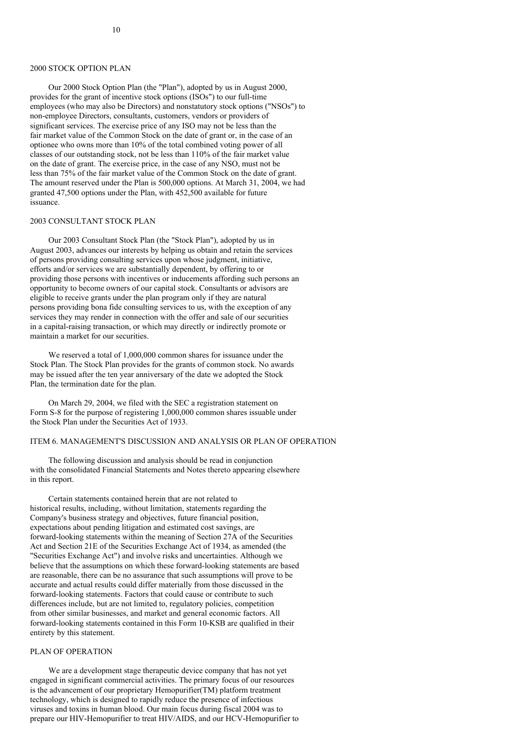#### 2000 STOCK OPTION PLAN

Our 2000 Stock Option Plan (the "Plan"), adopted by us in August 2000, provides for the grant of incentive stock options (ISOs") to our full-time employees (who may also be Directors) and nonstatutory stock options ("NSOs") to non-employee Directors, consultants, customers, vendors or providers of significant services. The exercise price of any ISO may not be less than the fair market value of the Common Stock on the date of grant or, in the case of an optionee who owns more than 10% of the total combined voting power of all classes of our outstanding stock, not be less than 110% of the fair market value on the date of grant. The exercise price, in the case of any NSO, must not be less than 75% of the fair market value of the Common Stock on the date of grant. The amount reserved under the Plan is 500,000 options. At March 31, 2004, we had granted 47,500 options under the Plan, with 452,500 available for future issuance.

# 2003 CONSULTANT STOCK PLAN

Our 2003 Consultant Stock Plan (the "Stock Plan"), adopted by us in August 2003, advances our interests by helping us obtain and retain the services of persons providing consulting services upon whose judgment, initiative, efforts and/or services we are substantially dependent, by offering to or providing those persons with incentives or inducements affording such persons an opportunity to become owners of our capital stock. Consultants or advisors are eligible to receive grants under the plan program only if they are natural persons providing bona fide consulting services to us, with the exception of any services they may render in connection with the offer and sale of our securities in a capital-raising transaction, or which may directly or indirectly promote or maintain a market for our securities.

We reserved a total of 1,000,000 common shares for issuance under the Stock Plan. The Stock Plan provides for the grants of common stock. No awards may be issued after the ten year anniversary of the date we adopted the Stock Plan, the termination date for the plan.

On March 29, 2004, we filed with the SEC a registration statement on Form S-8 for the purpose of registering 1,000,000 common shares issuable under the Stock Plan under the Securities Act of 1933.

#### ITEM 6. MANAGEMENT'S DISCUSSION AND ANALYSIS OR PLAN OF OPERATION

The following discussion and analysis should be read in conjunction with the consolidated Financial Statements and Notes thereto appearing elsewhere in this report.

Certain statements contained herein that are not related to historical results, including, without limitation, statements regarding the Company's business strategy and objectives, future financial position, expectations about pending litigation and estimated cost savings, are forward-looking statements within the meaning of Section 27A of the Securities Act and Section 21E of the Securities Exchange Act of 1934, as amended (the "Securities Exchange Act") and involve risks and uncertainties. Although we believe that the assumptions on which these forward-looking statements are based are reasonable, there can be no assurance that such assumptions will prove to be accurate and actual results could differ materially from those discussed in the forward-looking statements. Factors that could cause or contribute to such differences include, but are not limited to, regulatory policies, competition from other similar businesses, and market and general economic factors. All forward-looking statements contained in this Form 10-KSB are qualified in their entirety by this statement.

#### PLAN OF OPERATION

We are a development stage therapeutic device company that has not yet engaged in significant commercial activities. The primary focus of our resources is the advancement of our proprietary Hemopurifier(TM) platform treatment technology, which is designed to rapidly reduce the presence of infectious viruses and toxins in human blood. Our main focus during fiscal 2004 was to prepare our HIV-Hemopurifier to treat HIV/AIDS, and our HCV-Hemopurifier to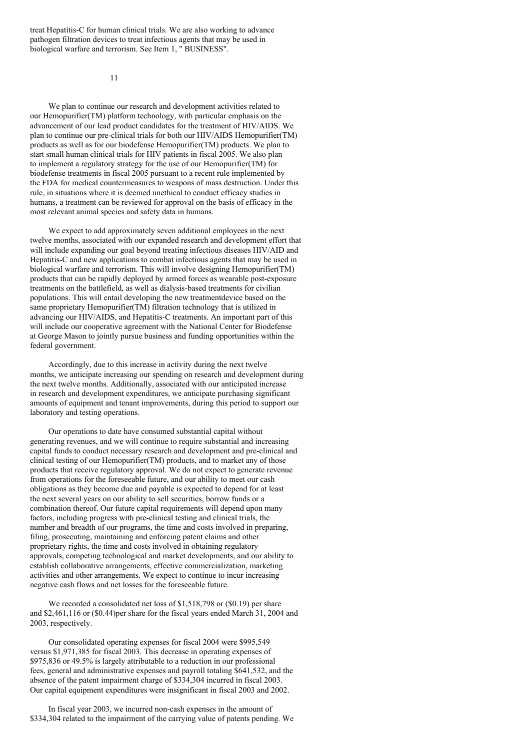treat Hepatitis-C for human clinical trials. We are also working to advance pathogen filtration devices to treat infectious agents that may be used in biological warfare and terrorism. See Item 1, " BUSINESS".

11

We plan to continue our research and development activities related to our Hemopurifier(TM) platform technology, with particular emphasis on the advancement of our lead product candidates for the treatment of HIV/AIDS. We plan to continue our pre-clinical trials for both our HIV/AIDS Hemopurifier(TM) products as well as for our biodefense Hemopurifier(TM) products. We plan to start small human clinical trials for HIV patients in fiscal 2005. We also plan to implement a regulatory strategy for the use of our Hemopurifier(TM) for biodefense treatments in fiscal 2005 pursuant to a recent rule implemented by the FDA for medical countermeasures to weapons of mass destruction. Under this rule, in situations where it is deemed unethical to conduct efficacy studies in humans, a treatment can be reviewed for approval on the basis of efficacy in the most relevant animal species and safety data in humans.

We expect to add approximately seven additional employees in the next twelve months, associated with our expanded research and development effort that will include expanding our goal beyond treating infectious diseases HIV/AID and Hepatitis-C and new applications to combat infectious agents that may be used in biological warfare and terrorism. This will involve designing Hemopurifier(TM) products that can be rapidly deployed by armed forces as wearable post-exposure treatments on the battlefield, as well as dialysis-based treatments for civilian populations. This will entail developing the new treatmentdevice based on the same proprietary Hemopurifier(TM) filtration technology that is utilized in advancing our HIV/AIDS, and Hepatitis-C treatments. An important part of this will include our cooperative agreement with the National Center for Biodefense at George Mason to jointly pursue business and funding opportunities within the federal government.

Accordingly, due to this increase in activity during the next twelve months, we anticipate increasing our spending on research and development during the next twelve months. Additionally, associated with our anticipated increase in research and development expenditures, we anticipate purchasing significant amounts of equipment and tenant improvements, during this period to support our laboratory and testing operations.

Our operations to date have consumed substantial capital without generating revenues, and we will continue to require substantial and increasing capital funds to conduct necessary research and development and pre-clinical and clinical testing of our Hemopurifier(TM) products, and to market any of those products that receive regulatory approval. We do not expect to generate revenue from operations for the foreseeable future, and our ability to meet our cash obligations as they become due and payable is expected to depend for at least the next several years on our ability to sell securities, borrow funds or a combination thereof. Our future capital requirements will depend upon many factors, including progress with pre-clinical testing and clinical trials, the number and breadth of our programs, the time and costs involved in preparing, filing, prosecuting, maintaining and enforcing patent claims and other proprietary rights, the time and costs involved in obtaining regulatory approvals, competing technological and market developments, and our ability to establish collaborative arrangements, effective commercialization, marketing activities and other arrangements. We expect to continue to incur increasing negative cash flows and net losses for the foreseeable future.

We recorded a consolidated net loss of \$1,518,798 or (\$0.19) per share and \$2,461,116 or (\$0.44)per share for the fiscal years ended March 31, 2004 and 2003, respectively.

Our consolidated operating expenses for fiscal 2004 were \$995,549 versus \$1,971,385 for fiscal 2003. This decrease in operating expenses of \$975,836 or 49.5% is largely attributable to a reduction in our professional fees, general and administrative expenses and payroll totaling \$641,532, and the absence of the patent impairment charge of \$334,304 incurred in fiscal 2003. Our capital equipment expenditures were insignificant in fiscal 2003 and 2002.

In fiscal year 2003, we incurred non-cash expenses in the amount of \$334,304 related to the impairment of the carrying value of patents pending. We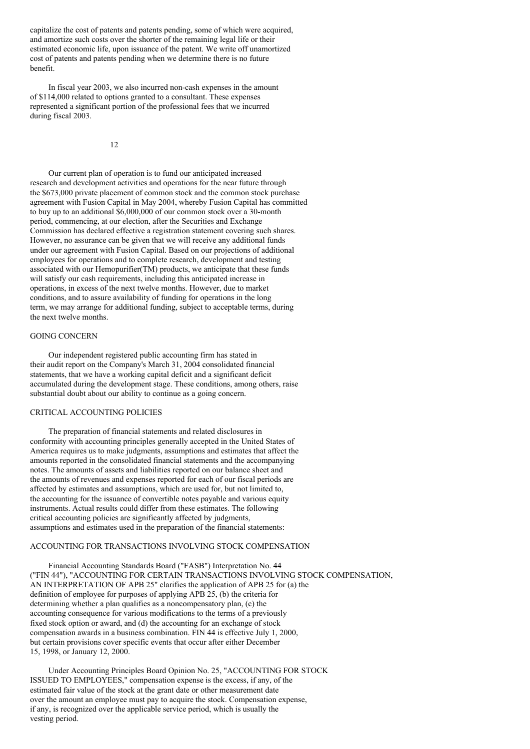capitalize the cost of patents and patents pending, some of which were acquired, and amortize such costs over the shorter of the remaining legal life or their estimated economic life, upon issuance of the patent. We write off unamortized cost of patents and patents pending when we determine there is no future benefit.

In fiscal year 2003, we also incurred non-cash expenses in the amount of \$114,000 related to options granted to a consultant. These expenses represented a significant portion of the professional fees that we incurred during fiscal 2003.

12

Our current plan of operation is to fund our anticipated increased research and development activities and operations for the near future through the \$673,000 private placement of common stock and the common stock purchase agreement with Fusion Capital in May 2004, whereby Fusion Capital has committed to buy up to an additional \$6,000,000 of our common stock over a 30-month period, commencing, at our election, after the Securities and Exchange Commission has declared effective a registration statement covering such shares. However, no assurance can be given that we will receive any additional funds under our agreement with Fusion Capital. Based on our projections of additional employees for operations and to complete research, development and testing associated with our Hemopurifier(TM) products, we anticipate that these funds will satisfy our cash requirements, including this anticipated increase in operations, in excess of the next twelve months. However, due to market conditions, and to assure availability of funding for operations in the long term, we may arrange for additional funding, subject to acceptable terms, during the next twelve months.

# GOING CONCERN

Our independent registered public accounting firm has stated in their audit report on the Company's March 31, 2004 consolidated financial statements, that we have a working capital deficit and a significant deficit accumulated during the development stage. These conditions, among others, raise substantial doubt about our ability to continue as a going concern.

### CRITICAL ACCOUNTING POLICIES

The preparation of financial statements and related disclosures in conformity with accounting principles generally accepted in the United States of America requires us to make judgments, assumptions and estimates that affect the amounts reported in the consolidated financial statements and the accompanying notes. The amounts of assets and liabilities reported on our balance sheet and the amounts of revenues and expenses reported for each of our fiscal periods are affected by estimates and assumptions, which are used for, but not limited to, the accounting for the issuance of convertible notes payable and various equity instruments. Actual results could differ from these estimates. The following critical accounting policies are significantly affected by judgments, assumptions and estimates used in the preparation of the financial statements:

# ACCOUNTING FOR TRANSACTIONS INVOLVING STOCK COMPENSATION

Financial Accounting Standards Board ("FASB") Interpretation No. 44 ("FIN 44"), "ACCOUNTING FOR CERTAIN TRANSACTIONS INVOLVING STOCK COMPENSATION, AN INTERPRETATION OF APB 25" clarifies the application of APB 25 for (a) the definition of employee for purposes of applying APB 25, (b) the criteria for determining whether a plan qualifies as a noncompensatory plan, (c) the accounting consequence for various modifications to the terms of a previously fixed stock option or award, and (d) the accounting for an exchange of stock compensation awards in a business combination. FIN 44 is effective July 1, 2000, but certain provisions cover specific events that occur after either December 15, 1998, or January 12, 2000.

Under Accounting Principles Board Opinion No. 25, "ACCOUNTING FOR STOCK ISSUED TO EMPLOYEES," compensation expense is the excess, if any, of the estimated fair value of the stock at the grant date or other measurement date over the amount an employee must pay to acquire the stock. Compensation expense, if any, is recognized over the applicable service period, which is usually the vesting period.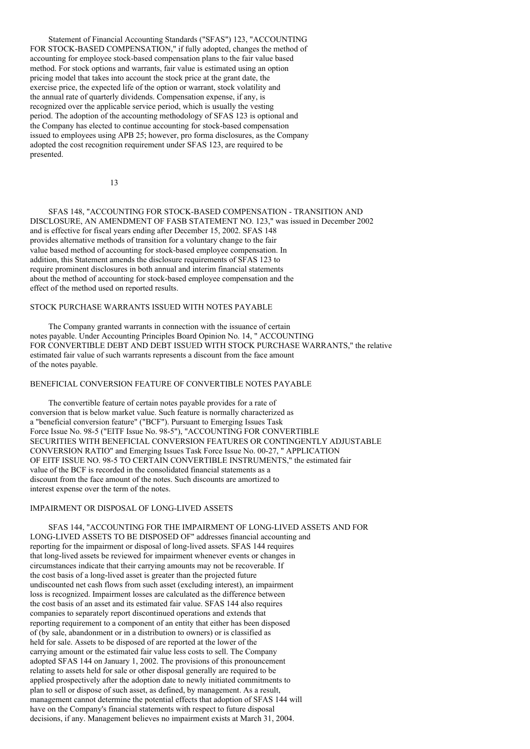Statement of Financial Accounting Standards ("SFAS") 123, "ACCOUNTING FOR STOCK-BASED COMPENSATION," if fully adopted, changes the method of accounting for employee stock-based compensation plans to the fair value based method. For stock options and warrants, fair value is estimated using an option pricing model that takes into account the stock price at the grant date, the exercise price, the expected life of the option or warrant, stock volatility and the annual rate of quarterly dividends. Compensation expense, if any, is recognized over the applicable service period, which is usually the vesting period. The adoption of the accounting methodology of SFAS 123 is optional and the Company has elected to continue accounting for stock-based compensation issued to employees using APB 25; however, pro forma disclosures, as the Company adopted the cost recognition requirement under SFAS 123, are required to be presented.

13

SFAS 148, "ACCOUNTING FOR STOCK-BASED COMPENSATION - TRANSITION AND DISCLOSURE, AN AMENDMENT OF FASB STATEMENT NO. 123," was issued in December 2002 and is effective for fiscal years ending after December 15, 2002. SFAS 148 provides alternative methods of transition for a voluntary change to the fair value based method of accounting for stock-based employee compensation. In addition, this Statement amends the disclosure requirements of SFAS 123 to require prominent disclosures in both annual and interim financial statements about the method of accounting for stock-based employee compensation and the effect of the method used on reported results.

# STOCK PURCHASE WARRANTS ISSUED WITH NOTES PAYABLE

The Company granted warrants in connection with the issuance of certain notes payable. Under Accounting Principles Board Opinion No. 14, " ACCOUNTING FOR CONVERTIBLE DEBT AND DEBT ISSUED WITH STOCK PURCHASE WARRANTS," the relative estimated fair value of such warrants represents a discount from the face amount of the notes payable.

# BENEFICIAL CONVERSION FEATURE OF CONVERTIBLE NOTES PAYABLE

The convertible feature of certain notes payable provides for a rate of conversion that is below market value. Such feature is normally characterized as a "beneficial conversion feature" ("BCF"). Pursuant to Emerging Issues Task Force Issue No. 98-5 ("EITF Issue No. 98-5"), "ACCOUNTING FOR CONVERTIBLE SECURITIES WITH BENEFICIAL CONVERSION FEATURES OR CONTINGENTLY ADJUSTABLE CONVERSION RATIO" and Emerging Issues Task Force Issue No. 00-27, " APPLICATION OF EITF ISSUE NO. 98-5 TO CERTAIN CONVERTIBLE INSTRUMENTS," the estimated fair value of the BCF is recorded in the consolidated financial statements as a discount from the face amount of the notes. Such discounts are amortized to interest expense over the term of the notes.

#### IMPAIRMENT OR DISPOSAL OF LONG-LIVED ASSETS

SFAS 144, "ACCOUNTING FOR THE IMPAIRMENT OF LONG-LIVED ASSETS AND FOR LONG-LIVED ASSETS TO BE DISPOSED OF" addresses financial accounting and reporting for the impairment or disposal of long-lived assets. SFAS 144 requires that long-lived assets be reviewed for impairment whenever events or changes in circumstances indicate that their carrying amounts may not be recoverable. If the cost basis of a long-lived asset is greater than the projected future undiscounted net cash flows from such asset (excluding interest), an impairment loss is recognized. Impairment losses are calculated as the difference between the cost basis of an asset and its estimated fair value. SFAS 144 also requires companies to separately report discontinued operations and extends that reporting requirement to a component of an entity that either has been disposed of (by sale, abandonment or in a distribution to owners) or is classified as held for sale. Assets to be disposed of are reported at the lower of the carrying amount or the estimated fair value less costs to sell. The Company adopted SFAS 144 on January 1, 2002. The provisions of this pronouncement relating to assets held for sale or other disposal generally are required to be applied prospectively after the adoption date to newly initiated commitments to plan to sell or dispose of such asset, as defined, by management. As a result, management cannot determine the potential effects that adoption of SFAS 144 will have on the Company's financial statements with respect to future disposal decisions, if any. Management believes no impairment exists at March 31, 2004.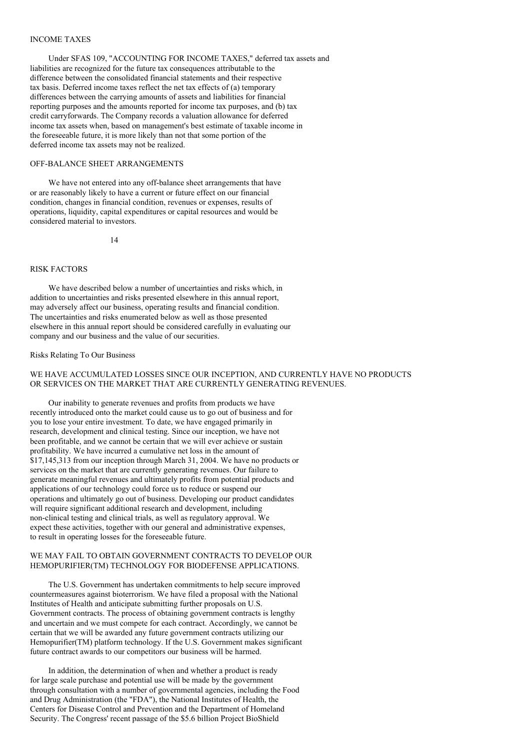#### INCOME TAXES

Under SFAS 109, "ACCOUNTING FOR INCOME TAXES," deferred tax assets and liabilities are recognized for the future tax consequences attributable to the difference between the consolidated financial statements and their respective tax basis. Deferred income taxes reflect the net tax effects of (a) temporary differences between the carrying amounts of assets and liabilities for financial reporting purposes and the amounts reported for income tax purposes, and (b) tax credit carryforwards. The Company records a valuation allowance for deferred income tax assets when, based on management's best estimate of taxable income in the foreseeable future, it is more likely than not that some portion of the deferred income tax assets may not be realized.

#### OFF-BALANCE SHEET ARRANGEMENTS

We have not entered into any off-balance sheet arrangements that have or are reasonably likely to have a current or future effect on our financial condition, changes in financial condition, revenues or expenses, results of operations, liquidity, capital expenditures or capital resources and would be considered material to investors.

14

#### RISK FACTORS

We have described below a number of uncertainties and risks which, in addition to uncertainties and risks presented elsewhere in this annual report, may adversely affect our business, operating results and financial condition. The uncertainties and risks enumerated below as well as those presented elsewhere in this annual report should be considered carefully in evaluating our company and our business and the value of our securities.

## Risks Relating To Our Business

## WE HAVE ACCUMULATED LOSSES SINCE OUR INCEPTION, AND CURRENTLY HAVE NO PRODUCTS OR SERVICES ON THE MARKET THAT ARE CURRENTLY GENERATING REVENUES.

Our inability to generate revenues and profits from products we have recently introduced onto the market could cause us to go out of business and for you to lose your entire investment. To date, we have engaged primarily in research, development and clinical testing. Since our inception, we have not been profitable, and we cannot be certain that we will ever achieve or sustain profitability. We have incurred a cumulative net loss in the amount of \$17,145,313 from our inception through March 31, 2004. We have no products or services on the market that are currently generating revenues. Our failure to generate meaningful revenues and ultimately profits from potential products and applications of our technology could force us to reduce or suspend our operations and ultimately go out of business. Developing our product candidates will require significant additional research and development, including non-clinical testing and clinical trials, as well as regulatory approval. We expect these activities, together with our general and administrative expenses, to result in operating losses for the foreseeable future.

### WE MAY FAIL TO OBTAIN GOVERNMENT CONTRACTS TO DEVELOP OUR HEMOPURIFIER(TM) TECHNOLOGY FOR BIODEFENSE APPLICATIONS.

The U.S. Government has undertaken commitments to help secure improved countermeasures against bioterrorism. We have filed a proposal with the National Institutes of Health and anticipate submitting further proposals on U.S. Government contracts. The process of obtaining government contracts is lengthy and uncertain and we must compete for each contract. Accordingly, we cannot be certain that we will be awarded any future government contracts utilizing our Hemopurifier(TM) platform technology. If the U.S. Government makes significant future contract awards to our competitors our business will be harmed.

In addition, the determination of when and whether a product is ready for large scale purchase and potential use will be made by the government through consultation with a number of governmental agencies, including the Food and Drug Administration (the "FDA"), the National Institutes of Health, the Centers for Disease Control and Prevention and the Department of Homeland Security. The Congress' recent passage of the \$5.6 billion Project BioShield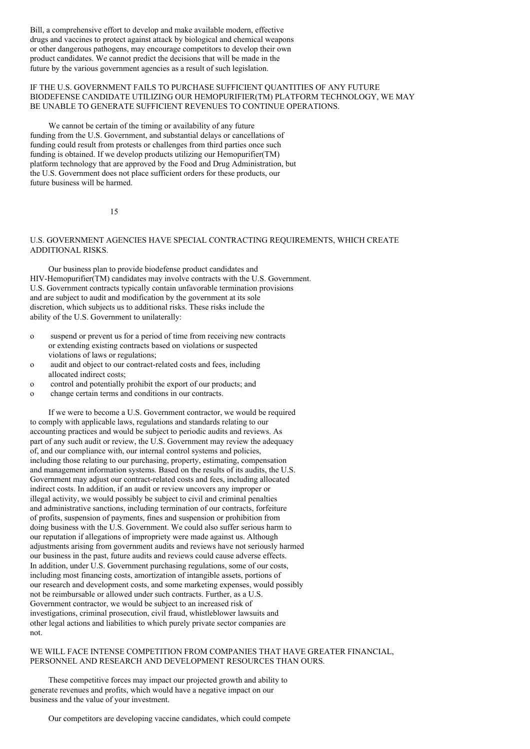Bill, a comprehensive effort to develop and make available modern, effective drugs and vaccines to protect against attack by biological and chemical weapons or other dangerous pathogens, may encourage competitors to develop their own product candidates. We cannot predict the decisions that will be made in the future by the various government agencies as a result of such legislation.

### IF THE U.S. GOVERNMENT FAILS TO PURCHASE SUFFICIENT QUANTITIES OF ANY FUTURE BIODEFENSE CANDIDATE UTILIZING OUR HEMOPURIFIER(TM) PLATFORM TECHNOLOGY, WE MAY BE UNABLE TO GENERATE SUFFICIENT REVENUES TO CONTINUE OPERATIONS.

We cannot be certain of the timing or availability of any future funding from the U.S. Government, and substantial delays or cancellations of funding could result from protests or challenges from third parties once such funding is obtained. If we develop products utilizing our Hemopurifier(TM) platform technology that are approved by the Food and Drug Administration, but the U.S. Government does not place sufficient orders for these products, our future business will be harmed.

15

# U.S. GOVERNMENT AGENCIES HAVE SPECIAL CONTRACTING REQUIREMENTS, WHICH CREATE ADDITIONAL RISKS.

Our business plan to provide biodefense product candidates and HIV-Hemopurifier(TM) candidates may involve contracts with the U.S. Government. U.S. Government contracts typically contain unfavorable termination provisions and are subject to audit and modification by the government at its sole discretion, which subjects us to additional risks. These risks include the ability of the U.S. Government to unilaterally:

- o suspend or prevent us for a period of time from receiving new contracts or extending existing contracts based on violations or suspected violations of laws or regulations;
- o audit and object to our contract-related costs and fees, including allocated indirect costs;
- o control and potentially prohibit the export of our products; and
- o change certain terms and conditions in our contracts.

If we were to become a U.S. Government contractor, we would be required to comply with applicable laws, regulations and standards relating to our accounting practices and would be subject to periodic audits and reviews. As part of any such audit or review, the U.S. Government may review the adequacy of, and our compliance with, our internal control systems and policies, including those relating to our purchasing, property, estimating, compensation and management information systems. Based on the results of its audits, the U.S. Government may adjust our contract-related costs and fees, including allocated indirect costs. In addition, if an audit or review uncovers any improper or illegal activity, we would possibly be subject to civil and criminal penalties and administrative sanctions, including termination of our contracts, forfeiture of profits, suspension of payments, fines and suspension or prohibition from doing business with the U.S. Government. We could also suffer serious harm to our reputation if allegations of impropriety were made against us. Although adjustments arising from government audits and reviews have not seriously harmed our business in the past, future audits and reviews could cause adverse effects. In addition, under U.S. Government purchasing regulations, some of our costs, including most financing costs, amortization of intangible assets, portions of our research and development costs, and some marketing expenses, would possibly not be reimbursable or allowed under such contracts. Further, as a U.S. Government contractor, we would be subject to an increased risk of investigations, criminal prosecution, civil fraud, whistleblower lawsuits and other legal actions and liabilities to which purely private sector companies are not.

#### WE WILL FACE INTENSE COMPETITION FROM COMPANIES THAT HAVE GREATER FINANCIAL, PERSONNEL AND RESEARCH AND DEVELOPMENT RESOURCES THAN OURS.

These competitive forces may impact our projected growth and ability to generate revenues and profits, which would have a negative impact on our business and the value of your investment.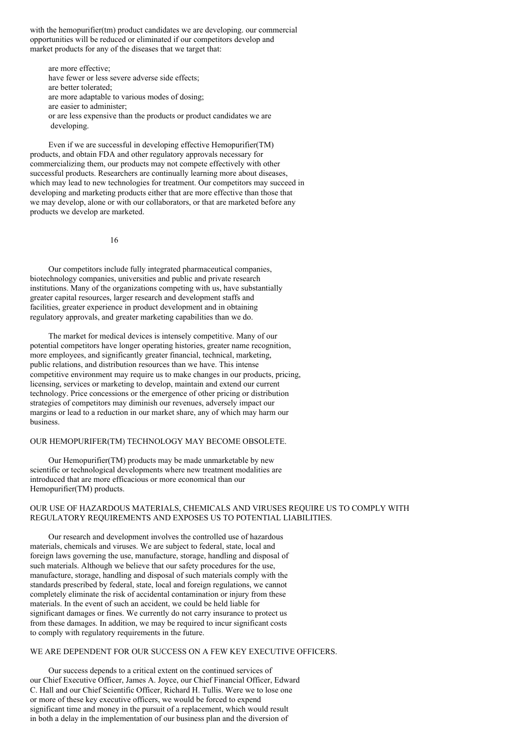with the hemopurifier(tm) product candidates we are developing, our commercial opportunities will be reduced or eliminated if our competitors develop and market products for any of the diseases that we target that:

are more effective; have fewer or less severe adverse side effects; are better tolerated; are more adaptable to various modes of dosing; are easier to administer; or are less expensive than the products or product candidates we are developing.

Even if we are successful in developing effective Hemopurifier(TM) products, and obtain FDA and other regulatory approvals necessary for commercializing them, our products may not compete effectively with other successful products. Researchers are continually learning more about diseases, which may lead to new technologies for treatment. Our competitors may succeed in developing and marketing products either that are more effective than those that we may develop, alone or with our collaborators, or that are marketed before any products we develop are marketed.

16

Our competitors include fully integrated pharmaceutical companies, biotechnology companies, universities and public and private research institutions. Many of the organizations competing with us, have substantially greater capital resources, larger research and development staffs and facilities, greater experience in product development and in obtaining regulatory approvals, and greater marketing capabilities than we do.

The market for medical devices is intensely competitive. Many of our potential competitors have longer operating histories, greater name recognition, more employees, and significantly greater financial, technical, marketing, public relations, and distribution resources than we have. This intense competitive environment may require us to make changes in our products, pricing, licensing, services or marketing to develop, maintain and extend our current technology. Price concessions or the emergence of other pricing or distribution strategies of competitors may diminish our revenues, adversely impact our margins or lead to a reduction in our market share, any of which may harm our business.

### OUR HEMOPURIFER(TM) TECHNOLOGY MAY BECOME OBSOLETE.

Our Hemopurifier(TM) products may be made unmarketable by new scientific or technological developments where new treatment modalities are introduced that are more efficacious or more economical than our Hemopurifier(TM) products.

#### OUR USE OF HAZARDOUS MATERIALS, CHEMICALS AND VIRUSES REQUIRE US TO COMPLY WITH REGULATORY REQUIREMENTS AND EXPOSES US TO POTENTIAL LIABILITIES.

Our research and development involves the controlled use of hazardous materials, chemicals and viruses. We are subject to federal, state, local and foreign laws governing the use, manufacture, storage, handling and disposal of such materials. Although we believe that our safety procedures for the use, manufacture, storage, handling and disposal of such materials comply with the standards prescribed by federal, state, local and foreign regulations, we cannot completely eliminate the risk of accidental contamination or injury from these materials. In the event of such an accident, we could be held liable for significant damages or fines. We currently do not carry insurance to protect us from these damages. In addition, we may be required to incur significant costs to comply with regulatory requirements in the future.

# WE ARE DEPENDENT FOR OUR SUCCESS ON A FEW KEY EXECUTIVE OFFICERS.

Our success depends to a critical extent on the continued services of our Chief Executive Officer, James A. Joyce, our Chief Financial Officer, Edward C. Hall and our Chief Scientific Officer, Richard H. Tullis. Were we to lose one or more of these key executive officers, we would be forced to expend significant time and money in the pursuit of a replacement, which would result in both a delay in the implementation of our business plan and the diversion of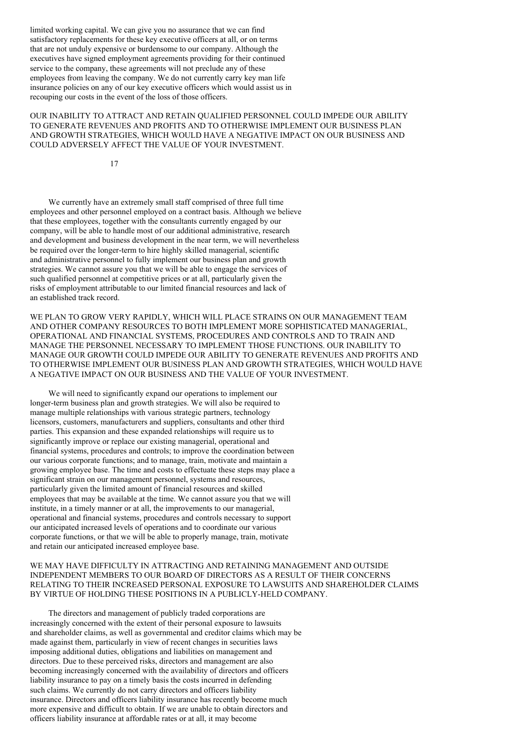limited working capital. We can give you no assurance that we can find satisfactory replacements for these key executive officers at all, or on terms that are not unduly expensive or burdensome to our company. Although the executives have signed employment agreements providing for their continued service to the company, these agreements will not preclude any of these employees from leaving the company. We do not currently carry key man life insurance policies on any of our key executive officers which would assist us in recouping our costs in the event of the loss of those officers.

## OUR INABILITY TO ATTRACT AND RETAIN QUALIFIED PERSONNEL COULD IMPEDE OUR ABILITY TO GENERATE REVENUES AND PROFITS AND TO OTHERWISE IMPLEMENT OUR BUSINESS PLAN AND GROWTH STRATEGIES, WHICH WOULD HAVE A NEGATIVE IMPACT ON OUR BUSINESS AND COULD ADVERSELY AFFECT THE VALUE OF YOUR INVESTMENT.

17

We currently have an extremely small staff comprised of three full time employees and other personnel employed on a contract basis. Although we believe that these employees, together with the consultants currently engaged by our company, will be able to handle most of our additional administrative, research and development and business development in the near term, we will nevertheless be required over the longer-term to hire highly skilled managerial, scientific and administrative personnel to fully implement our business plan and growth strategies. We cannot assure you that we will be able to engage the services of such qualified personnel at competitive prices or at all, particularly given the risks of employment attributable to our limited financial resources and lack of an established track record.

WE PLAN TO GROW VERY RAPIDLY, WHICH WILL PLACE STRAINS ON OUR MANAGEMENT TEAM AND OTHER COMPANY RESOURCES TO BOTH IMPLEMENT MORE SOPHISTICATED MANAGERIAL, OPERATIONAL AND FINANCIAL SYSTEMS, PROCEDURES AND CONTROLS AND TO TRAIN AND MANAGE THE PERSONNEL NECESSARY TO IMPLEMENT THOSE FUNCTIONS. OUR INABILITY TO MANAGE OUR GROWTH COULD IMPEDE OUR ABILITY TO GENERATE REVENUES AND PROFITS AND TO OTHERWISE IMPLEMENT OUR BUSINESS PLAN AND GROWTH STRATEGIES, WHICH WOULD HAVE A NEGATIVE IMPACT ON OUR BUSINESS AND THE VALUE OF YOUR INVESTMENT.

We will need to significantly expand our operations to implement our longer-term business plan and growth strategies. We will also be required to manage multiple relationships with various strategic partners, technology licensors, customers, manufacturers and suppliers, consultants and other third parties. This expansion and these expanded relationships will require us to significantly improve or replace our existing managerial, operational and financial systems, procedures and controls; to improve the coordination between our various corporate functions; and to manage, train, motivate and maintain a growing employee base. The time and costs to effectuate these steps may place a significant strain on our management personnel, systems and resources, particularly given the limited amount of financial resources and skilled employees that may be available at the time. We cannot assure you that we will institute, in a timely manner or at all, the improvements to our managerial, operational and financial systems, procedures and controls necessary to support our anticipated increased levels of operations and to coordinate our various corporate functions, or that we will be able to properly manage, train, motivate and retain our anticipated increased employee base.

## WE MAY HAVE DIFFICULTY IN ATTRACTING AND RETAINING MANAGEMENT AND OUTSIDE INDEPENDENT MEMBERS TO OUR BOARD OF DIRECTORS AS A RESULT OF THEIR CONCERNS RELATING TO THEIR INCREASED PERSONAL EXPOSURE TO LAWSUITS AND SHAREHOLDER CLAIMS BY VIRTUE OF HOLDING THESE POSITIONS IN A PUBLICLY-HELD COMPANY.

The directors and management of publicly traded corporations are increasingly concerned with the extent of their personal exposure to lawsuits and shareholder claims, as well as governmental and creditor claims which may be made against them, particularly in view of recent changes in securities laws imposing additional duties, obligations and liabilities on management and directors. Due to these perceived risks, directors and management are also becoming increasingly concerned with the availability of directors and officers liability insurance to pay on a timely basis the costs incurred in defending such claims. We currently do not carry directors and officers liability insurance. Directors and officers liability insurance has recently become much more expensive and difficult to obtain. If we are unable to obtain directors and officers liability insurance at affordable rates or at all, it may become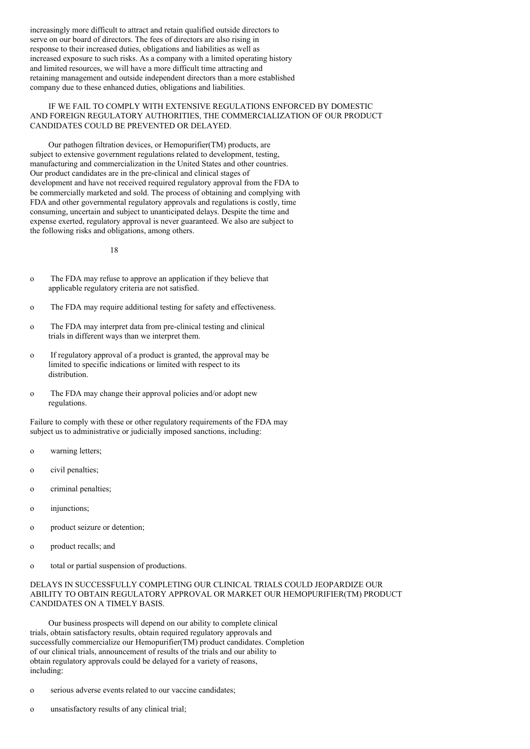increasingly more difficult to attract and retain qualified outside directors to serve on our board of directors. The fees of directors are also rising in response to their increased duties, obligations and liabilities as well as increased exposure to such risks. As a company with a limited operating history and limited resources, we will have a more difficult time attracting and retaining management and outside independent directors than a more established company due to these enhanced duties, obligations and liabilities.

#### IF WE FAIL TO COMPLY WITH EXTENSIVE REGULATIONS ENFORCED BY DOMESTIC AND FOREIGN REGULATORY AUTHORITIES, THE COMMERCIALIZATION OF OUR PRODUCT CANDIDATES COULD BE PREVENTED OR DELAYED.

Our pathogen filtration devices, or Hemopurifier(TM) products, are subject to extensive government regulations related to development, testing, manufacturing and commercialization in the United States and other countries. Our product candidates are in the pre-clinical and clinical stages of development and have not received required regulatory approval from the FDA to be commercially marketed and sold. The process of obtaining and complying with FDA and other governmental regulatory approvals and regulations is costly, time consuming, uncertain and subject to unanticipated delays. Despite the time and expense exerted, regulatory approval is never guaranteed. We also are subject to the following risks and obligations, among others.

18

- o The FDA may refuse to approve an application if they believe that applicable regulatory criteria are not satisfied.
- o The FDA may require additional testing for safety and effectiveness.
- o The FDA may interpret data from pre-clinical testing and clinical trials in different ways than we interpret them.
- o If regulatory approval of a product is granted, the approval may be limited to specific indications or limited with respect to its distribution.
- o The FDA may change their approval policies and/or adopt new regulations.

Failure to comply with these or other regulatory requirements of the FDA may subject us to administrative or judicially imposed sanctions, including:

- o warning letters;
- o civil penalties;
- o criminal penalties;
- o injunctions;
- o product seizure or detention;
- o product recalls; and
- o total or partial suspension of productions.

## DELAYS IN SUCCESSFULLY COMPLETING OUR CLINICAL TRIALS COULD JEOPARDIZE OUR ABILITY TO OBTAIN REGULATORY APPROVAL OR MARKET OUR HEMOPURIFIER(TM) PRODUCT CANDIDATES ON A TIMELY BASIS.

Our business prospects will depend on our ability to complete clinical trials, obtain satisfactory results, obtain required regulatory approvals and successfully commercialize our Hemopurifier(TM) product candidates. Completion of our clinical trials, announcement of results of the trials and our ability to obtain regulatory approvals could be delayed for a variety of reasons, including:

- o serious adverse events related to our vaccine candidates;
- o unsatisfactory results of any clinical trial;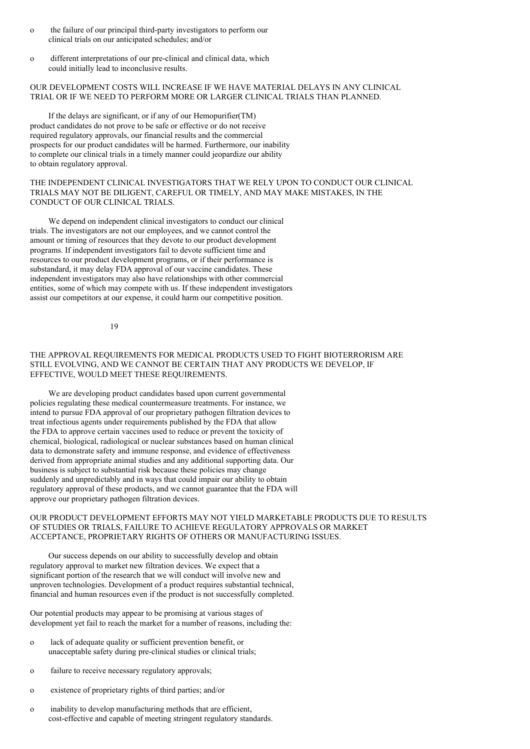- o the failure of our principal third-party investigators to perform our clinical trials on our anticipated schedules; and/or
- o different interpretations of our pre-clinical and clinical data, which could initially lead to inconclusive results.

## OUR DEVELOPMENT COSTS WILL INCREASE IF WE HAVE MATERIAL DELAYS IN ANY CLINICAL TRIAL OR IF WE NEED TO PERFORM MORE OR LARGER CLINICAL TRIALS THAN PLANNED.

If the delays are significant, or if any of our Hemopurifier(TM) product candidates do not prove to be safe or effective or do not receive required regulatory approvals, our financial results and the commercial prospects for our product candidates will be harmed. Furthermore, our inability to complete our clinical trials in a timely manner could jeopardize our ability to obtain regulatory approval.

# THE INDEPENDENT CLINICAL INVESTIGATORS THAT WE RELY UPON TO CONDUCT OUR CLINICAL TRIALS MAY NOT BE DILIGENT, CAREFUL OR TIMELY, AND MAY MAKE MISTAKES, IN THE CONDUCT OF OUR CLINICAL TRIALS.

We depend on independent clinical investigators to conduct our clinical trials. The investigators are not our employees, and we cannot control the amount or timing of resources that they devote to our product development programs. If independent investigators fail to devote sufficient time and resources to our product development programs, or if their performance is substandard, it may delay FDA approval of our vaccine candidates. These independent investigators may also have relationships with other commercial entities, some of which may compete with us. If these independent investigators assist our competitors at our expense, it could harm our competitive position.

19

## THE APPROVAL REQUIREMENTS FOR MEDICAL PRODUCTS USED TO FIGHT BIOTERRORISM ARE STILL EVOLVING, AND WE CANNOT BE CERTAIN THAT ANY PRODUCTS WE DEVELOP, IF EFFECTIVE, WOULD MEET THESE REQUIREMENTS.

We are developing product candidates based upon current governmental policies regulating these medical countermeasure treatments. For instance, we intend to pursue FDA approval of our proprietary pathogen filtration devices to treat infectious agents under requirements published by the FDA that allow the FDA to approve certain vaccines used to reduce or prevent the toxicity of chemical, biological, radiological or nuclear substances based on human clinical data to demonstrate safety and immune response, and evidence of effectiveness derived from appropriate animal studies and any additional supporting data. Our business is subject to substantial risk because these policies may change suddenly and unpredictably and in ways that could impair our ability to obtain regulatory approval of these products, and we cannot guarantee that the FDA will approve our proprietary pathogen filtration devices.

## OUR PRODUCT DEVELOPMENT EFFORTS MAY NOT YIELD MARKETABLE PRODUCTS DUE TO RESULTS OF STUDIES OR TRIALS, FAILURE TO ACHIEVE REGULATORY APPROVALS OR MARKET ACCEPTANCE, PROPRIETARY RIGHTS OF OTHERS OR MANUFACTURING ISSUES.

Our success depends on our ability to successfully develop and obtain regulatory approval to market new filtration devices. We expect that a significant portion of the research that we will conduct will involve new and unproven technologies. Development of a product requires substantial technical, financial and human resources even if the product is not successfully completed.

Our potential products may appear to be promising at various stages of development yet fail to reach the market for a number of reasons, including the:

- o lack of adequate quality or sufficient prevention benefit, or unacceptable safety during pre-clinical studies or clinical trials;
- o failure to receive necessary regulatory approvals;
- o existence of proprietary rights of third parties; and/or
- o inability to develop manufacturing methods that are efficient, cost-effective and capable of meeting stringent regulatory standards.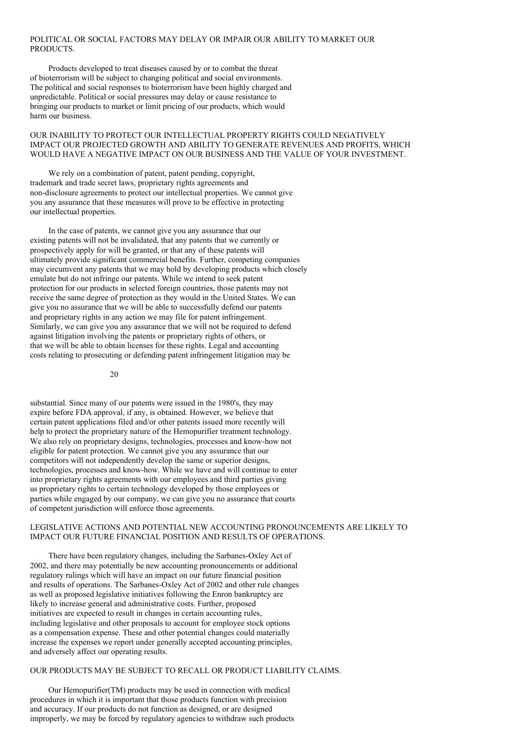# POLITICAL OR SOCIAL FACTORS MAY DELAY OR IMPAIR OUR ABILITY TO MARKET OUR PRODUCTS.

Products developed to treat diseases caused by or to combat the threat of bioterrorism will be subject to changing political and social environments. The political and social responses to bioterrorism have been highly charged and unpredictable. Political or social pressures may delay or cause resistance to bringing our products to market or limit pricing of our products, which would harm our business.

# OUR INABILITY TO PROTECT OUR INTELLECTUAL PROPERTY RIGHTS COULD NEGATIVELY IMPACT OUR PROJECTED GROWTH AND ABILITY TO GENERATE REVENUES AND PROFITS, WHICH WOULD HAVE A NEGATIVE IMPACT ON OUR BUSINESS AND THE VALUE OF YOUR INVESTMENT.

We rely on a combination of patent, patent pending, copyright, trademark and trade secret laws, proprietary rights agreements and non-disclosure agreements to protect our intellectual properties. We cannot give you any assurance that these measures will prove to be effective in protecting our intellectual properties.

In the case of patents, we cannot give you any assurance that our existing patents will not be invalidated, that any patents that we currently or prospectively apply for will be granted, or that any of these patents will ultimately provide significant commercial benefits. Further, competing companies may circumvent any patents that we may hold by developing products which closely emulate but do not infringe our patents. While we intend to seek patent protection for our products in selected foreign countries, those patents may not receive the same degree of protection as they would in the United States. We can give you no assurance that we will be able to successfully defend our patents and proprietary rights in any action we may file for patent infringement. Similarly, we can give you any assurance that we will not be required to defend against litigation involving the patents or proprietary rights of others, or that we will be able to obtain licenses for these rights. Legal and accounting costs relating to prosecuting or defending patent infringement litigation may be

 $20$ 

substantial. Since many of our patents were issued in the 1980's, they may expire before FDA approval, if any, is obtained. However, we believe that certain patent applications filed and/or other patents issued more recently will help to protect the proprietary nature of the Hemopurifier treatment technology. We also rely on proprietary designs, technologies, processes and know-how not eligible for patent protection. We cannot give you any assurance that our competitors will not independently develop the same or superior designs, technologies, processes and know-how. While we have and will continue to enter into proprietary rights agreements with our employees and third parties giving us proprietary rights to certain technology developed by those employees or parties while engaged by our company, we can give you no assurance that courts of competent jurisdiction will enforce those agreements.

### LEGISLATIVE ACTIONS AND POTENTIAL NEW ACCOUNTING PRONOUNCEMENTS ARE LIKELY TO IMPACT OUR FUTURE FINANCIAL POSITION AND RESULTS OF OPERATIONS.

There have been regulatory changes, including the Sarbanes-Oxley Act of 2002, and there may potentially be new accounting pronouncements or additional regulatory rulings which will have an impact on our future financial position and results of operations. The Sarbanes-Oxley Act of 2002 and other rule changes as well as proposed legislative initiatives following the Enron bankruptcy are likely to increase general and administrative costs. Further, proposed initiatives are expected to result in changes in certain accounting rules, including legislative and other proposals to account for employee stock options as a compensation expense. These and other potential changes could materially increase the expenses we report under generally accepted accounting principles, and adversely affect our operating results.

## OUR PRODUCTS MAY BE SUBJECT TO RECALL OR PRODUCT LIABILITY CLAIMS.

Our Hemopurifier(TM) products may be used in connection with medical procedures in which it is important that those products function with precision and accuracy. If our products do not function as designed, or are designed improperly, we may be forced by regulatory agencies to withdraw such products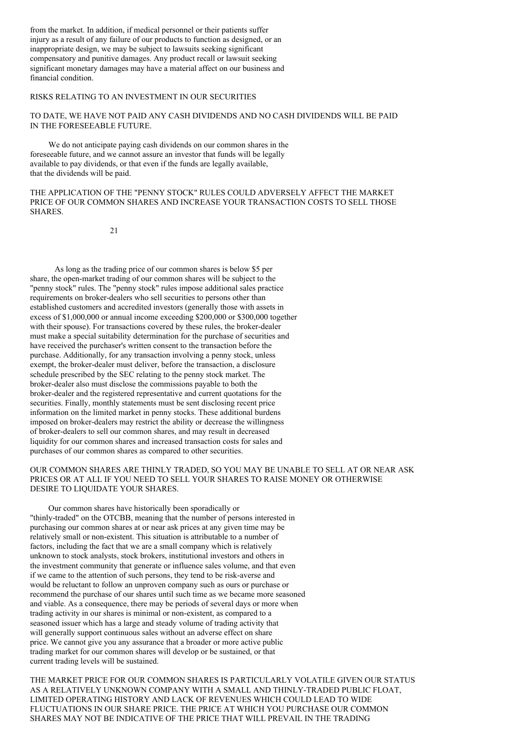from the market. In addition, if medical personnel or their patients suffer injury as a result of any failure of our products to function as designed, or an inappropriate design, we may be subject to lawsuits seeking significant compensatory and punitive damages. Any product recall or lawsuit seeking significant monetary damages may have a material affect on our business and financial condition.

### RISKS RELATING TO AN INVESTMENT IN OUR SECURITIES

## TO DATE, WE HAVE NOT PAID ANY CASH DIVIDENDS AND NO CASH DIVIDENDS WILL BE PAID IN THE FORESEEABLE FUTURE.

We do not anticipate paying cash dividends on our common shares in the foreseeable future, and we cannot assure an investor that funds will be legally available to pay dividends, or that even if the funds are legally available, that the dividends will be paid.

### THE APPLICATION OF THE "PENNY STOCK" RULES COULD ADVERSELY AFFECT THE MARKET PRICE OF OUR COMMON SHARES AND INCREASE YOUR TRANSACTION COSTS TO SELL THOSE SHARES.

21

As long as the trading price of our common shares is below \$5 per share, the open-market trading of our common shares will be subject to the "penny stock" rules. The "penny stock" rules impose additional sales practice requirements on broker-dealers who sell securities to persons other than established customers and accredited investors (generally those with assets in excess of \$1,000,000 or annual income exceeding \$200,000 or \$300,000 together with their spouse). For transactions covered by these rules, the broker-dealer must make a special suitability determination for the purchase of securities and have received the purchaser's written consent to the transaction before the purchase. Additionally, for any transaction involving a penny stock, unless exempt, the broker-dealer must deliver, before the transaction, a disclosure schedule prescribed by the SEC relating to the penny stock market. The broker-dealer also must disclose the commissions payable to both the broker-dealer and the registered representative and current quotations for the securities. Finally, monthly statements must be sent disclosing recent price information on the limited market in penny stocks. These additional burdens imposed on broker-dealers may restrict the ability or decrease the willingness of broker-dealers to sell our common shares, and may result in decreased liquidity for our common shares and increased transaction costs for sales and purchases of our common shares as compared to other securities.

#### OUR COMMON SHARES ARE THINLY TRADED, SO YOU MAY BE UNABLE TO SELL AT OR NEAR ASK PRICES OR AT ALL IF YOU NEED TO SELL YOUR SHARES TO RAISE MONEY OR OTHERWISE DESIRE TO LIQUIDATE YOUR SHARES.

Our common shares have historically been sporadically or "thinly-traded" on the OTCBB, meaning that the number of persons interested in purchasing our common shares at or near ask prices at any given time may be relatively small or non-existent. This situation is attributable to a number of factors, including the fact that we are a small company which is relatively unknown to stock analysts, stock brokers, institutional investors and others in the investment community that generate or influence sales volume, and that even if we came to the attention of such persons, they tend to be risk-averse and would be reluctant to follow an unproven company such as ours or purchase or recommend the purchase of our shares until such time as we became more seasoned and viable. As a consequence, there may be periods of several days or more when trading activity in our shares is minimal or non-existent, as compared to a seasoned issuer which has a large and steady volume of trading activity that will generally support continuous sales without an adverse effect on share price. We cannot give you any assurance that a broader or more active public trading market for our common shares will develop or be sustained, or that current trading levels will be sustained.

THE MARKET PRICE FOR OUR COMMON SHARES IS PARTICULARLY VOLATILE GIVEN OUR STATUS AS A RELATIVELY UNKNOWN COMPANY WITH A SMALL AND THINLY-TRADED PUBLIC FLOAT, LIMITED OPERATING HISTORY AND LACK OF REVENUES WHICH COULD LEAD TO WIDE FLUCTUATIONS IN OUR SHARE PRICE. THE PRICE AT WHICH YOU PURCHASE OUR COMMON SHARES MAY NOT BE INDICATIVE OF THE PRICE THAT WILL PREVAIL IN THE TRADING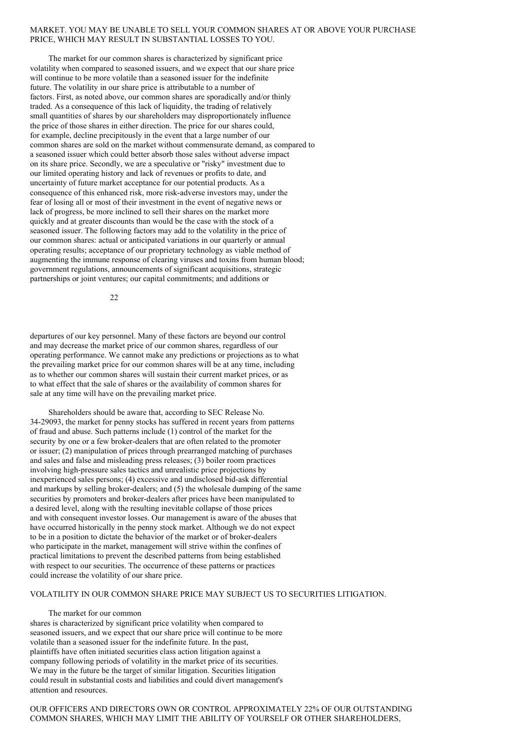### MARKET. YOU MAY BE UNABLE TO SELL YOUR COMMON SHARES AT OR ABOVE YOUR PURCHASE PRICE, WHICH MAY RESULT IN SUBSTANTIAL LOSSES TO YOU.

The market for our common shares is characterized by significant price volatility when compared to seasoned issuers, and we expect that our share price will continue to be more volatile than a seasoned issuer for the indefinite future. The volatility in our share price is attributable to a number of factors. First, as noted above, our common shares are sporadically and/or thinly traded. As a consequence of this lack of liquidity, the trading of relatively small quantities of shares by our shareholders may disproportionately influence the price of those shares in either direction. The price for our shares could, for example, decline precipitously in the event that a large number of our common shares are sold on the market without commensurate demand, as compared to a seasoned issuer which could better absorb those sales without adverse impact on its share price. Secondly, we are a speculative or "risky" investment due to our limited operating history and lack of revenues or profits to date, and uncertainty of future market acceptance for our potential products. As a consequence of this enhanced risk, more risk-adverse investors may, under the fear of losing all or most of their investment in the event of negative news or lack of progress, be more inclined to sell their shares on the market more quickly and at greater discounts than would be the case with the stock of a seasoned issuer. The following factors may add to the volatility in the price of our common shares: actual or anticipated variations in our quarterly or annual operating results; acceptance of our proprietary technology as viable method of augmenting the immune response of clearing viruses and toxins from human blood; government regulations, announcements of significant acquisitions, strategic partnerships or joint ventures; our capital commitments; and additions or

22

departures of our key personnel. Many of these factors are beyond our control and may decrease the market price of our common shares, regardless of our operating performance. We cannot make any predictions or projections as to what the prevailing market price for our common shares will be at any time, including as to whether our common shares will sustain their current market prices, or as to what effect that the sale of shares or the availability of common shares for sale at any time will have on the prevailing market price.

Shareholders should be aware that, according to SEC Release No. 34-29093, the market for penny stocks has suffered in recent years from patterns of fraud and abuse. Such patterns include (1) control of the market for the security by one or a few broker-dealers that are often related to the promoter or issuer; (2) manipulation of prices through prearranged matching of purchases and sales and false and misleading press releases; (3) boiler room practices involving high-pressure sales tactics and unrealistic price projections by inexperienced sales persons; (4) excessive and undisclosed bid-ask differential and markups by selling broker-dealers; and (5) the wholesale dumping of the same securities by promoters and broker-dealers after prices have been manipulated to a desired level, along with the resulting inevitable collapse of those prices and with consequent investor losses. Our management is aware of the abuses that have occurred historically in the penny stock market. Although we do not expect to be in a position to dictate the behavior of the market or of broker-dealers who participate in the market, management will strive within the confines of practical limitations to prevent the described patterns from being established with respect to our securities. The occurrence of these patterns or practices could increase the volatility of our share price.

#### VOLATILITY IN OUR COMMON SHARE PRICE MAY SUBJECT US TO SECURITIES LITIGATION.

#### The market for our common

shares is characterized by significant price volatility when compared to seasoned issuers, and we expect that our share price will continue to be more volatile than a seasoned issuer for the indefinite future. In the past, plaintiffs have often initiated securities class action litigation against a company following periods of volatility in the market price of its securities. We may in the future be the target of similar litigation. Securities litigation could result in substantial costs and liabilities and could divert management's attention and resources.

# OUR OFFICERS AND DIRECTORS OWN OR CONTROL APPROXIMATELY 22% OF OUR OUTSTANDING COMMON SHARES, WHICH MAY LIMIT THE ABILITY OF YOURSELF OR OTHER SHAREHOLDERS,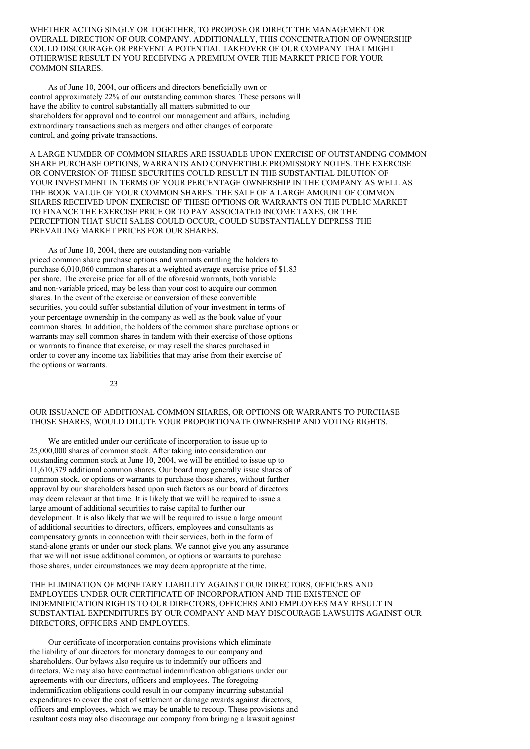WHETHER ACTING SINGLY OR TOGETHER, TO PROPOSE OR DIRECT THE MANAGEMENT OR OVERALL DIRECTION OF OUR COMPANY. ADDITIONALLY, THIS CONCENTRATION OF OWNERSHIP COULD DISCOURAGE OR PREVENT A POTENTIAL TAKEOVER OF OUR COMPANY THAT MIGHT OTHERWISE RESULT IN YOU RECEIVING A PREMIUM OVER THE MARKET PRICE FOR YOUR COMMON SHARES.

As of June 10, 2004, our officers and directors beneficially own or control approximately 22% of our outstanding common shares. These persons will have the ability to control substantially all matters submitted to our shareholders for approval and to control our management and affairs, including extraordinary transactions such as mergers and other changes of corporate control, and going private transactions.

A LARGE NUMBER OF COMMON SHARES ARE ISSUABLE UPON EXERCISE OF OUTSTANDING COMMON SHARE PURCHASE OPTIONS, WARRANTS AND CONVERTIBLE PROMISSORY NOTES. THE EXERCISE OR CONVERSION OF THESE SECURITIES COULD RESULT IN THE SUBSTANTIAL DILUTION OF YOUR INVESTMENT IN TERMS OF YOUR PERCENTAGE OWNERSHIP IN THE COMPANY AS WELL AS THE BOOK VALUE OF YOUR COMMON SHARES. THE SALE OF A LARGE AMOUNT OF COMMON SHARES RECEIVED UPON EXERCISE OF THESE OPTIONS OR WARRANTS ON THE PUBLIC MARKET TO FINANCE THE EXERCISE PRICE OR TO PAY ASSOCIATED INCOME TAXES, OR THE PERCEPTION THAT SUCH SALES COULD OCCUR, COULD SUBSTANTIALLY DEPRESS THE PREVAILING MARKET PRICES FOR OUR SHARES.

As of June 10, 2004, there are outstanding non-variable priced common share purchase options and warrants entitling the holders to purchase 6,010,060 common shares at a weighted average exercise price of \$1.83 per share. The exercise price for all of the aforesaid warrants, both variable and non-variable priced, may be less than your cost to acquire our common shares. In the event of the exercise or conversion of these convertible securities, you could suffer substantial dilution of your investment in terms of your percentage ownership in the company as well as the book value of your common shares. In addition, the holders of the common share purchase options or warrants may sell common shares in tandem with their exercise of those options or warrants to finance that exercise, or may resell the shares purchased in order to cover any income tax liabilities that may arise from their exercise of the options or warrants.

23

# OUR ISSUANCE OF ADDITIONAL COMMON SHARES, OR OPTIONS OR WARRANTS TO PURCHASE THOSE SHARES, WOULD DILUTE YOUR PROPORTIONATE OWNERSHIP AND VOTING RIGHTS.

We are entitled under our certificate of incorporation to issue up to 25,000,000 shares of common stock. After taking into consideration our outstanding common stock at June 10, 2004, we will be entitled to issue up to 11,610,379 additional common shares. Our board may generally issue shares of common stock, or options or warrants to purchase those shares, without further approval by our shareholders based upon such factors as our board of directors may deem relevant at that time. It is likely that we will be required to issue a large amount of additional securities to raise capital to further our development. It is also likely that we will be required to issue a large amount of additional securities to directors, officers, employees and consultants as compensatory grants in connection with their services, both in the form of stand-alone grants or under our stock plans. We cannot give you any assurance that we will not issue additional common, or options or warrants to purchase those shares, under circumstances we may deem appropriate at the time.

## THE ELIMINATION OF MONETARY LIABILITY AGAINST OUR DIRECTORS, OFFICERS AND EMPLOYEES UNDER OUR CERTIFICATE OF INCORPORATION AND THE EXISTENCE OF INDEMNIFICATION RIGHTS TO OUR DIRECTORS, OFFICERS AND EMPLOYEES MAY RESULT IN SUBSTANTIAL EXPENDITURES BY OUR COMPANY AND MAY DISCOURAGE LAWSUITS AGAINST OUR DIRECTORS, OFFICERS AND EMPLOYEES.

Our certificate of incorporation contains provisions which eliminate the liability of our directors for monetary damages to our company and shareholders. Our bylaws also require us to indemnify our officers and directors. We may also have contractual indemnification obligations under our agreements with our directors, officers and employees. The foregoing indemnification obligations could result in our company incurring substantial expenditures to cover the cost of settlement or damage awards against directors, officers and employees, which we may be unable to recoup. These provisions and resultant costs may also discourage our company from bringing a lawsuit against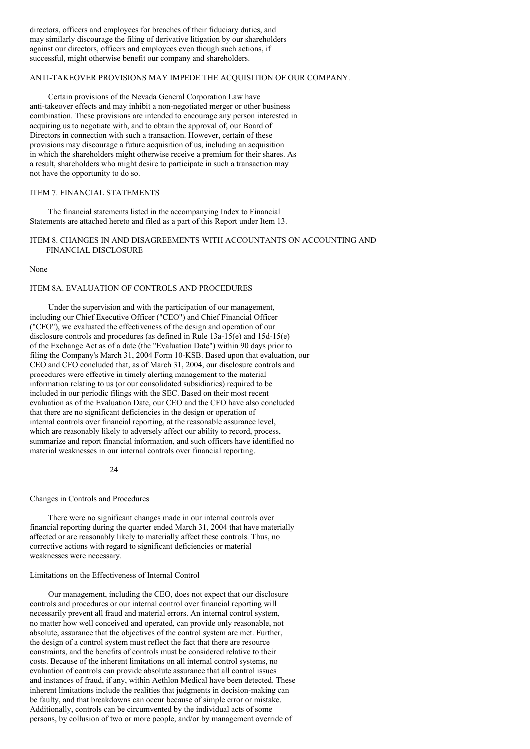directors, officers and employees for breaches of their fiduciary duties, and may similarly discourage the filing of derivative litigation by our shareholders against our directors, officers and employees even though such actions, if successful, might otherwise benefit our company and shareholders.

## ANTI-TAKEOVER PROVISIONS MAY IMPEDE THE ACQUISITION OF OUR COMPANY.

Certain provisions of the Nevada General Corporation Law have anti-takeover effects and may inhibit a non-negotiated merger or other business combination. These provisions are intended to encourage any person interested in acquiring us to negotiate with, and to obtain the approval of, our Board of Directors in connection with such a transaction. However, certain of these provisions may discourage a future acquisition of us, including an acquisition in which the shareholders might otherwise receive a premium for their shares. As a result, shareholders who might desire to participate in such a transaction may not have the opportunity to do so.

# ITEM 7. FINANCIAL STATEMENTS

The financial statements listed in the accompanying Index to Financial Statements are attached hereto and filed as a part of this Report under Item 13.

# ITEM 8. CHANGES IN AND DISAGREEMENTS WITH ACCOUNTANTS ON ACCOUNTING AND FINANCIAL DISCLOSURE

None

# ITEM 8A. EVALUATION OF CONTROLS AND PROCEDURES

Under the supervision and with the participation of our management, including our Chief Executive Officer ("CEO") and Chief Financial Officer ("CFO"), we evaluated the effectiveness of the design and operation of our disclosure controls and procedures (as defined in Rule 13a-15(e) and 15d-15(e) of the Exchange Act as of a date (the "Evaluation Date") within 90 days prior to filing the Company's March 31, 2004 Form 10-KSB. Based upon that evaluation, our CEO and CFO concluded that, as of March 31, 2004, our disclosure controls and procedures were effective in timely alerting management to the material information relating to us (or our consolidated subsidiaries) required to be included in our periodic filings with the SEC. Based on their most recent evaluation as of the Evaluation Date, our CEO and the CFO have also concluded that there are no significant deficiencies in the design or operation of internal controls over financial reporting, at the reasonable assurance level, which are reasonably likely to adversely affect our ability to record, process, summarize and report financial information, and such officers have identified no material weaknesses in our internal controls over financial reporting.

24

#### Changes in Controls and Procedures

There were no significant changes made in our internal controls over financial reporting during the quarter ended March 31, 2004 that have materially affected or are reasonably likely to materially affect these controls. Thus, no corrective actions with regard to significant deficiencies or material weaknesses were necessary.

### Limitations on the Effectiveness of Internal Control

Our management, including the CEO, does not expect that our disclosure controls and procedures or our internal control over financial reporting will necessarily prevent all fraud and material errors. An internal control system, no matter how well conceived and operated, can provide only reasonable, not absolute, assurance that the objectives of the control system are met. Further, the design of a control system must reflect the fact that there are resource constraints, and the benefits of controls must be considered relative to their costs. Because of the inherent limitations on all internal control systems, no evaluation of controls can provide absolute assurance that all control issues and instances of fraud, if any, within Aethlon Medical have been detected. These inherent limitations include the realities that judgments in decision-making can be faulty, and that breakdowns can occur because of simple error or mistake. Additionally, controls can be circumvented by the individual acts of some persons, by collusion of two or more people, and/or by management override of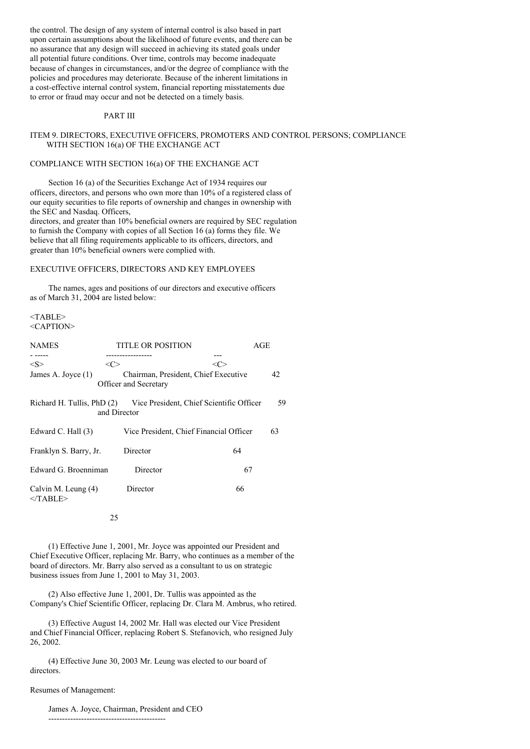the control. The design of any system of internal control is also based in part upon certain assumptions about the likelihood of future events, and there can be no assurance that any design will succeed in achieving its stated goals under all potential future conditions. Over time, controls may become inadequate because of changes in circumstances, and/or the degree of compliance with the policies and procedures may deteriorate. Because of the inherent limitations in a cost-effective internal control system, financial reporting misstatements due to error or fraud may occur and not be detected on a timely basis.

## PART III

# ITEM 9. DIRECTORS, EXECUTIVE OFFICERS, PROMOTERS AND CONTROL PERSONS; COMPLIANCE WITH SECTION 16(a) OF THE EXCHANGE ACT

#### COMPLIANCE WITH SECTION 16(a) OF THE EXCHANGE ACT

Section 16 (a) of the Securities Exchange Act of 1934 requires our officers, directors, and persons who own more than 10% of a registered class of our equity securities to file reports of ownership and changes in ownership with the SEC and Nasdaq. Officers, directors, and greater than 10% beneficial owners are required by SEC regulation to furnish the Company with copies of all Section 16 (a) forms they file. We believe that all filing requirements applicable to its officers, directors, and greater than 10% beneficial owners were complied with.

#### EXECUTIVE OFFICERS, DIRECTORS AND KEY EMPLOYEES

The names, ages and positions of our directors and executive officers as of March 31, 2004 are listed below:

#### <TABLE> <CAPTION>

| <b>NAMES</b>                       | <b>TITLE OR POSITION</b>                                                       | AGE           |    |
|------------------------------------|--------------------------------------------------------------------------------|---------------|----|
|                                    |                                                                                |               |    |
| $<\leq>$<br>James A. Joyce (1)     | $<\!\!C\!\!>$<br>Chairman, President, Chief Executive<br>Officer and Secretary | $<\!\!C\!\!>$ | 42 |
| Richard H. Tullis, PhD (2)         | Vice President, Chief Scientific Officer<br>and Director                       |               | 59 |
| Edward C. Hall (3)                 | Vice President, Chief Financial Officer                                        |               | 63 |
| Franklyn S. Barry, Jr.             | Director                                                                       | 64            |    |
| Edward G. Broenniman               | Director                                                                       | 67            |    |
| Calvin M. Leung (4)<br>$<$ /TABLE> | Director                                                                       | 66            |    |

25

(1) Effective June 1, 2001, Mr. Joyce was appointed our President and Chief Executive Officer, replacing Mr. Barry, who continues as a member of the board of directors. Mr. Barry also served as a consultant to us on strategic business issues from June 1, 2001 to May 31, 2003.

(2) Also effective June 1, 2001, Dr. Tullis was appointed as the Company's Chief Scientific Officer, replacing Dr. Clara M. Ambrus, who retired.

(3) Effective August 14, 2002 Mr. Hall was elected our Vice President and Chief Financial Officer, replacing Robert S. Stefanovich, who resigned July 26, 2002.

(4) Effective June 30, 2003 Mr. Leung was elected to our board of directors.

Resumes of Management:

James A. Joyce, Chairman, President and CEO -------------------------------------------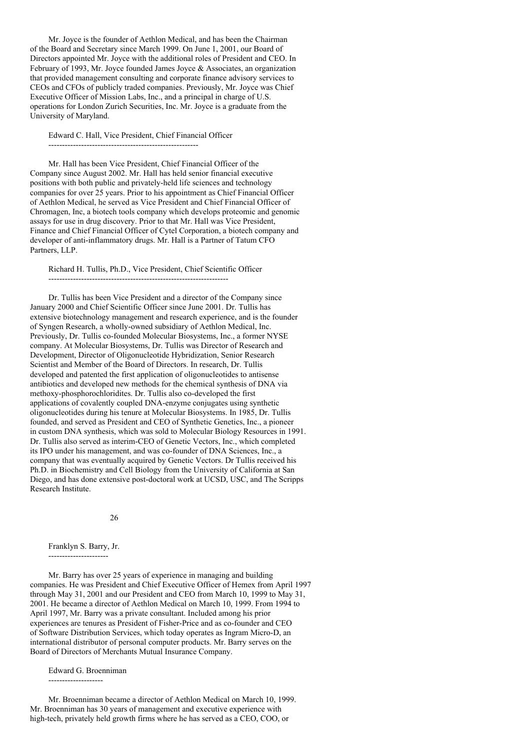Mr. Joyce is the founder of Aethlon Medical, and has been the Chairman of the Board and Secretary since March 1999. On June 1, 2001, our Board of Directors appointed Mr. Joyce with the additional roles of President and CEO. In February of 1993, Mr. Joyce founded James Joyce & Associates, an organization that provided management consulting and corporate finance advisory services to CEOs and CFOs of publicly traded companies. Previously, Mr. Joyce was Chief Executive Officer of Mission Labs, Inc., and a principal in charge of U.S. operations for London Zurich Securities, Inc. Mr. Joyce is a graduate from the University of Maryland.

Edward C. Hall, Vice President, Chief Financial Officer

-------------------------------------------------------

Mr. Hall has been Vice President, Chief Financial Officer of the Company since August 2002. Mr. Hall has held senior financial executive positions with both public and privately-held life sciences and technology companies for over 25 years. Prior to his appointment as Chief Financial Officer of Aethlon Medical, he served as Vice President and Chief Financial Officer of Chromagen, Inc, a biotech tools company which develops proteomic and genomic assays for use in drug discovery. Prior to that Mr. Hall was Vice President, Finance and Chief Financial Officer of Cytel Corporation, a biotech company and developer of anti-inflammatory drugs. Mr. Hall is a Partner of Tatum CFO Partners, LLP.

Richard H. Tullis, Ph.D., Vice President, Chief Scientific Officer

------------------------------------------------------------------

Dr. Tullis has been Vice President and a director of the Company since January 2000 and Chief Scientific Officer since June 2001. Dr. Tullis has extensive biotechnology management and research experience, and is the founder of Syngen Research, a wholly-owned subsidiary of Aethlon Medical, Inc. Previously, Dr. Tullis co-founded Molecular Biosystems, Inc., a former NYSE company. At Molecular Biosystems, Dr. Tullis was Director of Research and Development, Director of Oligonucleotide Hybridization, Senior Research Scientist and Member of the Board of Directors. In research, Dr. Tullis developed and patented the first application of oligonucleotides to antisense antibiotics and developed new methods for the chemical synthesis of DNA via methoxy-phosphorochloridites. Dr. Tullis also co-developed the first applications of covalently coupled DNA-enzyme conjugates using synthetic oligonucleotides during his tenure at Molecular Biosystems. In 1985, Dr. Tullis founded, and served as President and CEO of Synthetic Genetics, Inc., a pioneer in custom DNA synthesis, which was sold to Molecular Biology Resources in 1991. Dr. Tullis also served as interim-CEO of Genetic Vectors, Inc., which completed its IPO under his management, and was co-founder of DNA Sciences, Inc., a company that was eventually acquired by Genetic Vectors. Dr Tullis received his Ph.D. in Biochemistry and Cell Biology from the University of California at San Diego, and has done extensive post-doctoral work at UCSD, USC, and The Scripps Research Institute.

26

Franklyn S. Barry, Jr. ----------------------

Mr. Barry has over 25 years of experience in managing and building companies. He was President and Chief Executive Officer of Hemex from April 1997 through May 31, 2001 and our President and CEO from March 10, 1999 to May 31, 2001. He became a director of Aethlon Medical on March 10, 1999. From 1994 to April 1997, Mr. Barry was a private consultant. Included among his prior experiences are tenures as President of Fisher-Price and as co-founder and CEO of Software Distribution Services, which today operates as Ingram Micro-D, an international distributor of personal computer products. Mr. Barry serves on the Board of Directors of Merchants Mutual Insurance Company.

Edward G. Broenniman

--------------------

Mr. Broenniman became a director of Aethlon Medical on March 10, 1999. Mr. Broenniman has 30 years of management and executive experience with high-tech, privately held growth firms where he has served as a CEO, COO, or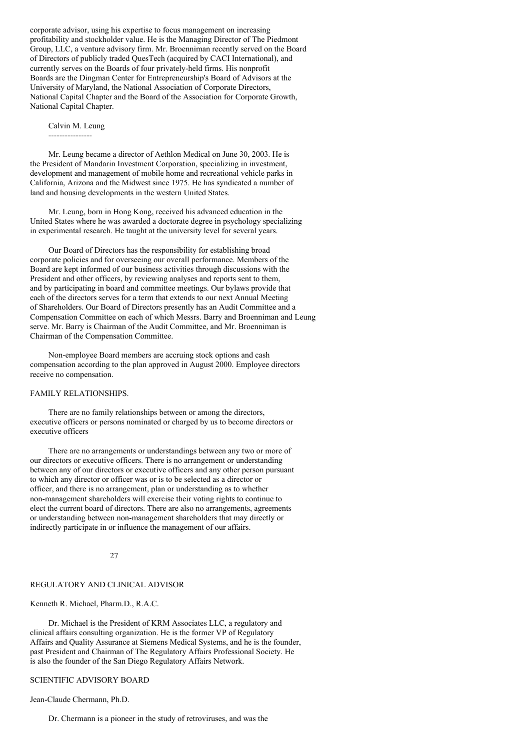corporate advisor, using his expertise to focus management on increasing profitability and stockholder value. He is the Managing Director of The Piedmont Group, LLC, a venture advisory firm. Mr. Broenniman recently served on the Board of Directors of publicly traded QuesTech (acquired by CACI International), and currently serves on the Boards of four privately-held firms. His nonprofit Boards are the Dingman Center for Entrepreneurship's Board of Advisors at the University of Maryland, the National Association of Corporate Directors, National Capital Chapter and the Board of the Association for Corporate Growth, National Capital Chapter.

Calvin M. Leung ----------------

Mr. Leung became a director of Aethlon Medical on June 30, 2003. He is the President of Mandarin Investment Corporation, specializing in investment, development and management of mobile home and recreational vehicle parks in California, Arizona and the Midwest since 1975. He has syndicated a number of land and housing developments in the western United States.

Mr. Leung, born in Hong Kong, received his advanced education in the United States where he was awarded a doctorate degree in psychology specializing in experimental research. He taught at the university level for several years.

Our Board of Directors has the responsibility for establishing broad corporate policies and for overseeing our overall performance. Members of the Board are kept informed of our business activities through discussions with the President and other officers, by reviewing analyses and reports sent to them, and by participating in board and committee meetings. Our bylaws provide that each of the directors serves for a term that extends to our next Annual Meeting of Shareholders. Our Board of Directors presently has an Audit Committee and a Compensation Committee on each of which Messrs. Barry and Broenniman and Leung serve. Mr. Barry is Chairman of the Audit Committee, and Mr. Broenniman is Chairman of the Compensation Committee.

Non-employee Board members are accruing stock options and cash compensation according to the plan approved in August 2000. Employee directors receive no compensation.

#### FAMILY RELATIONSHIPS.

There are no family relationships between or among the directors, executive officers or persons nominated or charged by us to become directors or executive officers

There are no arrangements or understandings between any two or more of our directors or executive officers. There is no arrangement or understanding between any of our directors or executive officers and any other person pursuant to which any director or officer was or is to be selected as a director or officer, and there is no arrangement, plan or understanding as to whether non-management shareholders will exercise their voting rights to continue to elect the current board of directors. There are also no arrangements, agreements or understanding between non-management shareholders that may directly or indirectly participate in or influence the management of our affairs.

27

# REGULATORY AND CLINICAL ADVISOR

## Kenneth R. Michael, Pharm.D., R.A.C.

Dr. Michael is the President of KRM Associates LLC, a regulatory and clinical affairs consulting organization. He is the former VP of Regulatory Affairs and Quality Assurance at Siemens Medical Systems, and he is the founder, past President and Chairman of The Regulatory Affairs Professional Society. He is also the founder of the San Diego Regulatory Affairs Network.

SCIENTIFIC ADVISORY BOARD

Jean-Claude Chermann, Ph.D.

Dr. Chermann is a pioneer in the study of retroviruses, and was the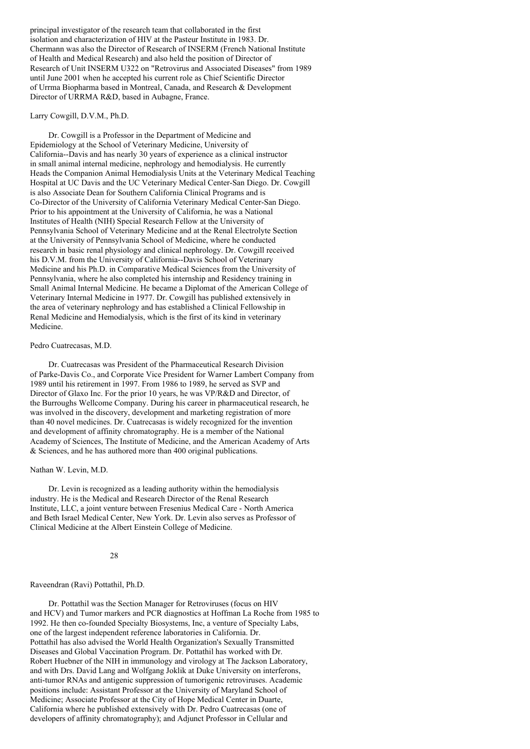principal investigator of the research team that collaborated in the first isolation and characterization of HIV at the Pasteur Institute in 1983. Dr. Chermann was also the Director of Research of INSERM (French National Institute of Health and Medical Research) and also held the position of Director of Research of Unit INSERM U322 on "Retrovirus and Associated Diseases" from 1989 until June 2001 when he accepted his current role as Chief Scientific Director of Urrma Biopharma based in Montreal, Canada, and Research & Development Director of URRMA R&D, based in Aubagne, France.

#### Larry Cowgill, D.V.M., Ph.D.

Dr. Cowgill is a Professor in the Department of Medicine and Epidemiology at the School of Veterinary Medicine, University of California--Davis and has nearly 30 years of experience as a clinical instructor in small animal internal medicine, nephrology and hemodialysis. He currently Heads the Companion Animal Hemodialysis Units at the Veterinary Medical Teaching Hospital at UC Davis and the UC Veterinary Medical Center-San Diego. Dr. Cowgill is also Associate Dean for Southern California Clinical Programs and is Co-Director of the University of California Veterinary Medical Center-San Diego. Prior to his appointment at the University of California, he was a National Institutes of Health (NIH) Special Research Fellow at the University of Pennsylvania School of Veterinary Medicine and at the Renal Electrolyte Section at the University of Pennsylvania School of Medicine, where he conducted research in basic renal physiology and clinical nephrology. Dr. Cowgill received his D.V.M. from the University of California--Davis School of Veterinary Medicine and his Ph.D. in Comparative Medical Sciences from the University of Pennsylvania, where he also completed his internship and Residency training in Small Animal Internal Medicine. He became a Diplomat of the American College of Veterinary Internal Medicine in 1977. Dr. Cowgill has published extensively in the area of veterinary nephrology and has established a Clinical Fellowship in Renal Medicine and Hemodialysis, which is the first of its kind in veterinary Medicine.

#### Pedro Cuatrecasas, M.D.

Dr. Cuatrecasas was President of the Pharmaceutical Research Division of Parke-Davis Co., and Corporate Vice President for Warner Lambert Company from 1989 until his retirement in 1997. From 1986 to 1989, he served as SVP and Director of Glaxo Inc. For the prior 10 years, he was VP/R&D and Director, of the Burroughs Wellcome Company. During his career in pharmaceutical research, he was involved in the discovery, development and marketing registration of more than 40 novel medicines. Dr. Cuatrecasas is widely recognized for the invention and development of affinity chromatography. He is a member of the National Academy of Sciences, The Institute of Medicine, and the American Academy of Arts & Sciences, and he has authored more than 400 original publications.

#### Nathan W. Levin, M.D.

Dr. Levin is recognized as a leading authority within the hemodialysis industry. He is the Medical and Research Director of the Renal Research Institute, LLC, a joint venture between Fresenius Medical Care - North America and Beth Israel Medical Center, New York. Dr. Levin also serves as Professor of Clinical Medicine at the Albert Einstein College of Medicine.

#### 28

#### Raveendran (Ravi) Pottathil, Ph.D.

Dr. Pottathil was the Section Manager for Retroviruses (focus on HIV and HCV) and Tumor markers and PCR diagnostics at Hoffman La Roche from 1985 to 1992. He then co-founded Specialty Biosystems, Inc, a venture of Specialty Labs, one of the largest independent reference laboratories in California. Dr. Pottathil has also advised the World Health Organization's Sexually Transmitted Diseases and Global Vaccination Program. Dr. Pottathil has worked with Dr. Robert Huebner of the NIH in immunology and virology at The Jackson Laboratory, and with Drs. David Lang and Wolfgang Joklik at Duke University on interferons, anti-tumor RNAs and antigenic suppression of tumorigenic retroviruses. Academic positions include: Assistant Professor at the University of Maryland School of Medicine; Associate Professor at the City of Hope Medical Center in Duarte, California where he published extensively with Dr. Pedro Cuatrecasas (one of developers of affinity chromatography); and Adjunct Professor in Cellular and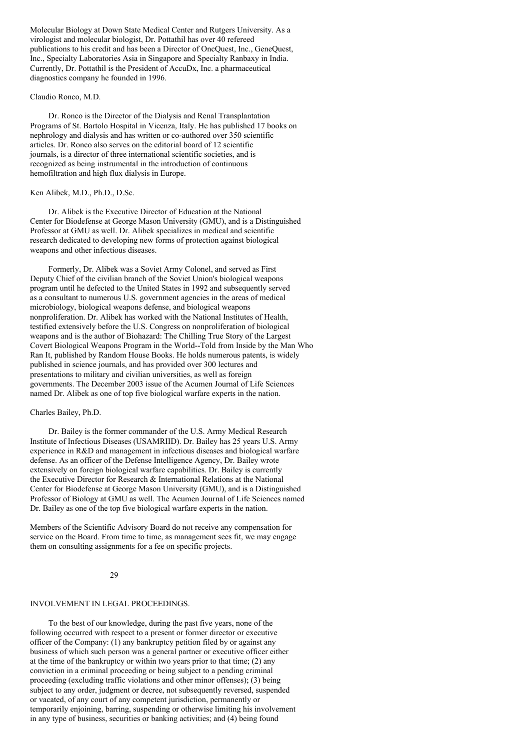Molecular Biology at Down State Medical Center and Rutgers University. As a virologist and molecular biologist, Dr. Pottathil has over 40 refereed publications to his credit and has been a Director of OncQuest, Inc., GeneQuest, Inc., Specialty Laboratories Asia in Singapore and Specialty Ranbaxy in India. Currently, Dr. Pottathil is the President of AccuDx, Inc. a pharmaceutical diagnostics company he founded in 1996.

#### Claudio Ronco, M.D.

Dr. Ronco is the Director of the Dialysis and Renal Transplantation Programs of St. Bartolo Hospital in Vicenza, Italy. He has published 17 books on nephrology and dialysis and has written or co-authored over 350 scientific articles. Dr. Ronco also serves on the editorial board of 12 scientific journals, is a director of three international scientific societies, and is recognized as being instrumental in the introduction of continuous hemofiltration and high flux dialysis in Europe.

#### Ken Alibek, M.D., Ph.D., D.Sc.

Dr. Alibek is the Executive Director of Education at the National Center for Biodefense at George Mason University (GMU), and is a Distinguished Professor at GMU as well. Dr. Alibek specializes in medical and scientific research dedicated to developing new forms of protection against biological weapons and other infectious diseases.

Formerly, Dr. Alibek was a Soviet Army Colonel, and served as First Deputy Chief of the civilian branch of the Soviet Union's biological weapons program until he defected to the United States in 1992 and subsequently served as a consultant to numerous U.S. government agencies in the areas of medical microbiology, biological weapons defense, and biological weapons nonproliferation. Dr. Alibek has worked with the National Institutes of Health, testified extensively before the U.S. Congress on nonproliferation of biological weapons and is the author of Biohazard: The Chilling True Story of the Largest Covert Biological Weapons Program in the World--Told from Inside by the Man Who Ran It, published by Random House Books. He holds numerous patents, is widely published in science journals, and has provided over 300 lectures and presentations to military and civilian universities, as well as foreign governments. The December 2003 issue of the Acumen Journal of Life Sciences named Dr. Alibek as one of top five biological warfare experts in the nation.

#### Charles Bailey, Ph.D.

Dr. Bailey is the former commander of the U.S. Army Medical Research Institute of Infectious Diseases (USAMRIID). Dr. Bailey has 25 years U.S. Army experience in R&D and management in infectious diseases and biological warfare defense. As an officer of the Defense Intelligence Agency, Dr. Bailey wrote extensively on foreign biological warfare capabilities. Dr. Bailey is currently the Executive Director for Research & International Relations at the National Center for Biodefense at George Mason University (GMU), and is a Distinguished Professor of Biology at GMU as well. The Acumen Journal of Life Sciences named Dr. Bailey as one of the top five biological warfare experts in the nation.

Members of the Scientific Advisory Board do not receive any compensation for service on the Board. From time to time, as management sees fit, we may engage them on consulting assignments for a fee on specific projects.

#### 29

## INVOLVEMENT IN LEGAL PROCEEDINGS.

To the best of our knowledge, during the past five years, none of the following occurred with respect to a present or former director or executive officer of the Company: (1) any bankruptcy petition filed by or against any business of which such person was a general partner or executive officer either at the time of the bankruptcy or within two years prior to that time; (2) any conviction in a criminal proceeding or being subject to a pending criminal proceeding (excluding traffic violations and other minor offenses); (3) being subject to any order, judgment or decree, not subsequently reversed, suspended or vacated, of any court of any competent jurisdiction, permanently or temporarily enjoining, barring, suspending or otherwise limiting his involvement in any type of business, securities or banking activities; and (4) being found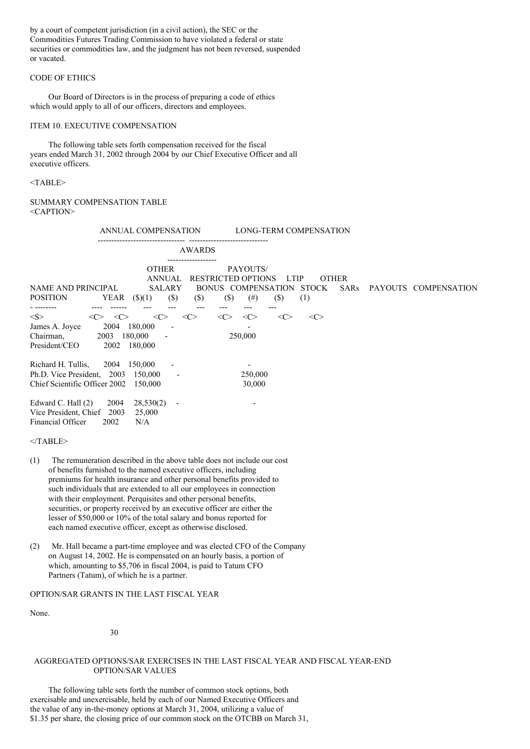by a court of competent jurisdiction (in a civil action), the SEC or the Commodities Futures Trading Commission to have violated a federal or state securities or commodities law, and the judgment has not been reversed, suspended or vacated.

# CODE OF ETHICS

Our Board of Directors is in the process of preparing a code of ethics which would apply to all of our officers, directors and employees.

## ITEM 10. EXECUTIVE COMPENSATION

The following table sets forth compensation received for the fiscal years ended March 31, 2002 through 2004 by our Chief Executive Officer and all executive officers.

# $<$ TABLE>

# SUMMARY COMPENSATION TABLE <CAPTION>

| <b>ANNUAL COMPENSATION</b><br><b>LONG-TERM COMPENSATION</b>                                                                                                                                                                                                                                                                                                                                                                                                                                                                                                                                |
|--------------------------------------------------------------------------------------------------------------------------------------------------------------------------------------------------------------------------------------------------------------------------------------------------------------------------------------------------------------------------------------------------------------------------------------------------------------------------------------------------------------------------------------------------------------------------------------------|
| <b>AWARDS</b>                                                                                                                                                                                                                                                                                                                                                                                                                                                                                                                                                                              |
| ------------------<br><b>OTHER</b><br>PAYOUTS/<br>ANNUAL<br><b>RESTRICTED OPTIONS</b><br><b>LTIP</b><br><b>OTHER</b><br><b>NAME AND PRINCIPAL</b><br><b>SALARY</b><br>BONUS COMPENSATION STOCK<br><b>SARs</b><br>PAYOUTS COMPENSATION<br><b>POSITION</b><br>$(\$)$<br>YEAR $(\$)(1)$<br>$(\$)$<br>$(\$)$<br>$^{(#)}$<br>$(\$)$<br>(1)<br>$---$<br>--------                                                                                                                                                                                                                                 |
| $<\!\!C\!\!>$<br>< S ><br>$<\infty$<br>$\langle C \rangle$ $\langle C \rangle$<br>$<\infty$<br>$\langle C \rangle$<br><c><br/><c><br/>2004 180,000<br/>James A. Joyce<br/>Chairman,<br/>180,000<br/>2003<br/>250,000<br/>President/CEO<br/>2002<br/>180,000</c></c>                                                                                                                                                                                                                                                                                                                        |
| Richard H. Tullis,<br>2004 150,000<br>$\overline{\phantom{a}}$<br>150,000<br>Ph.D. Vice President, 2003<br>250,000<br>$\overline{\phantom{a}}$<br>Chief Scientific Officer 2002<br>150,000<br>30,000                                                                                                                                                                                                                                                                                                                                                                                       |
| Edward C. Hall (2)<br>2004<br>28,530(2)<br>$\sim$ $-$<br>Vice President, Chief<br>2003<br>25,000<br><b>Financial Officer</b><br>N/A<br>2002                                                                                                                                                                                                                                                                                                                                                                                                                                                |
| $<$ TABLE>                                                                                                                                                                                                                                                                                                                                                                                                                                                                                                                                                                                 |
| The remuneration described in the above table does not include our cost<br>(1)<br>of benefits furnished to the named executive officers, including<br>premiums for health insurance and other personal benefits provided to<br>such individuals that are extended to all our employees in connection<br>with their employment. Perquisites and other personal benefits,<br>securities, or property received by an executive officer are either the<br>lesser of \$50,000 or 10% of the total salary and bonus reported for<br>each named executive officer, except as otherwise disclosed. |
| Mr. Hall became a part-time employee and was elected CFO of the Company<br>(2)<br>on August 14, 2002. He is compensated on an hourly basis, a portion of<br>which, amounting to \$5,706 in fiscal 2004, is paid to Tatum CFO<br>Partners (Tatum), of which he is a partner.                                                                                                                                                                                                                                                                                                                |

### OPTION/SAR GRANTS IN THE LAST FISCAL YEAR

None.

30

# AGGREGATED OPTIONS/SAR EXERCISES IN THE LAST FISCAL YEAR AND FISCAL YEAR-END OPTION/SAR VALUES

The following table sets forth the number of common stock options, both exercisable and unexercisable, held by each of our Named Executive Officers and the value of any in-the-money options at March 31, 2004, utilizing a value of \$1.35 per share, the closing price of our common stock on the OTCBB on March 31,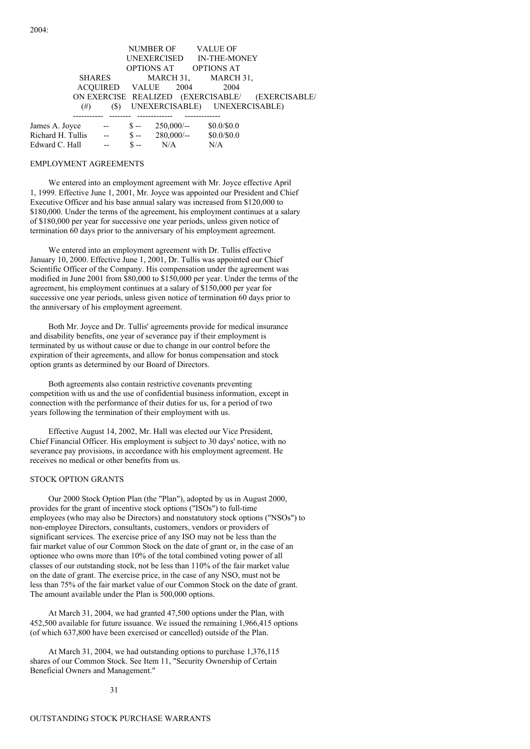|                   |               |                         | NUMBER OF                       |  | <b>VALUE OF</b>                                  |  |  |
|-------------------|---------------|-------------------------|---------------------------------|--|--------------------------------------------------|--|--|
|                   |               |                         |                                 |  | UNEXERCISED IN-THE-MONEY                         |  |  |
|                   |               |                         |                                 |  | OPTIONS AT OPTIONS AT                            |  |  |
|                   | <b>SHARES</b> |                         |                                 |  | MARCH 31, MARCH 31,                              |  |  |
|                   |               | ACOUIRED VALUE 2004     |                                 |  | 2004                                             |  |  |
|                   |               |                         |                                 |  | ON EXERCISE REALIZED (EXERCISABLE/ (EXERCISABLE/ |  |  |
|                   | (#)           | (S)                     |                                 |  | UNEXERCISABLE) UNEXERCISABLE)                    |  |  |
|                   |               |                         |                                 |  |                                                  |  |  |
| James A. Joyce -- |               |                         | $\text{\$ -- \quad 250.000/--}$ |  | $$0.0/\$0.0$                                     |  |  |
| Richard H. Tullis |               | $-$ \$ $-$ 280,000/ $-$ |                                 |  | $$0.0/\$0.0$                                     |  |  |

### EMPLOYMENT AGREEMENTS

Edward C. Hall  $\beta N/A$   $N/A$ 

We entered into an employment agreement with Mr. Joyce effective April 1, 1999. Effective June 1, 2001, Mr. Joyce was appointed our President and Chief Executive Officer and his base annual salary was increased from \$120,000 to \$180,000. Under the terms of the agreement, his employment continues at a salary of \$180,000 per year for successive one year periods, unless given notice of termination 60 days prior to the anniversary of his employment agreement.

We entered into an employment agreement with Dr. Tullis effective January 10, 2000. Effective June 1, 2001, Dr. Tullis was appointed our Chief Scientific Officer of the Company. His compensation under the agreement was modified in June 2001 from \$80,000 to \$150,000 per year. Under the terms of the agreement, his employment continues at a salary of \$150,000 per year for successive one year periods, unless given notice of termination 60 days prior to the anniversary of his employment agreement.

Both Mr. Joyce and Dr. Tullis' agreements provide for medical insurance and disability benefits, one year of severance pay if their employment is terminated by us without cause or due to change in our control before the expiration of their agreements, and allow for bonus compensation and stock option grants as determined by our Board of Directors.

Both agreements also contain restrictive covenants preventing competition with us and the use of confidential business information, except in connection with the performance of their duties for us, for a period of two years following the termination of their employment with us.

Effective August 14, 2002, Mr. Hall was elected our Vice President, Chief Financial Officer. His employment is subject to 30 days' notice, with no severance pay provisions, in accordance with his employment agreement. He receives no medical or other benefits from us.

### STOCK OPTION GRANTS

Our 2000 Stock Option Plan (the "Plan"), adopted by us in August 2000, provides for the grant of incentive stock options ("ISOs") to full-time employees (who may also be Directors) and nonstatutory stock options ("NSOs") to non-employee Directors, consultants, customers, vendors or providers of significant services. The exercise price of any ISO may not be less than the fair market value of our Common Stock on the date of grant or, in the case of an optionee who owns more than 10% of the total combined voting power of all classes of our outstanding stock, not be less than 110% of the fair market value on the date of grant. The exercise price, in the case of any NSO, must not be less than 75% of the fair market value of our Common Stock on the date of grant. The amount available under the Plan is 500,000 options.

At March 31, 2004, we had granted 47,500 options under the Plan, with 452,500 available for future issuance. We issued the remaining 1,966,415 options (of which 637,800 have been exercised or cancelled) outside of the Plan.

At March 31, 2004, we had outstanding options to purchase 1,376,115 shares of our Common Stock. See Item 11, "Security Ownership of Certain Beneficial Owners and Management."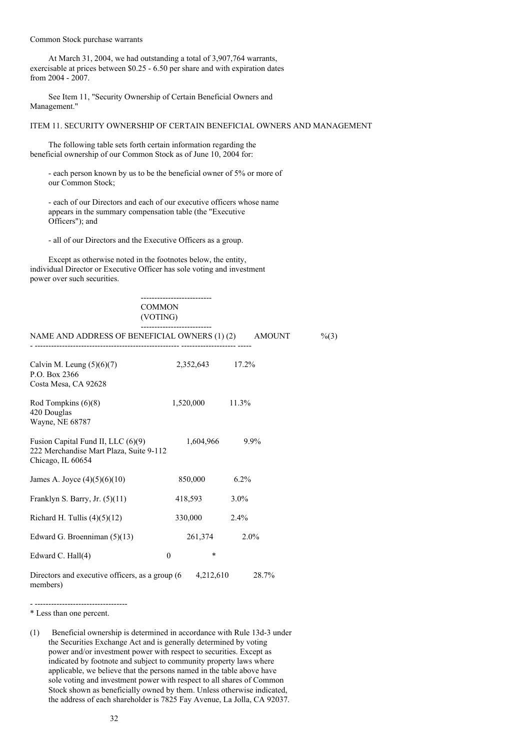#### Common Stock purchase warrants

At March 31, 2004, we had outstanding a total of 3,907,764 warrants, exercisable at prices between \$0.25 - 6.50 per share and with expiration dates from 2004 - 2007.

See Item 11, "Security Ownership of Certain Beneficial Owners and Management."

# ITEM 11. SECURITY OWNERSHIP OF CERTAIN BENEFICIAL OWNERS AND MANAGEMENT

The following table sets forth certain information regarding the beneficial ownership of our Common Stock as of June 10, 2004 for:

- each person known by us to be the beneficial owner of 5% or more of our Common Stock;

- each of our Directors and each of our executive officers whose name appears in the summary compensation table (the "Executive Officers"); and

- all of our Directors and the Executive Officers as a group.

Except as otherwise noted in the footnotes below, the entity, individual Director or Executive Officer has sole voting and investment power over such securities.

# **COMMON** (VOTING)

--------------------------

| NAME AND ADDRESS OF BENEFICIAL OWNERS (1) (2) AMOUNT                                               |                 |         | $\frac{9}{6}$ (3) |
|----------------------------------------------------------------------------------------------------|-----------------|---------|-------------------|
| Calvin M. Leung $(5)(6)(7)$<br>P.O. Box 2366<br>Costa Mesa, CA 92628                               | 2,352,643 17.2% |         |                   |
| Rod Tompkins $(6)(8)$<br>420 Douglas<br>Wayne, NE 68787                                            | 1,520,000 11.3% |         |                   |
| Fusion Capital Fund II, LLC (6)(9)<br>222 Merchandise Mart Plaza, Suite 9-112<br>Chicago, IL 60654 | 1,604,966       | $9.9\%$ |                   |
| James A. Joyce $(4)(5)(6)(10)$                                                                     | 850,000         | $6.2\%$ |                   |
| Franklyn S. Barry, Jr. $(5)(11)$                                                                   | 418,593         | $3.0\%$ |                   |
| Richard H. Tullis $(4)(5)(12)$                                                                     | 330,000         | $2.4\%$ |                   |
| Edward G. Broenniman $(5)(13)$                                                                     | 261,374         | $2.0\%$ |                   |
| Edward C. Hall(4)<br>$\theta$                                                                      | *               |         |                   |
| Directors and executive officers, as a group (6<br>members)                                        | 4,212,610       | 28.7%   |                   |

- ------------------------------------\* Less than one percent.

(1) Beneficial ownership is determined in accordance with Rule 13d-3 under the Securities Exchange Act and is generally determined by voting power and/or investment power with respect to securities. Except as indicated by footnote and subject to community property laws where applicable, we believe that the persons named in the table above have sole voting and investment power with respect to all shares of Common Stock shown as beneficially owned by them. Unless otherwise indicated, the address of each shareholder is 7825 Fay Avenue, La Jolla, CA 92037.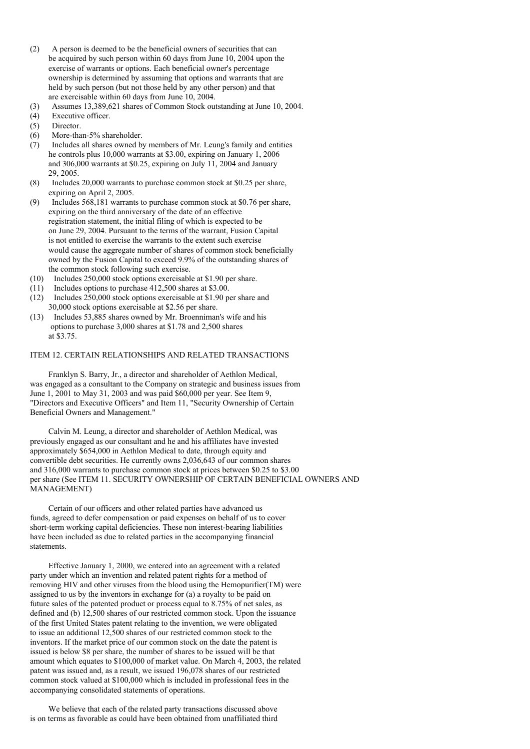- (2) A person is deemed to be the beneficial owners of securities that can be acquired by such person within 60 days from June 10, 2004 upon the exercise of warrants or options. Each beneficial owner's percentage ownership is determined by assuming that options and warrants that are held by such person (but not those held by any other person) and that are exercisable within 60 days from June 10, 2004.
- (3) Assumes 13,389,621 shares of Common Stock outstanding at June 10, 2004.
- (4) Executive officer.
- (5) Director.
- (6) More-than-5% shareholder.
- (7) Includes all shares owned by members of Mr. Leung's family and entities he controls plus 10,000 warrants at \$3.00, expiring on January 1, 2006 and 306,000 warrants at \$0.25, expiring on July 11, 2004 and January 29, 2005.
- (8) Includes 20,000 warrants to purchase common stock at \$0.25 per share, expiring on April 2, 2005.
- (9) Includes 568,181 warrants to purchase common stock at \$0.76 per share, expiring on the third anniversary of the date of an effective registration statement, the initial filing of which is expected to be on June 29, 2004. Pursuant to the terms of the warrant, Fusion Capital is not entitled to exercise the warrants to the extent such exercise would cause the aggregate number of shares of common stock beneficially owned by the Fusion Capital to exceed 9.9% of the outstanding shares of the common stock following such exercise.
- (10) Includes 250,000 stock options exercisable at \$1.90 per share.
- (11) Includes options to purchase 412,500 shares at \$3.00.
- (12) Includes 250,000 stock options exercisable at \$1.90 per share and 30,000 stock options exercisable at \$2.56 per share.
- (13) Includes 53,885 shares owned by Mr. Broenniman's wife and his options to purchase 3,000 shares at \$1.78 and 2,500 shares at \$3.75.

# ITEM 12. CERTAIN RELATIONSHIPS AND RELATED TRANSACTIONS

Franklyn S. Barry, Jr., a director and shareholder of Aethlon Medical, was engaged as a consultant to the Company on strategic and business issues from June 1, 2001 to May 31, 2003 and was paid \$60,000 per year. See Item 9, "Directors and Executive Officers" and Item 11, "Security Ownership of Certain Beneficial Owners and Management."

Calvin M. Leung, a director and shareholder of Aethlon Medical, was previously engaged as our consultant and he and his affiliates have invested approximately \$654,000 in Aethlon Medical to date, through equity and convertible debt securities. He currently owns 2,036,643 of our common shares and 316,000 warrants to purchase common stock at prices between \$0.25 to \$3.00 per share (See ITEM 11. SECURITY OWNERSHIP OF CERTAIN BENEFICIAL OWNERS AND MANAGEMENT)

Certain of our officers and other related parties have advanced us funds, agreed to defer compensation or paid expenses on behalf of us to cover short-term working capital deficiencies. These non interest-bearing liabilities have been included as due to related parties in the accompanying financial statements.

Effective January 1, 2000, we entered into an agreement with a related party under which an invention and related patent rights for a method of removing HIV and other viruses from the blood using the Hemopurifier(TM) were assigned to us by the inventors in exchange for (a) a royalty to be paid on future sales of the patented product or process equal to 8.75% of net sales, as defined and (b) 12,500 shares of our restricted common stock. Upon the issuance of the first United States patent relating to the invention, we were obligated to issue an additional 12,500 shares of our restricted common stock to the inventors. If the market price of our common stock on the date the patent is issued is below \$8 per share, the number of shares to be issued will be that amount which equates to \$100,000 of market value. On March 4, 2003, the related patent was issued and, as a result, we issued 196,078 shares of our restricted common stock valued at \$100,000 which is included in professional fees in the accompanying consolidated statements of operations.

We believe that each of the related party transactions discussed above is on terms as favorable as could have been obtained from unaffiliated third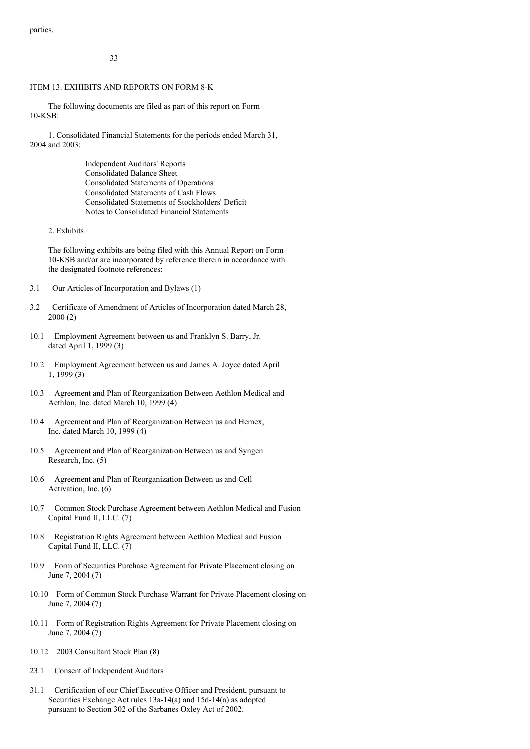parties.

### 33

### ITEM 13. EXHIBITS AND REPORTS ON FORM 8-K

The following documents are filed as part of this report on Form 10-KSB:

1. Consolidated Financial Statements for the periods ended March 31, 2004 and 2003:

> Independent Auditors' Reports Consolidated Balance Sheet Consolidated Statements of Operations Consolidated Statements of Cash Flows Consolidated Statements of Stockholders' Deficit Notes to Consolidated Financial Statements

2. Exhibits

The following exhibits are being filed with this Annual Report on Form 10-KSB and/or are incorporated by reference therein in accordance with the designated footnote references:

- 3.1 Our Articles of Incorporation and Bylaws (1)
- 3.2 Certificate of Amendment of Articles of Incorporation dated March 28, 2000 (2)
- 10.1 Employment Agreement between us and Franklyn S. Barry, Jr. dated April 1, 1999 (3)
- 10.2 Employment Agreement between us and James A. Joyce dated April 1, 1999 (3)
- 10.3 Agreement and Plan of Reorganization Between Aethlon Medical and Aethlon, Inc. dated March 10, 1999 (4)
- 10.4 Agreement and Plan of Reorganization Between us and Hemex, Inc. dated March 10, 1999 (4)
- 10.5 Agreement and Plan of Reorganization Between us and Syngen Research, Inc. (5)
- 10.6 Agreement and Plan of Reorganization Between us and Cell Activation, Inc. (6)
- 10.7 Common Stock Purchase Agreement between Aethlon Medical and Fusion Capital Fund II, LLC. (7)
- 10.8 Registration Rights Agreement between Aethlon Medical and Fusion Capital Fund II, LLC. (7)
- 10.9 Form of Securities Purchase Agreement for Private Placement closing on June 7, 2004 (7)
- 10.10 Form of Common Stock Purchase Warrant for Private Placement closing on June 7, 2004 (7)
- 10.11 Form of Registration Rights Agreement for Private Placement closing on June 7, 2004 (7)
- 10.12 2003 Consultant Stock Plan (8)
- 23.1 Consent of Independent Auditors
- 31.1 Certification of our Chief Executive Officer and President, pursuant to Securities Exchange Act rules 13a-14(a) and 15d-14(a) as adopted pursuant to Section 302 of the Sarbanes Oxley Act of 2002.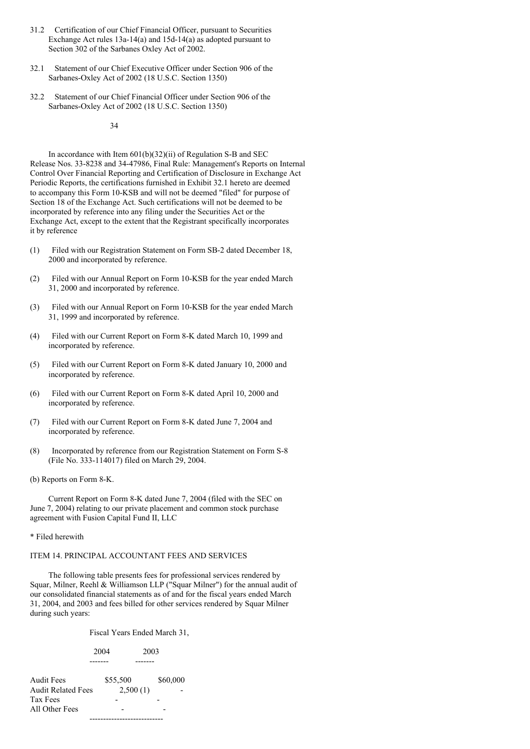- 31.2 Certification of our Chief Financial Officer, pursuant to Securities Exchange Act rules 13a-14(a) and 15d-14(a) as adopted pursuant to Section 302 of the Sarbanes Oxley Act of 2002.
- 32.1 Statement of our Chief Executive Officer under Section 906 of the Sarbanes-Oxley Act of 2002 (18 U.S.C. Section 1350)
- 32.2 Statement of our Chief Financial Officer under Section 906 of the Sarbanes-Oxley Act of 2002 (18 U.S.C. Section 1350)

34

In accordance with Item 601(b)(32)(ii) of Regulation S-B and SEC Release Nos. 33-8238 and 34-47986, Final Rule: Management's Reports on Internal Control Over Financial Reporting and Certification of Disclosure in Exchange Act Periodic Reports, the certifications furnished in Exhibit 32.1 hereto are deemed to accompany this Form 10-KSB and will not be deemed "filed" for purpose of Section 18 of the Exchange Act. Such certifications will not be deemed to be incorporated by reference into any filing under the Securities Act or the Exchange Act, except to the extent that the Registrant specifically incorporates it by reference

- (1) Filed with our Registration Statement on Form SB-2 dated December 18, 2000 and incorporated by reference.
- (2) Filed with our Annual Report on Form 10-KSB for the year ended March 31, 2000 and incorporated by reference.
- (3) Filed with our Annual Report on Form 10-KSB for the year ended March 31, 1999 and incorporated by reference.
- (4) Filed with our Current Report on Form 8-K dated March 10, 1999 and incorporated by reference.
- (5) Filed with our Current Report on Form 8-K dated January 10, 2000 and incorporated by reference.
- (6) Filed with our Current Report on Form 8-K dated April 10, 2000 and incorporated by reference.
- (7) Filed with our Current Report on Form 8-K dated June 7, 2004 and incorporated by reference.
- (8) Incorporated by reference from our Registration Statement on Form S-8 (File No. 333-114017) filed on March 29, 2004.
- (b) Reports on Form 8-K.

Current Report on Form 8-K dated June 7, 2004 (filed with the SEC on June 7, 2004) relating to our private placement and common stock purchase agreement with Fusion Capital Fund II, LLC

\* Filed herewith

## ITEM 14. PRINCIPAL ACCOUNTANT FEES AND SERVICES

The following table presents fees for professional services rendered by Squar, Milner, Reehl & Williamson LLP ("Squar Milner") for the annual audit of our consolidated financial statements as of and for the fiscal years ended March 31, 2004, and 2003 and fees billed for other services rendered by Squar Milner during such years:

Fiscal Years Ended March 31,

|                                                | 2004     | 2003                 |  |
|------------------------------------------------|----------|----------------------|--|
|                                                |          |                      |  |
| <b>Audit Fees</b><br><b>Audit Related Fees</b> | \$55,500 | \$60,000<br>2,500(1) |  |
| Tax Fees<br>All Other Fees                     |          |                      |  |
|                                                |          |                      |  |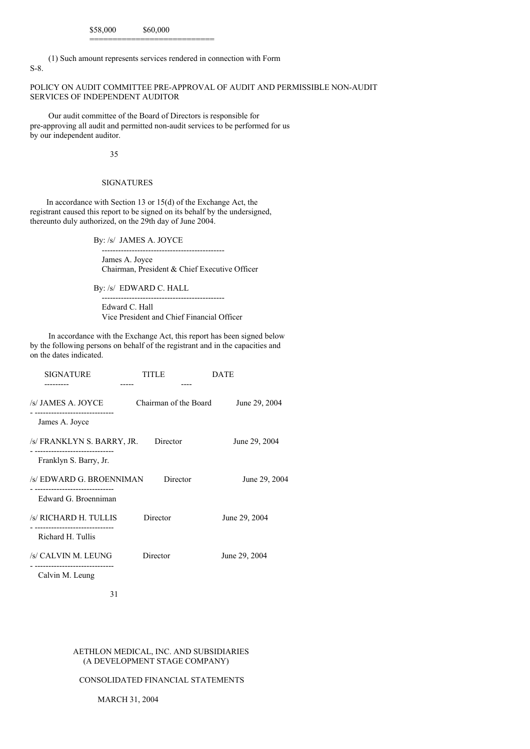(1) Such amount represents services rendered in connection with Form S-8.

===========================

# POLICY ON AUDIT COMMITTEE PRE-APPROVAL OF AUDIT AND PERMISSIBLE NON-AUDIT SERVICES OF INDEPENDENT AUDITOR

Our audit committee of the Board of Directors is responsible for pre-approving all audit and permitted non-audit services to be performed for us by our independent auditor.

35

# SIGNATURES

In accordance with Section 13 or 15(d) of the Exchange Act, the registrant caused this report to be signed on its behalf by the undersigned, thereunto duly authorized, on the 29th day of June 2004.

By: /s/ JAMES A. JOYCE

James A. Joyce Chairman, President & Chief Executive Officer

---------------------------------------------

By: /s/ EDWARD C. HALL

Edward C. Hall Vice President and Chief Financial Officer

---------------------------------------------

In accordance with the Exchange Act, this report has been signed below by the following persons on behalf of the registrant and in the capacities and on the dates indicated.

| <b>SIGNATURE</b>                               | <b>TITLE</b>          | <b>DATE</b>   |  |
|------------------------------------------------|-----------------------|---------------|--|
|                                                |                       |               |  |
| /s/ JAMES A. JOYCE                             | Chairman of the Board | June 29, 2004 |  |
| ----------------------------<br>James A. Joyce |                       |               |  |
| /s/ FRANKLYN S. BARRY, JR.                     | Director              | June 29, 2004 |  |
| Franklyn S. Barry, Jr.                         |                       |               |  |
| /s/ EDWARD G. BROENNIMAN                       | Director              | June 29, 2004 |  |
| Edward G. Broenniman                           |                       |               |  |
| /s/ RICHARD H. TULLIS                          | Director              | June 29, 2004 |  |
| Richard H. Tullis                              |                       |               |  |
| /s/ CALVIN M. LEUNG                            | Director              | June 29, 2004 |  |
| Calvin M. Leung                                |                       |               |  |

31

#### AETHLON MEDICAL, INC. AND SUBSIDIARIES (A DEVELOPMENT STAGE COMPANY)

# CONSOLIDATED FINANCIAL STATEMENTS

MARCH 31, 2004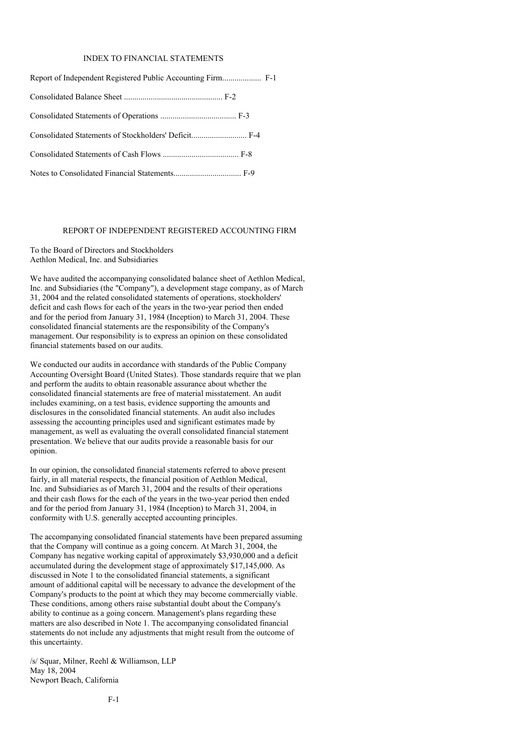# INDEX TO FINANCIAL STATEMENTS

| Consolidated Statements of Stockholders' Deficit F-4 |  |
|------------------------------------------------------|--|
|                                                      |  |
|                                                      |  |

# REPORT OF INDEPENDENT REGISTERED ACCOUNTING FIRM

To the Board of Directors and Stockholders Aethlon Medical, Inc. and Subsidiaries

We have audited the accompanying consolidated balance sheet of Aethlon Medical, Inc. and Subsidiaries (the "Company"), a development stage company, as of March 31, 2004 and the related consolidated statements of operations, stockholders' deficit and cash flows for each of the years in the two-year period then ended and for the period from January 31, 1984 (Inception) to March 31, 2004. These consolidated financial statements are the responsibility of the Company's management. Our responsibility is to express an opinion on these consolidated financial statements based on our audits.

We conducted our audits in accordance with standards of the Public Company Accounting Oversight Board (United States). Those standards require that we plan and perform the audits to obtain reasonable assurance about whether the consolidated financial statements are free of material misstatement. An audit includes examining, on a test basis, evidence supporting the amounts and disclosures in the consolidated financial statements. An audit also includes assessing the accounting principles used and significant estimates made by management, as well as evaluating the overall consolidated financial statement presentation. We believe that our audits provide a reasonable basis for our opinion.

In our opinion, the consolidated financial statements referred to above present fairly, in all material respects, the financial position of Aethlon Medical, Inc. and Subsidiaries as of March 31, 2004 and the results of their operations and their cash flows for the each of the years in the two-year period then ended and for the period from January 31, 1984 (Inception) to March 31, 2004, in conformity with U.S. generally accepted accounting principles.

The accompanying consolidated financial statements have been prepared assuming that the Company will continue as a going concern. At March 31, 2004, the Company has negative working capital of approximately \$3,930,000 and a deficit accumulated during the development stage of approximately \$17,145,000. As discussed in Note 1 to the consolidated financial statements, a significant amount of additional capital will be necessary to advance the development of the Company's products to the point at which they may become commercially viable. These conditions, among others raise substantial doubt about the Company's ability to continue as a going concern. Management's plans regarding these matters are also described in Note 1. The accompanying consolidated financial statements do not include any adjustments that might result from the outcome of this uncertainty.

/s/ Squar, Milner, Reehl & Williamson, LLP May 18, 2004 Newport Beach, California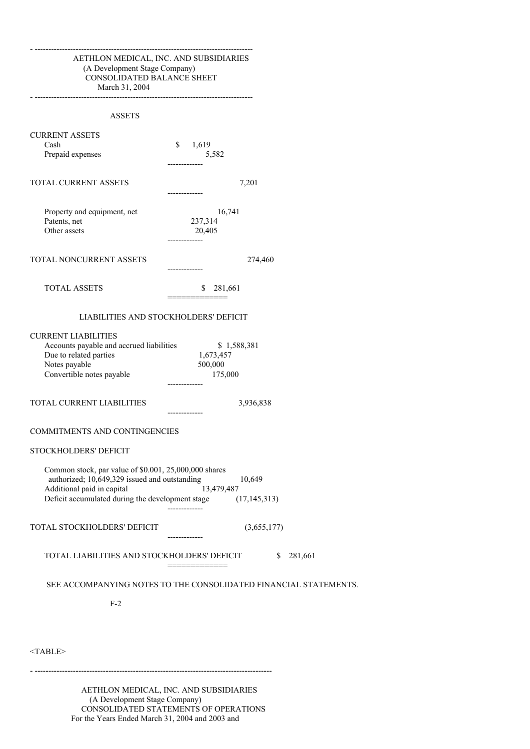#### - -------------------------------------------------------------------------------- AETHLON MEDICAL, INC. AND SUBSIDIARIES (A Development Stage Company) CONSOLIDATED BALANCE SHEET March 31, 2004 - --------------------------------------------------------------------------------

# ASSETS

| <b>CURRENT ASSETS</b><br>Cash<br>Prepaid expenses                                                                                                                                                     | \$1,619<br>5,582<br>-----------                                  |
|-------------------------------------------------------------------------------------------------------------------------------------------------------------------------------------------------------|------------------------------------------------------------------|
| <b>TOTAL CURRENT ASSETS</b>                                                                                                                                                                           | 7,201                                                            |
| Property and equipment, net<br>Patents, net<br>Other assets                                                                                                                                           | 16,741<br>237,314<br>20,405<br>------------                      |
| TOTAL NONCURRENT ASSETS                                                                                                                                                                               | 274,460                                                          |
| <b>TOTAL ASSETS</b>                                                                                                                                                                                   | \$ 281,661<br>=============                                      |
| LIABILITIES AND STOCKHOLDERS' DEFICIT                                                                                                                                                                 |                                                                  |
| <b>CURRENT LIABILITIES</b><br>Accounts payable and accrued liabilities<br>Due to related parties<br>Notes payable<br>Convertible notes payable                                                        | \$1,588,381<br>1,673,457<br>500,000<br>175,000<br>-------------  |
| TOTAL CURRENT LIABILITIES                                                                                                                                                                             | 3,936,838<br>-------------                                       |
| <b>COMMITMENTS AND CONTINGENCIES</b>                                                                                                                                                                  |                                                                  |
| STOCKHOLDERS' DEFICIT                                                                                                                                                                                 |                                                                  |
| Common stock, par value of \$0.001, 25,000,000 shares<br>authorized; 10,649,329 issued and outstanding<br>Additional paid in capital<br>Deficit accumulated during the development stage (17,145,313) | 10,649<br>13,479,487<br>-------------                            |
| TOTAL STOCKHOLDERS' DEFICIT                                                                                                                                                                           | (3,655,177)                                                      |
| TOTAL LIABILITIES AND STOCKHOLDERS' DEFICIT                                                                                                                                                           | \$<br>281,661                                                    |
|                                                                                                                                                                                                       | SEE ACCOMPANYING NOTES TO THE CONSOLIDATED FINANCIAL STATEMENTS. |
| $F-2$                                                                                                                                                                                                 |                                                                  |
|                                                                                                                                                                                                       |                                                                  |
| $<$ TABLE>                                                                                                                                                                                            |                                                                  |

- ---------------------------------------------------------------------------------------

AETHLON MEDICAL, INC. AND SUBSIDIARIES (A Development Stage Company) CONSOLIDATED STATEMENTS OF OPERATIONS For the Years Ended March 31, 2004 and 2003 and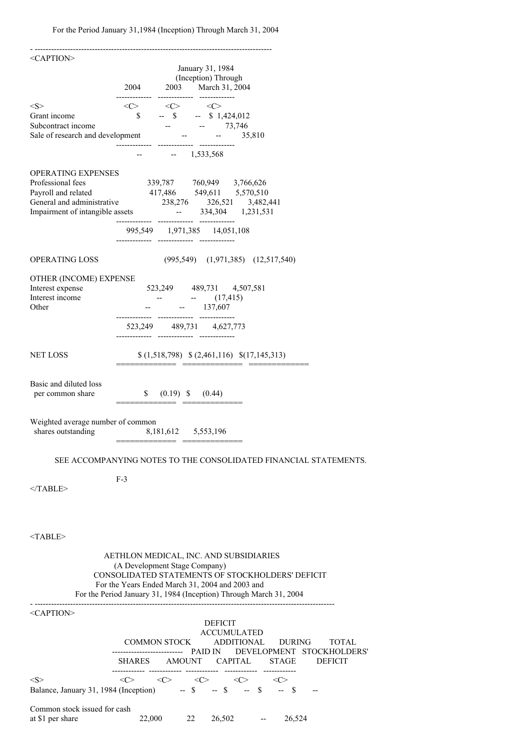| <caption></caption>                                     |                                                                                                                                                                                                                                                      |
|---------------------------------------------------------|------------------------------------------------------------------------------------------------------------------------------------------------------------------------------------------------------------------------------------------------------|
|                                                         | January 31, 1984                                                                                                                                                                                                                                     |
|                                                         | (Inception) Through<br>2004 2003 March 31, 2004                                                                                                                                                                                                      |
|                                                         |                                                                                                                                                                                                                                                      |
| $<\!\!S\!\!>$                                           | $\text{<} C \text{>} \qquad \text{<} C \text{>} \qquad \text{<} C \text{>}$                                                                                                                                                                          |
|                                                         | Grant income<br>Subcontract income<br>Subcontract income<br>Subcontract income<br>Subcontract income<br>Subcontract income<br>Subcontract income<br>Subcontract income<br>Subcontract income<br>Subcontract income<br>Subcontract income<br>Subcontr |
|                                                         | Sale of research and development -- 35,810                                                                                                                                                                                                           |
|                                                         | $  1,533,568$                                                                                                                                                                                                                                        |
|                                                         |                                                                                                                                                                                                                                                      |
| <b>OPERATING EXPENSES</b>                               |                                                                                                                                                                                                                                                      |
|                                                         |                                                                                                                                                                                                                                                      |
|                                                         | Professional fees<br>Professional fees<br>Payroll and related<br>$417,486$<br>$549,611$<br>$5,570,510$<br>General and administrative<br>$238,276$<br>$326,521$<br>$3,482,441$<br>Impairment of intangible assets<br>$-334,304$<br>$1,231,531$        |
|                                                         |                                                                                                                                                                                                                                                      |
|                                                         | 995,549 1,971,385 14,051,108<br>---- ------------ ------------                                                                                                                                                                                       |
| <b>OPERATING LOSS</b>                                   | $(995,549)$ $(1,971,385)$ $(12,517,540)$                                                                                                                                                                                                             |
| OTHER (INCOME) EXPENSE                                  |                                                                                                                                                                                                                                                      |
| Interest expense                                        | 523,249 489,731 4,507,581                                                                                                                                                                                                                            |
| Interest income<br>Other                                | $-  (17,415)$<br>$- 137,607$                                                                                                                                                                                                                         |
|                                                         |                                                                                                                                                                                                                                                      |
|                                                         | 523,249 489,731 4,627,773                                                                                                                                                                                                                            |
|                                                         |                                                                                                                                                                                                                                                      |
| <b>NET LOSS</b>                                         | $(1,518,798)$ $(2,461,116)$ $(17,145,313)$                                                                                                                                                                                                           |
|                                                         |                                                                                                                                                                                                                                                      |
| Basic and diluted loss                                  |                                                                                                                                                                                                                                                      |
| per common share                                        | $(0.19)$ \$ $(0.44)$                                                                                                                                                                                                                                 |
|                                                         |                                                                                                                                                                                                                                                      |
| Weighted average number of common<br>shares outstanding | 8,181,612 5,553,196                                                                                                                                                                                                                                  |
|                                                         | ------------- -------------                                                                                                                                                                                                                          |
|                                                         | SEE ACCOMPANYING NOTES TO THE CONSOLIDATED FINANCIAL STATEMENTS.                                                                                                                                                                                     |
|                                                         |                                                                                                                                                                                                                                                      |
|                                                         | $F-3$                                                                                                                                                                                                                                                |
| $<$ TABLE>                                              |                                                                                                                                                                                                                                                      |
|                                                         |                                                                                                                                                                                                                                                      |
|                                                         |                                                                                                                                                                                                                                                      |
| <table></table>                                         |                                                                                                                                                                                                                                                      |
|                                                         |                                                                                                                                                                                                                                                      |
|                                                         | AETHLON MEDICAL, INC. AND SUBSIDIARIES<br>(A Development Stage Company)                                                                                                                                                                              |
|                                                         | CONSOLIDATED STATEMENTS OF STOCKHOLDERS' DEFICIT                                                                                                                                                                                                     |
|                                                         | For the Years Ended March 31, 2004 and 2003 and<br>For the Period January 31, 1984 (Inception) Through March 31, 2004                                                                                                                                |
|                                                         |                                                                                                                                                                                                                                                      |
| <caption></caption>                                     |                                                                                                                                                                                                                                                      |
|                                                         | <b>DEFICIT</b><br><b>ACCUMULATED</b>                                                                                                                                                                                                                 |
|                                                         | ADDITIONAL<br>COMMON STOCK<br>DURING<br><b>TOTAL</b>                                                                                                                                                                                                 |
|                                                         | SHARES AMOUNT CAPITAL<br><b>STAGE</b><br><b>DEFICIT</b>                                                                                                                                                                                              |
|                                                         | ------------ ------------                                                                                                                                                                                                                            |
| $<\!\!S\!\!>$                                           | $\begin{array}{ccccccccc} \text{\ensuremath{\langle C \rangle}} & & \text{\ensuremath{\langle C \rangle}} & & \text{\ensuremath{\langle C \rangle}} & & \text{\ensuremath{\langle C \rangle}} & & \text{\ensuremath{\langle C \rangle}} \end{array}$ |
|                                                         | Balance, January 31, 1984 (Inception) -- \$ -- \$ -- \$<br>$-$ S                                                                                                                                                                                     |
| Common stock issued for cash                            |                                                                                                                                                                                                                                                      |
| at \$1 per share                                        | 22,000<br>22<br>26,502<br>26,524<br>and the state of the                                                                                                                                                                                             |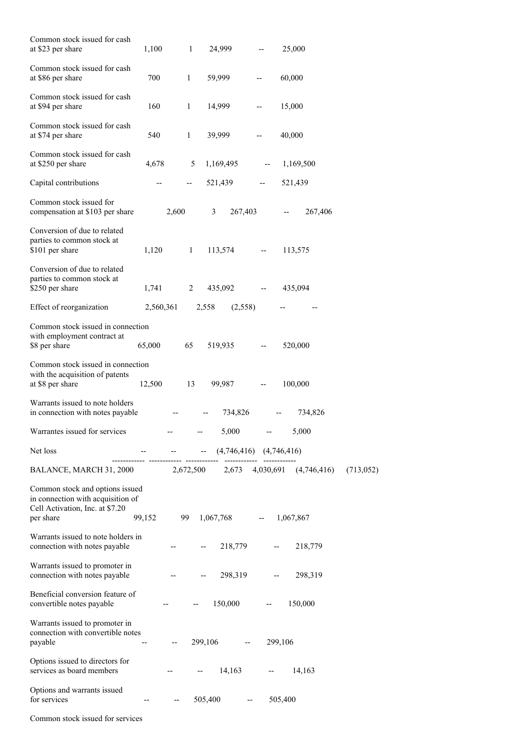| Common stock issued for cash<br>at \$23 per share                                                                    | 1,100     | $\mathbf{1}$ | 24,999                                        |                                                     | 25,000                                |            |
|----------------------------------------------------------------------------------------------------------------------|-----------|--------------|-----------------------------------------------|-----------------------------------------------------|---------------------------------------|------------|
| Common stock issued for cash<br>at \$86 per share                                                                    | 700       | $\mathbf{1}$ | 59,999                                        |                                                     | 60,000                                |            |
| Common stock issued for cash<br>at \$94 per share                                                                    | 160       | $\mathbf{1}$ | 14,999                                        | --                                                  | 15,000                                |            |
| Common stock issued for cash<br>at \$74 per share                                                                    | 540       | $\mathbf{1}$ | 39,999                                        |                                                     | 40,000                                |            |
| Common stock issued for cash<br>at \$250 per share                                                                   | 4,678     | 5            | 1,169,495                                     |                                                     | 1,169,500                             |            |
| Capital contributions                                                                                                |           |              | 521,439                                       |                                                     | 521,439                               |            |
| Common stock issued for<br>compensation at \$103 per share                                                           |           | 2,600        | 267,403<br>3 <sup>7</sup>                     |                                                     | 267,406                               |            |
| Conversion of due to related<br>parties to common stock at<br>\$101 per share                                        | 1,120     | $\mathbf{1}$ | 113,574                                       |                                                     | 113,575                               |            |
| Conversion of due to related<br>parties to common stock at<br>\$250 per share                                        | 1,741     | 2            | 435,092                                       |                                                     | 435,094                               |            |
| Effect of reorganization                                                                                             | 2,560,361 |              | (2,558)<br>2,558                              |                                                     |                                       |            |
| Common stock issued in connection<br>with employment contract at<br>\$8 per share                                    | 65,000    | 65           | 519,935                                       |                                                     | 520,000                               |            |
| Common stock issued in connection<br>with the acquisition of patents<br>at \$8 per share                             | 12,500    | 13           | 99,987                                        | --                                                  | 100,000                               |            |
| Warrants issued to note holders<br>in connection with notes payable                                                  |           |              | 734,826                                       |                                                     | 734,826                               |            |
| Warrantes issued for services                                                                                        |           |              | 5,000                                         | $\overline{\phantom{m}}$                            | 5,000                                 |            |
| Net loss                                                                                                             |           |              | $  (4,746,416)$ $(4,746,416)$                 |                                                     |                                       |            |
| BALANCE, MARCH 31, 2000                                                                                              |           |              |                                               |                                                     | 2,672,500 2,673 4,030,691 (4,746,416) | (713, 052) |
| Common stock and options issued<br>in connection with acquisition of<br>Cell Activation, Inc. at \$7.20<br>per share | 99,152    | 99           | $1,067,768$ --                                |                                                     | 1,067,867                             |            |
| Warrants issued to note holders in<br>connection with notes payable                                                  |           |              | 218,779<br>$\hspace{0.05cm} \ldots$           |                                                     | 218,779                               |            |
| Warrants issued to promoter in<br>connection with notes payable                                                      |           |              | 298,319                                       | $\overline{\phantom{a}}$                            | 298,319                               |            |
| Beneficial conversion feature of<br>convertible notes payable                                                        |           |              | 150,000                                       | $\hspace{0.05cm} -\hspace{0.05cm} -\hspace{0.05cm}$ | 150,000                               |            |
| Warrants issued to promoter in<br>connection with convertible notes<br>payable                                       |           |              | $299,106$ --                                  |                                                     | 299,106                               |            |
| Options issued to directors for<br>services as board members                                                         |           |              | 14,163<br>$\hspace{0.05cm}$ $\hspace{0.05cm}$ | $\hspace{0.05cm} \ldots$                            | 14,163                                |            |
| Options and warrants issued<br>for services                                                                          |           | --           | 505,400                                       | $\sim$                                              | 505,400                               |            |

Common stock issued for services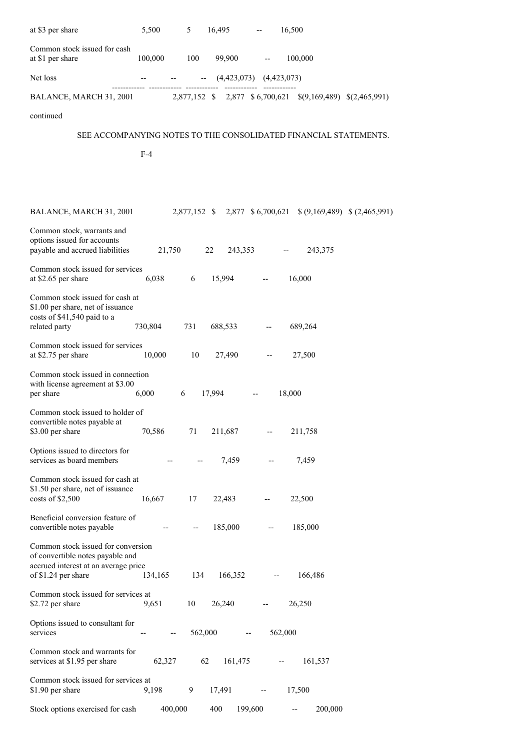| at \$3 per share                                                                                                                      | 5,500   | 5                        | 16,495<br>$- -$                                               | 16,500                                                           |
|---------------------------------------------------------------------------------------------------------------------------------------|---------|--------------------------|---------------------------------------------------------------|------------------------------------------------------------------|
| Common stock issued for cash<br>at \$1 per share                                                                                      | 100,000 | 100                      | 99,900<br>$\hspace{0.05cm} -\hspace{0.05cm} -\hspace{0.05cm}$ | 100,000                                                          |
| Net loss                                                                                                                              |         | $\hspace{0.05cm} \dashv$ | (4,423,073)<br>(4,423,073)                                    |                                                                  |
| BALANCE, MARCH 31, 2001                                                                                                               |         |                          |                                                               | 2,877,152 \$ 2,877 \$6,700,621 \$(9,169,489) \$(2,465,991)       |
| continued                                                                                                                             |         |                          |                                                               |                                                                  |
|                                                                                                                                       |         |                          |                                                               | SEE ACCOMPANYING NOTES TO THE CONSOLIDATED FINANCIAL STATEMENTS. |
|                                                                                                                                       | $F-4$   |                          |                                                               |                                                                  |
|                                                                                                                                       |         |                          |                                                               |                                                                  |
|                                                                                                                                       |         |                          |                                                               |                                                                  |
| BALANCE, MARCH 31, 2001                                                                                                               |         |                          |                                                               | 2,877,152 \$ 2,877 \$6,700,621 \$(9,169,489) \$(2,465,991)       |
| Common stock, warrants and<br>options issued for accounts<br>payable and accrued liabilities                                          | 21,750  |                          | 22<br>243,353                                                 | 243,375<br>$\overline{\phantom{a}}$                              |
| Common stock issued for services<br>at \$2.65 per share                                                                               | 6,038   | 6                        | 15,994                                                        | 16,000                                                           |
| Common stock issued for cash at<br>\$1.00 per share, net of issuance<br>costs of \$41,540 paid to a<br>related party                  | 730,804 | 731                      | 688,533<br>$\overline{\phantom{m}}$                           | 689,264                                                          |
| Common stock issued for services<br>at \$2.75 per share                                                                               | 10,000  | 10                       | 27,490<br>--                                                  | 27,500                                                           |
| Common stock issued in connection<br>with license agreement at \$3.00<br>per share                                                    | 6,000   | 6                        | 17,994<br>$-\hbox{--}$                                        | 18,000                                                           |
| Common stock issued to holder of<br>convertible notes payable at<br>\$3.00 per share                                                  | 70,586  | 71                       | 211,687                                                       | 211,758                                                          |
| Options issued to directors for<br>services as board members                                                                          |         |                          | 7,459                                                         | 7,459                                                            |
| Common stock issued for cash at<br>\$1.50 per share, net of issuance<br>$costs$ of \$2,500                                            | 16,667  | 17                       | 22,483                                                        | 22,500                                                           |
| Beneficial conversion feature of<br>convertible notes payable                                                                         |         | $\overline{\phantom{m}}$ | 185,000<br>$\overline{\phantom{a}}$                           | 185,000                                                          |
| Common stock issued for conversion<br>of convertible notes payable and<br>accrued interest at an average price<br>of \$1.24 per share | 134,165 | 134                      | 166,352<br>$\overline{\phantom{m}}$                           | 166,486                                                          |
| Common stock issued for services at<br>\$2.72 per share                                                                               | 9,651   | 10                       | 26,240                                                        | 26,250                                                           |
| Options issued to consultant for<br>services                                                                                          | --      | 562,000                  | --                                                            | 562,000                                                          |
| Common stock and warrants for<br>services at \$1.95 per share                                                                         | 62,327  | 62                       | 161,475<br>--                                                 | 161,537                                                          |
| Common stock issued for services at<br>\$1.90 per share                                                                               | 9,198   | 9                        | 17,491                                                        | 17,500                                                           |
| Stock options exercised for cash                                                                                                      | 400,000 |                          | 400<br>199,600                                                | 200,000<br>$\qquad \qquad -$                                     |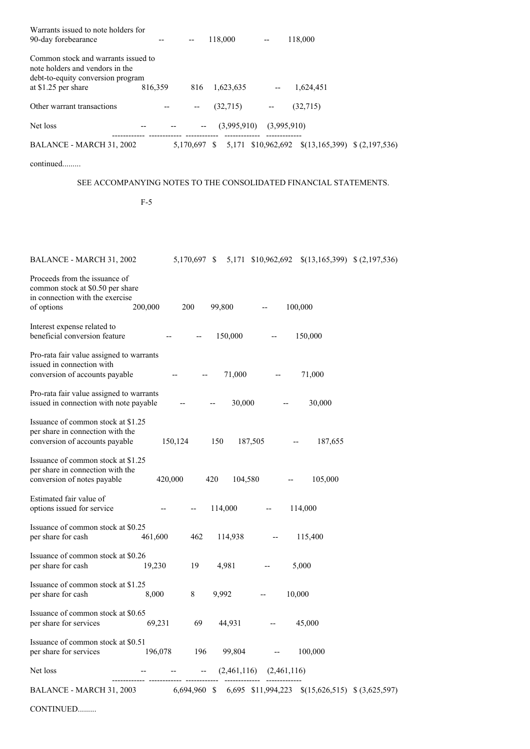| Warrants issued to note holders for<br>90-day forebearance                                                  |         | $-$               | 118,000     |                          | 118,000                                         |  |
|-------------------------------------------------------------------------------------------------------------|---------|-------------------|-------------|--------------------------|-------------------------------------------------|--|
| Common stock and warrants issued to<br>note holders and vendors in the<br>debt-to-equity conversion program |         |                   |             |                          |                                                 |  |
| at $$1.25$ per share                                                                                        | 816,359 | 816               | 1,623,635   | $\overline{\phantom{m}}$ | 1,624,451                                       |  |
| Other warrant transactions                                                                                  |         | --                | (32,715)    | $\overline{\phantom{m}}$ | (32,715)                                        |  |
| Net loss                                                                                                    |         | $\qquad \qquad -$ | (3,995,910) | (3,995,910)              |                                                 |  |
| BALANCE - MARCH 31, 2002                                                                                    |         | 5.170.697         | S.          |                          | 5,171 \$10,962,692 \$(13,165,399) \$(2,197,536) |  |

continued.........

# SEE ACCOMPANYING NOTES TO THE CONSOLIDATED FINANCIAL STATEMENTS.

F-5

| BALANCE - MARCH 31, 2002                                                                                           |         | 5,170,697 \$ |             |                          | 5,171 \$10,962,692 \$(13,165,399) \$(2,197,536)               |  |
|--------------------------------------------------------------------------------------------------------------------|---------|--------------|-------------|--------------------------|---------------------------------------------------------------|--|
| Proceeds from the issuance of<br>common stock at \$0.50 per share<br>in connection with the exercise<br>of options | 200,000 | 200          | 99,800      | $\overline{\phantom{a}}$ | 100,000                                                       |  |
| Interest expense related to<br>beneficial conversion feature                                                       |         |              | 150,000     |                          | 150,000                                                       |  |
| Pro-rata fair value assigned to warrants<br>issued in connection with<br>conversion of accounts payable            |         |              | 71,000      |                          | 71,000                                                        |  |
| Pro-rata fair value assigned to warrants<br>issued in connection with note payable                                 |         |              | 30,000      |                          | 30,000                                                        |  |
| Issuance of common stock at \$1.25<br>per share in connection with the<br>conversion of accounts payable           | 150,124 | 150          | 187,505     |                          | 187,655                                                       |  |
| Issuance of common stock at \$1.25<br>per share in connection with the<br>conversion of notes payable              | 420,000 | 420          | 104,580     |                          | 105,000                                                       |  |
| Estimated fair value of<br>options issued for service                                                              |         |              | 114,000     |                          | 114,000                                                       |  |
| Issuance of common stock at \$0.25<br>per share for cash                                                           | 461,600 | 462          | 114,938     |                          | 115,400                                                       |  |
| Issuance of common stock at \$0.26<br>per share for cash                                                           | 19,230  | 19           | 4,981       |                          | 5,000                                                         |  |
| Issuance of common stock at \$1.25<br>per share for cash                                                           | 8,000   | 8            | 9,992       | 10,000                   |                                                               |  |
| Issuance of common stock at \$0.65<br>per share for services                                                       | 69,231  | 69           | 44,931      |                          | 45,000                                                        |  |
| Issuance of common stock at \$0.51<br>per share for services                                                       | 196,078 | 196          | 99,804      | $-\!$                    | 100,000                                                       |  |
| Net loss                                                                                                           |         |              | (2,461,116) | (2,461,116)              |                                                               |  |
| BALANCE - MARCH 31, 2003                                                                                           |         |              |             |                          | 6,694,960 \$ 6,695 \$11,994,223 \$(15,626,515) \$ (3,625,597) |  |

CONTINUED.........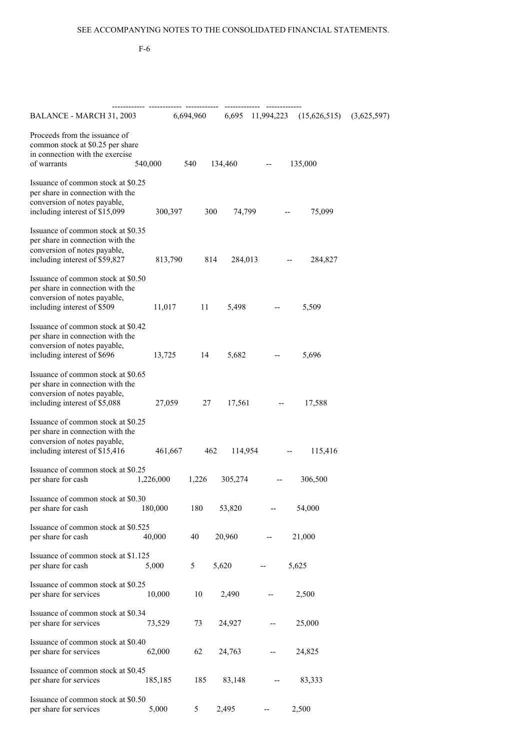# F-6

| BALANCE - MARCH 31, 2003 6,694,960 6,695 11,994,223 (15,626,515) (3,625,597)                                                             |           |             |             |                          |         |  |
|------------------------------------------------------------------------------------------------------------------------------------------|-----------|-------------|-------------|--------------------------|---------|--|
| Proceeds from the issuance of<br>common stock at \$0.25 per share<br>in connection with the exercise<br>of warrants                      | 540,000   | 540 134,460 |             | $\sim$ 100 $-$ 100 $-$   | 135,000 |  |
| Issuance of common stock at \$0.25<br>per share in connection with the<br>conversion of notes payable,<br>including interest of \$15,099 | 300,397   | 300         | 74,799      |                          | 75,099  |  |
|                                                                                                                                          |           |             |             |                          |         |  |
| Issuance of common stock at \$0.35<br>per share in connection with the<br>conversion of notes payable,<br>including interest of \$59,827 | 813,790   | 814         | 284,013     |                          | 284,827 |  |
| Issuance of common stock at \$0.50<br>per share in connection with the<br>conversion of notes payable,<br>including interest of \$509    | 11,017    | 11          | 5,498       |                          | 5,509   |  |
| Issuance of common stock at \$0.42<br>per share in connection with the<br>conversion of notes payable,<br>including interest of \$696    | 13,725    | 14          | 5,682       |                          | 5,696   |  |
| Issuance of common stock at \$0.65<br>per share in connection with the<br>conversion of notes payable,                                   |           |             |             |                          |         |  |
| including interest of \$5,088                                                                                                            | 27,059    | 27          |             | $17,561$ -- $17,588$     |         |  |
| Issuance of common stock at \$0.25<br>per share in connection with the<br>conversion of notes payable,<br>including interest of \$15,416 | 461,667   |             | 462 114,954 | $\overline{\phantom{a}}$ | 115,416 |  |
| Issuance of common stock at \$0.25<br>per share for cash                                                                                 | 1,226,000 | 1,226       | 305,274     | $- -$                    | 306,500 |  |
| Issuance of common stock at \$0.30<br>per share for cash                                                                                 | 180,000   | 180         | 53,820      |                          | 54,000  |  |
| Issuance of common stock at \$0.525<br>per share for cash                                                                                | 40,000    | 40          | 20,960      |                          | 21,000  |  |
| Issuance of common stock at \$1.125<br>per share for cash                                                                                | 5,000     | 5           | 5,620       |                          | 5,625   |  |
| Issuance of common stock at \$0.25<br>per share for services                                                                             | 10,000    | 10          | 2,490       |                          | 2,500   |  |
| Issuance of common stock at \$0.34<br>per share for services                                                                             | 73,529    | 73          | 24,927      |                          | 25,000  |  |
| Issuance of common stock at \$0.40<br>per share for services                                                                             | 62,000    | 62          | 24,763      |                          | 24,825  |  |
| Issuance of common stock at \$0.45<br>per share for services                                                                             | 185,185   | 185         | 83,148      |                          | 83,333  |  |
| Issuance of common stock at \$0.50<br>per share for services                                                                             | 5,000     | 5           | 2,495       |                          | 2,500   |  |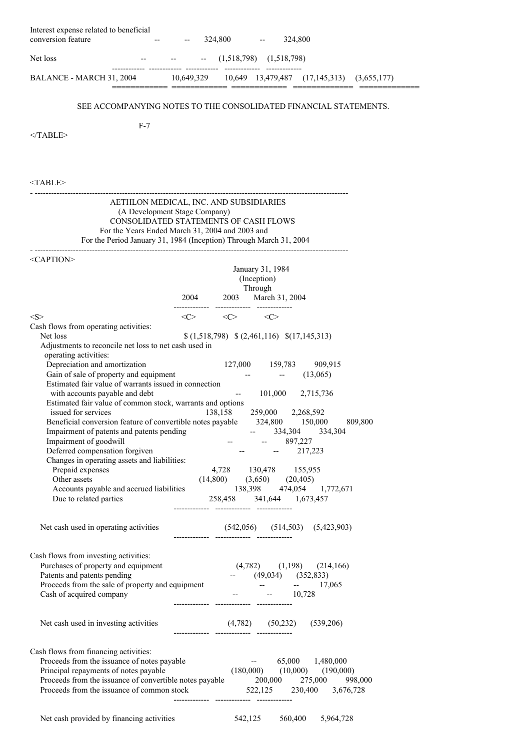| Interest expense related to beneficial<br>conversion feature                                                                                                                                                                                                                                                                                                                                                                                                                                                                                                                                                 | $324,800$ --<br>324,800                                                                                                                                                                                                                                                                                                                                                                                                                                        |
|--------------------------------------------------------------------------------------------------------------------------------------------------------------------------------------------------------------------------------------------------------------------------------------------------------------------------------------------------------------------------------------------------------------------------------------------------------------------------------------------------------------------------------------------------------------------------------------------------------------|----------------------------------------------------------------------------------------------------------------------------------------------------------------------------------------------------------------------------------------------------------------------------------------------------------------------------------------------------------------------------------------------------------------------------------------------------------------|
| Net loss                                                                                                                                                                                                                                                                                                                                                                                                                                                                                                                                                                                                     | $-$ (1,518,798) (1,518,798)                                                                                                                                                                                                                                                                                                                                                                                                                                    |
|                                                                                                                                                                                                                                                                                                                                                                                                                                                                                                                                                                                                              | BALANCE - MARCH 31, 2004 10,649,329 10,649 13,479,487 (17,145,313) (3,655,177)                                                                                                                                                                                                                                                                                                                                                                                 |
|                                                                                                                                                                                                                                                                                                                                                                                                                                                                                                                                                                                                              | SEE ACCOMPANYING NOTES TO THE CONSOLIDATED FINANCIAL STATEMENTS.                                                                                                                                                                                                                                                                                                                                                                                               |
| $F-7$<br>$<$ TABLE>                                                                                                                                                                                                                                                                                                                                                                                                                                                                                                                                                                                          |                                                                                                                                                                                                                                                                                                                                                                                                                                                                |
| $<$ TABLE>                                                                                                                                                                                                                                                                                                                                                                                                                                                                                                                                                                                                   |                                                                                                                                                                                                                                                                                                                                                                                                                                                                |
|                                                                                                                                                                                                                                                                                                                                                                                                                                                                                                                                                                                                              | AETHLON MEDICAL, INC. AND SUBSIDIARIES<br>(A Development Stage Company)<br><b>CONSOLIDATED STATEMENTS OF CASH FLOWS</b><br>For the Years Ended March 31, 2004 and 2003 and<br>For the Period January 31, 1984 (Inception) Through March 31, 2004                                                                                                                                                                                                               |
| $<$ CAPTION $>$                                                                                                                                                                                                                                                                                                                                                                                                                                                                                                                                                                                              | January 31, 1984                                                                                                                                                                                                                                                                                                                                                                                                                                               |
|                                                                                                                                                                                                                                                                                                                                                                                                                                                                                                                                                                                                              | (Inception)                                                                                                                                                                                                                                                                                                                                                                                                                                                    |
|                                                                                                                                                                                                                                                                                                                                                                                                                                                                                                                                                                                                              | Through<br>2004 2003 March 31, 2004                                                                                                                                                                                                                                                                                                                                                                                                                            |
| $<\leq>$                                                                                                                                                                                                                                                                                                                                                                                                                                                                                                                                                                                                     | $\langle C \rangle$ $\langle C \rangle$ $\langle C \rangle$                                                                                                                                                                                                                                                                                                                                                                                                    |
| Cash flows from operating activities:<br>Net loss                                                                                                                                                                                                                                                                                                                                                                                                                                                                                                                                                            |                                                                                                                                                                                                                                                                                                                                                                                                                                                                |
| Adjustments to reconcile net loss to net cash used in<br>operating activities:<br>Depreciation and amortization<br>Gain of sale of property and equipment<br>Estimated fair value of warrants issued in connection<br>with accounts payable and debt<br>Estimated fair value of common stock, warrants and options<br>issued for services<br>Impairment of patents and patents pending<br>Impairment of goodwill<br>Deferred compensation forgiven<br>Changes in operating assets and liabilities:<br>Prepaid expenses<br>Other assets<br>Accounts payable and accrued liabilities<br>Due to related parties | $(1,518,798)$ $(2,461,116)$ $(17,145,313)$<br>127,000 159,783 909,915<br>$-$ (13,065)<br>101,000<br>2,715,736<br>138,158<br>259,000<br>2,268,592<br>Beneficial conversion feature of convertible notes payable 324,800 150,000 809,800<br>$-334,304$ $334,304$<br>$-534,304$<br>-- $-897,227$<br>$ -$ 217,223<br>4,728 130,478 155,955<br>$(14,800)$ $(3,650)$ $(20,405)$<br>ued liabilities<br>258,458 138,398 474,054 1,772,671<br>258,458 341,644 1,673,457 |
|                                                                                                                                                                                                                                                                                                                                                                                                                                                                                                                                                                                                              |                                                                                                                                                                                                                                                                                                                                                                                                                                                                |
| Cash flows from investing activities:<br>Purchases of property and equipment<br>Patents and patents pending<br>Proceeds from the sale of property and equipment<br>Cash of acquired company                                                                                                                                                                                                                                                                                                                                                                                                                  | $(4,782)$ $(1,198)$ $(214,166)$<br>- $(49,034)$ $(352,833)$<br>- $(1,198)$ $(214,166)$<br>- $(352,833)$<br>$   17,065$<br>-- $10,728$                                                                                                                                                                                                                                                                                                                          |
|                                                                                                                                                                                                                                                                                                                                                                                                                                                                                                                                                                                                              | Net cash used in investing activities (4,782) (50,232) (539,206)                                                                                                                                                                                                                                                                                                                                                                                               |
| Cash flows from financing activities:<br>Proceeds from the issuance of common stock                                                                                                                                                                                                                                                                                                                                                                                                                                                                                                                          | Proceeds from the issuance of notes payable<br>Principal repayments of notes payable<br>(180,000) (190,000) (190,000)<br>Proceeds from the issuance of convertible notes payable $200,000$ $275,000$ $998,000$<br>$522,125$ $230,400$ $3,676,728$                                                                                                                                                                                                              |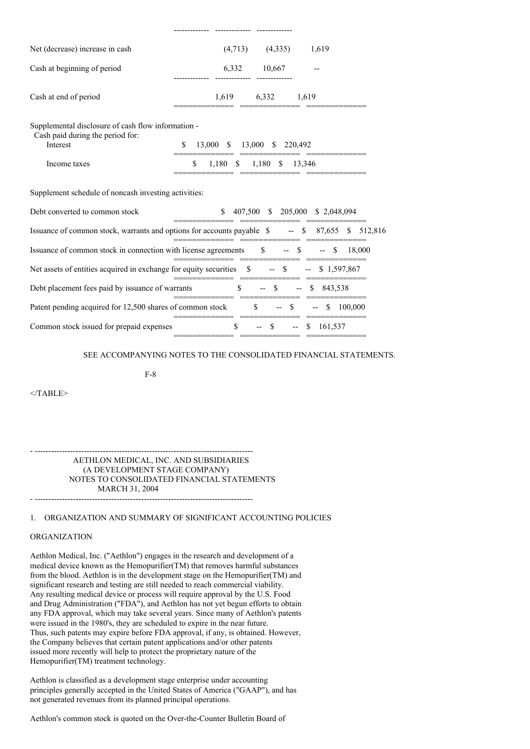| Net (decrease) increase in cash                                                                    |              |                      | $(4,713)$ $(4,335)$            | 1,619                                    |                  |
|----------------------------------------------------------------------------------------------------|--------------|----------------------|--------------------------------|------------------------------------------|------------------|
| Cash at beginning of period                                                                        |              | 6,332                | 10,667                         |                                          |                  |
| Cash at end of period                                                                              |              |                      | $1,619$ $6,332$                | 1,619                                    |                  |
| Supplemental disclosure of cash flow information -<br>Cash paid during the period for:<br>Interest | \$           | $13,000 \text{ }$ \$ | 13,000 \$ 220,492              |                                          |                  |
| Income taxes                                                                                       | $\mathbf{s}$ |                      | 1,180 \$ 1,180 \$ 13,346       |                                          |                  |
| Supplement schedule of noncash investing activities:                                               |              |                      |                                |                                          |                  |
| Debt converted to common stock                                                                     |              | $\mathbb{S}$         |                                | 407,500 \$ 205,000 \$ 2,048,094          |                  |
| Issuance of common stock, warrants and options for accounts payable \$ -- \$ 87,655 \$ 512,816     |              |                      |                                |                                          |                  |
| Issuance of common stock in connection with license agreements                                     |              |                      | $\mathbb{S}$                   | $-$ \$<br>$- S$                          | 18,000           |
| Net assets of entities acquired in exchange for equity securities \$                               |              |                      | $-$ \$                         |                                          | $-$ \$ 1,597,867 |
| Debt placement fees paid by issuance of warrants                                                   |              | $\mathbb{S}$         | $- S$                          | \$843,538<br>$--$                        |                  |
| Patent pending acquired for 12,500 shares of common stock                                          |              |                      | $\mathbb{S}$<br>$\overline{a}$ | \$.                                      | $-$ \$ 100,000   |
| Common stock issued for prepaid expenses                                                           |              | <sup>\$</sup>        | \$                             | $\mathbb{S}$<br>$\overline{\phantom{a}}$ | 161,537          |

## SEE ACCOMPANYING NOTES TO THE CONSOLIDATED FINANCIAL STATEMENTS.

F-8

- --------------------------------------------------------------------------------

 $<$ /TABLE>

- -------------------------------------------------------------------------------- AETHLON MEDICAL, INC. AND SUBSIDIARIES (A DEVELOPMENT STAGE COMPANY) NOTES TO CONSOLIDATED FINANCIAL STATEMENTS MARCH 31, 2004

### 1. ORGANIZATION AND SUMMARY OF SIGNIFICANT ACCOUNTING POLICIES

#### ORGANIZATION

Aethlon Medical, Inc. ("Aethlon") engages in the research and development of a medical device known as the Hemopurifier(TM) that removes harmful substances from the blood. Aethlon is in the development stage on the Hemopurifier(TM) and significant research and testing are still needed to reach commercial viability. Any resulting medical device or process will require approval by the U.S. Food and Drug Administration ("FDA"), and Aethlon has not yet begun efforts to obtain any FDA approval, which may take several years. Since many of Aethlon's patents were issued in the 1980's, they are scheduled to expire in the near future. Thus, such patents may expire before FDA approval, if any, is obtained. However, the Company believes that certain patent applications and/or other patents issued more recently will help to protect the proprietary nature of the Hemopurifier(TM) treatment technology.

Aethlon is classified as a development stage enterprise under accounting principles generally accepted in the United States of America ("GAAP"), and has not generated revenues from its planned principal operations.

Aethlon's common stock is quoted on the Over-the-Counter Bulletin Board of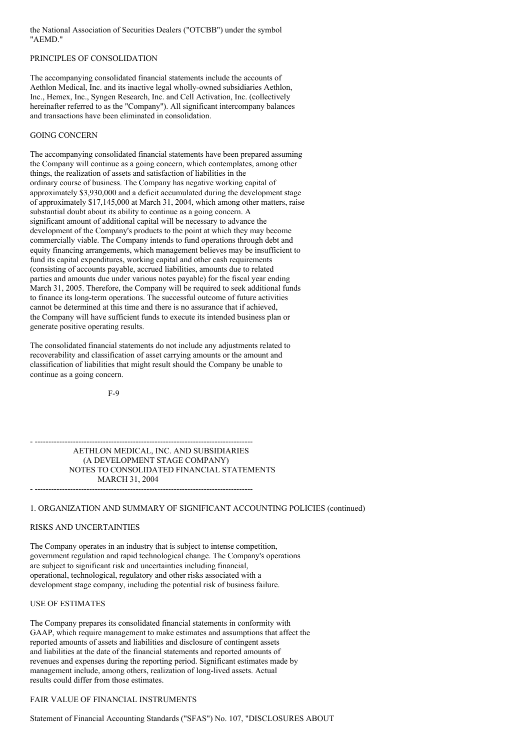the National Association of Securities Dealers ("OTCBB") under the symbol "AEMD."

# PRINCIPLES OF CONSOLIDATION

The accompanying consolidated financial statements include the accounts of Aethlon Medical, Inc. and its inactive legal wholly-owned subsidiaries Aethlon, Inc., Hemex, Inc., Syngen Research, Inc. and Cell Activation, Inc. (collectively hereinafter referred to as the "Company"). All significant intercompany balances and transactions have been eliminated in consolidation.

#### GOING CONCERN

The accompanying consolidated financial statements have been prepared assuming the Company will continue as a going concern, which contemplates, among other things, the realization of assets and satisfaction of liabilities in the ordinary course of business. The Company has negative working capital of approximately \$3,930,000 and a deficit accumulated during the development stage of approximately \$17,145,000 at March 31, 2004, which among other matters, raise substantial doubt about its ability to continue as a going concern. A significant amount of additional capital will be necessary to advance the development of the Company's products to the point at which they may become commercially viable. The Company intends to fund operations through debt and equity financing arrangements, which management believes may be insufficient to fund its capital expenditures, working capital and other cash requirements (consisting of accounts payable, accrued liabilities, amounts due to related parties and amounts due under various notes payable) for the fiscal year ending March 31, 2005. Therefore, the Company will be required to seek additional funds to finance its long-term operations. The successful outcome of future activities cannot be determined at this time and there is no assurance that if achieved, the Company will have sufficient funds to execute its intended business plan or generate positive operating results.

The consolidated financial statements do not include any adjustments related to recoverability and classification of asset carrying amounts or the amount and classification of liabilities that might result should the Company be unable to continue as a going concern.

F-9

- -------------------------------------------------------------------------------- AETHLON MEDICAL, INC. AND SUBSIDIARIES (A DEVELOPMENT STAGE COMPANY) NOTES TO CONSOLIDATED FINANCIAL STATEMENTS MARCH 31, 2004 - --------------------------------------------------------------------------------

# 1. ORGANIZATION AND SUMMARY OF SIGNIFICANT ACCOUNTING POLICIES (continued)

#### RISKS AND UNCERTAINTIES

The Company operates in an industry that is subject to intense competition, government regulation and rapid technological change. The Company's operations are subject to significant risk and uncertainties including financial, operational, technological, regulatory and other risks associated with a development stage company, including the potential risk of business failure.

### USE OF ESTIMATES

The Company prepares its consolidated financial statements in conformity with GAAP, which require management to make estimates and assumptions that affect the reported amounts of assets and liabilities and disclosure of contingent assets and liabilities at the date of the financial statements and reported amounts of revenues and expenses during the reporting period. Significant estimates made by management include, among others, realization of long-lived assets. Actual results could differ from those estimates.

# FAIR VALUE OF FINANCIAL INSTRUMENTS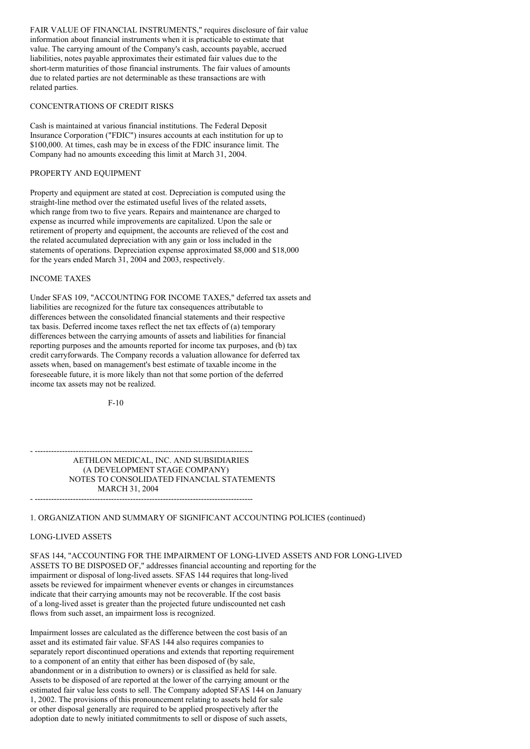FAIR VALUE OF FINANCIAL INSTRUMENTS," requires disclosure of fair value information about financial instruments when it is practicable to estimate that value. The carrying amount of the Company's cash, accounts payable, accrued liabilities, notes payable approximates their estimated fair values due to the short-term maturities of those financial instruments. The fair values of amounts due to related parties are not determinable as these transactions are with related parties.

### CONCENTRATIONS OF CREDIT RISKS

Cash is maintained at various financial institutions. The Federal Deposit Insurance Corporation ("FDIC") insures accounts at each institution for up to \$100,000. At times, cash may be in excess of the FDIC insurance limit. The Company had no amounts exceeding this limit at March 31, 2004.

# PROPERTY AND EQUIPMENT

Property and equipment are stated at cost. Depreciation is computed using the straight-line method over the estimated useful lives of the related assets, which range from two to five years. Repairs and maintenance are charged to expense as incurred while improvements are capitalized. Upon the sale or retirement of property and equipment, the accounts are relieved of the cost and the related accumulated depreciation with any gain or loss included in the statements of operations. Depreciation expense approximated \$8,000 and \$18,000 for the years ended March 31, 2004 and 2003, respectively.

# INCOME TAXES

Under SFAS 109, "ACCOUNTING FOR INCOME TAXES," deferred tax assets and liabilities are recognized for the future tax consequences attributable to differences between the consolidated financial statements and their respective tax basis. Deferred income taxes reflect the net tax effects of (a) temporary differences between the carrying amounts of assets and liabilities for financial reporting purposes and the amounts reported for income tax purposes, and (b) tax credit carryforwards. The Company records a valuation allowance for deferred tax assets when, based on management's best estimate of taxable income in the foreseeable future, it is more likely than not that some portion of the deferred income tax assets may not be realized.

F-10

- -------------------------------------------------------------------------------- AETHLON MEDICAL, INC. AND SUBSIDIARIES (A DEVELOPMENT STAGE COMPANY) NOTES TO CONSOLIDATED FINANCIAL STATEMENTS MARCH 31, 2004

- --------------------------------------------------------------------------------

## 1. ORGANIZATION AND SUMMARY OF SIGNIFICANT ACCOUNTING POLICIES (continued)

## LONG-LIVED ASSETS

SFAS 144, "ACCOUNTING FOR THE IMPAIRMENT OF LONG-LIVED ASSETS AND FOR LONG-LIVED ASSETS TO BE DISPOSED OF," addresses financial accounting and reporting for the impairment or disposal of long-lived assets. SFAS 144 requires that long-lived assets be reviewed for impairment whenever events or changes in circumstances indicate that their carrying amounts may not be recoverable. If the cost basis of a long-lived asset is greater than the projected future undiscounted net cash flows from such asset, an impairment loss is recognized.

Impairment losses are calculated as the difference between the cost basis of an asset and its estimated fair value. SFAS 144 also requires companies to separately report discontinued operations and extends that reporting requirement to a component of an entity that either has been disposed of (by sale, abandonment or in a distribution to owners) or is classified as held for sale. Assets to be disposed of are reported at the lower of the carrying amount or the estimated fair value less costs to sell. The Company adopted SFAS 144 on January 1, 2002. The provisions of this pronouncement relating to assets held for sale or other disposal generally are required to be applied prospectively after the adoption date to newly initiated commitments to sell or dispose of such assets,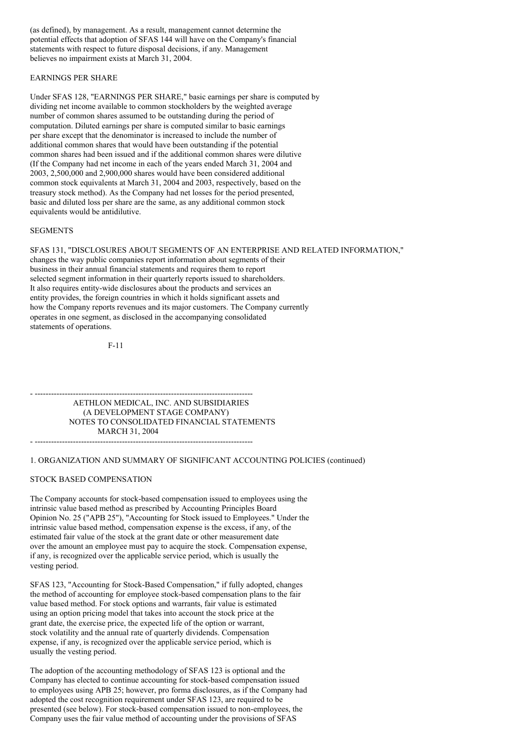(as defined), by management. As a result, management cannot determine the potential effects that adoption of SFAS 144 will have on the Company's financial statements with respect to future disposal decisions, if any. Management believes no impairment exists at March 31, 2004.

# EARNINGS PER SHARE

Under SFAS 128, "EARNINGS PER SHARE," basic earnings per share is computed by dividing net income available to common stockholders by the weighted average number of common shares assumed to be outstanding during the period of computation. Diluted earnings per share is computed similar to basic earnings per share except that the denominator is increased to include the number of additional common shares that would have been outstanding if the potential common shares had been issued and if the additional common shares were dilutive (If the Company had net income in each of the years ended March 31, 2004 and 2003, 2,500,000 and 2,900,000 shares would have been considered additional common stock equivalents at March 31, 2004 and 2003, respectively, based on the treasury stock method). As the Company had net losses for the period presented, basic and diluted loss per share are the same, as any additional common stock equivalents would be antidilutive.

### **SEGMENTS**

SFAS 131, "DISCLOSURES ABOUT SEGMENTS OF AN ENTERPRISE AND RELATED INFORMATION," changes the way public companies report information about segments of their business in their annual financial statements and requires them to report selected segment information in their quarterly reports issued to shareholders. It also requires entity-wide disclosures about the products and services an entity provides, the foreign countries in which it holds significant assets and how the Company reports revenues and its major customers. The Company currently operates in one segment, as disclosed in the accompanying consolidated statements of operations.

F-11

- -------------------------------------------------------------------------------- AETHLON MEDICAL, INC. AND SUBSIDIARIES (A DEVELOPMENT STAGE COMPANY) NOTES TO CONSOLIDATED FINANCIAL STATEMENTS MARCH 31, 2004

- --------------------------------------------------------------------------------

1. ORGANIZATION AND SUMMARY OF SIGNIFICANT ACCOUNTING POLICIES (continued)

# STOCK BASED COMPENSATION

The Company accounts for stock-based compensation issued to employees using the intrinsic value based method as prescribed by Accounting Principles Board Opinion No. 25 ("APB 25"), "Accounting for Stock issued to Employees." Under the intrinsic value based method, compensation expense is the excess, if any, of the estimated fair value of the stock at the grant date or other measurement date over the amount an employee must pay to acquire the stock. Compensation expense, if any, is recognized over the applicable service period, which is usually the vesting period.

SFAS 123, "Accounting for Stock-Based Compensation," if fully adopted, changes the method of accounting for employee stock-based compensation plans to the fair value based method. For stock options and warrants, fair value is estimated using an option pricing model that takes into account the stock price at the grant date, the exercise price, the expected life of the option or warrant, stock volatility and the annual rate of quarterly dividends. Compensation expense, if any, is recognized over the applicable service period, which is usually the vesting period.

The adoption of the accounting methodology of SFAS 123 is optional and the Company has elected to continue accounting for stock-based compensation issued to employees using APB 25; however, pro forma disclosures, as if the Company had adopted the cost recognition requirement under SFAS 123, are required to be presented (see below). For stock-based compensation issued to non-employees, the Company uses the fair value method of accounting under the provisions of SFAS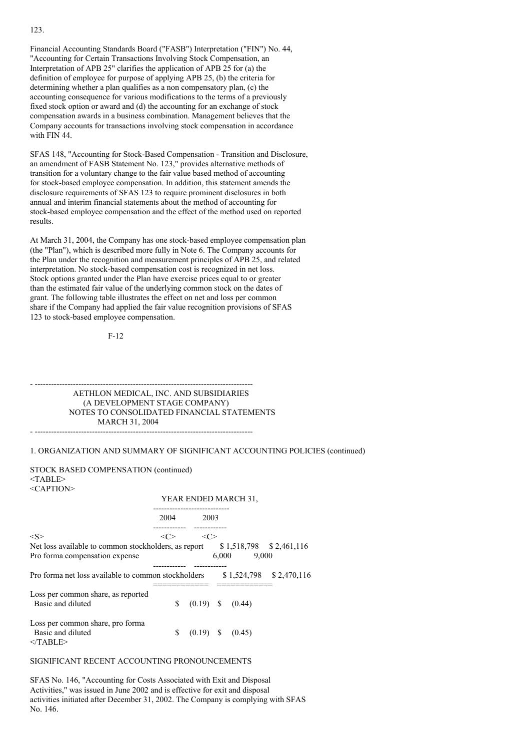Financial Accounting Standards Board ("FASB") Interpretation ("FIN") No. 44, "Accounting for Certain Transactions Involving Stock Compensation, an Interpretation of APB 25" clarifies the application of APB 25 for (a) the definition of employee for purpose of applying APB 25, (b) the criteria for determining whether a plan qualifies as a non compensatory plan, (c) the accounting consequence for various modifications to the terms of a previously fixed stock option or award and (d) the accounting for an exchange of stock compensation awards in a business combination. Management believes that the Company accounts for transactions involving stock compensation in accordance with FIN 44.

SFAS 148, "Accounting for Stock-Based Compensation - Transition and Disclosure, an amendment of FASB Statement No. 123," provides alternative methods of transition for a voluntary change to the fair value based method of accounting for stock-based employee compensation. In addition, this statement amends the disclosure requirements of SFAS 123 to require prominent disclosures in both annual and interim financial statements about the method of accounting for stock-based employee compensation and the effect of the method used on reported results.

At March 31, 2004, the Company has one stock-based employee compensation plan (the "Plan"), which is described more fully in Note 6. The Company accounts for the Plan under the recognition and measurement principles of APB 25, and related interpretation. No stock-based compensation cost is recognized in net loss. Stock options granted under the Plan have exercise prices equal to or greater than the estimated fair value of the underlying common stock on the dates of grant. The following table illustrates the effect on net and loss per common share if the Company had applied the fair value recognition provisions of SFAS 123 to stock-based employee compensation.

F-12

- -------------------------------------------------------------------------------- AETHLON MEDICAL, INC. AND SUBSIDIARIES (A DEVELOPMENT STAGE COMPANY) NOTES TO CONSOLIDATED FINANCIAL STATEMENTS MARCH 31, 2004 - --------------------------------------------------------------------------------

#### 1. ORGANIZATION AND SUMMARY OF SIGNIFICANT ACCOUNTING POLICIES (continued)

STOCK BASED COMPENSATION (continued) <TABLE> <CAPTION>

|                                                         | YEAR ENDED MARCH 31, |         |       |                      |                           |  |  |
|---------------------------------------------------------|----------------------|---------|-------|----------------------|---------------------------|--|--|
|                                                         | 2004                 | 2003    |       |                      |                           |  |  |
| < S >                                                   | <c></c>              | <r></r> |       |                      |                           |  |  |
| Net loss available to common stockholders, as report    |                      |         |       |                      | $$1,518,798$ $$2,461,116$ |  |  |
| Pro forma compensation expense                          |                      |         | 6.000 | 9.000                |                           |  |  |
| Pro forma net loss available to common stockholders     |                      |         |       |                      | $$1,524,798$ $$2,470,116$ |  |  |
| Loss per common share, as reported<br>Basic and diluted | \$.                  |         |       | $(0.19)$ \$ $(0.44)$ |                           |  |  |
|                                                         |                      |         |       |                      |                           |  |  |
| Loss per common share, pro forma                        |                      |         |       |                      |                           |  |  |
| Basic and diluted                                       | \$                   |         |       | $(0.19)$ \$ $(0.45)$ |                           |  |  |
| $<$ TABLE>                                              |                      |         |       |                      |                           |  |  |

### SIGNIFICANT RECENT ACCOUNTING PRONOUNCEMENTS

SFAS No. 146, "Accounting for Costs Associated with Exit and Disposal Activities," was issued in June 2002 and is effective for exit and disposal activities initiated after December 31, 2002. The Company is complying with SFAS No. 146.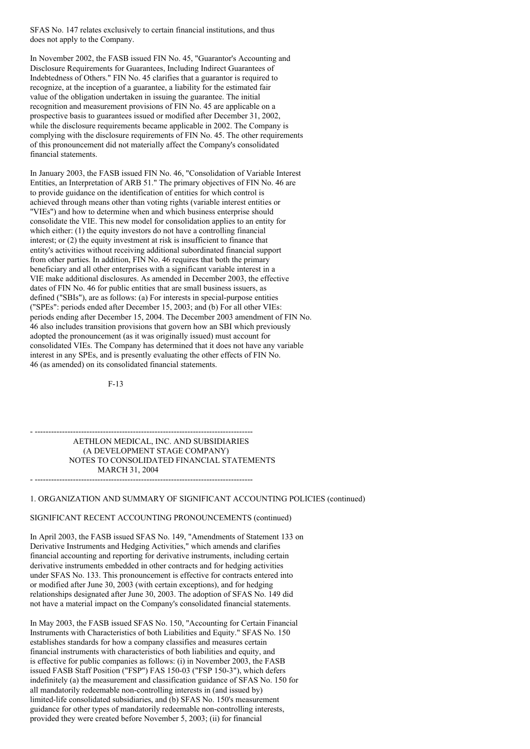SFAS No. 147 relates exclusively to certain financial institutions, and thus does not apply to the Company.

In November 2002, the FASB issued FIN No. 45, "Guarantor's Accounting and Disclosure Requirements for Guarantees, Including Indirect Guarantees of Indebtedness of Others." FIN No. 45 clarifies that a guarantor is required to recognize, at the inception of a guarantee, a liability for the estimated fair value of the obligation undertaken in issuing the guarantee. The initial recognition and measurement provisions of FIN No. 45 are applicable on a prospective basis to guarantees issued or modified after December 31, 2002, while the disclosure requirements became applicable in 2002. The Company is complying with the disclosure requirements of FIN No. 45. The other requirements of this pronouncement did not materially affect the Company's consolidated financial statements.

In January 2003, the FASB issued FIN No. 46, "Consolidation of Variable Interest Entities, an Interpretation of ARB 51." The primary objectives of FIN No. 46 are to provide guidance on the identification of entities for which control is achieved through means other than voting rights (variable interest entities or "VIEs") and how to determine when and which business enterprise should consolidate the VIE. This new model for consolidation applies to an entity for which either: (1) the equity investors do not have a controlling financial interest; or (2) the equity investment at risk is insufficient to finance that entity's activities without receiving additional subordinated financial support from other parties. In addition, FIN No. 46 requires that both the primary beneficiary and all other enterprises with a significant variable interest in a VIE make additional disclosures. As amended in December 2003, the effective dates of FIN No. 46 for public entities that are small business issuers, as defined ("SBIs"), are as follows: (a) For interests in special-purpose entities ("SPEs": periods ended after December 15, 2003; and (b) For all other VIEs: periods ending after December 15, 2004. The December 2003 amendment of FIN No. 46 also includes transition provisions that govern how an SBI which previously adopted the pronouncement (as it was originally issued) must account for consolidated VIEs. The Company has determined that it does not have any variable interest in any SPEs, and is presently evaluating the other effects of FIN No. 46 (as amended) on its consolidated financial statements.

F-13

- -------------------------------------------------------------------------------- AETHLON MEDICAL, INC. AND SUBSIDIARIES (A DEVELOPMENT STAGE COMPANY) NOTES TO CONSOLIDATED FINANCIAL STATEMENTS MARCH 31, 2004 - --------------------------------------------------------------------------------

1. ORGANIZATION AND SUMMARY OF SIGNIFICANT ACCOUNTING POLICIES (continued)

## SIGNIFICANT RECENT ACCOUNTING PRONOUNCEMENTS (continued)

In April 2003, the FASB issued SFAS No. 149, "Amendments of Statement 133 on Derivative Instruments and Hedging Activities," which amends and clarifies financial accounting and reporting for derivative instruments, including certain derivative instruments embedded in other contracts and for hedging activities under SFAS No. 133. This pronouncement is effective for contracts entered into or modified after June 30, 2003 (with certain exceptions), and for hedging relationships designated after June 30, 2003. The adoption of SFAS No. 149 did not have a material impact on the Company's consolidated financial statements.

In May 2003, the FASB issued SFAS No. 150, "Accounting for Certain Financial Instruments with Characteristics of both Liabilities and Equity." SFAS No. 150 establishes standards for how a company classifies and measures certain financial instruments with characteristics of both liabilities and equity, and is effective for public companies as follows: (i) in November 2003, the FASB issued FASB Staff Position ("FSP") FAS 150-03 ("FSP 150-3"), which defers indefinitely (a) the measurement and classification guidance of SFAS No. 150 for all mandatorily redeemable non-controlling interests in (and issued by) limited-life consolidated subsidiaries, and (b) SFAS No. 150's measurement guidance for other types of mandatorily redeemable non-controlling interests, provided they were created before November 5, 2003; (ii) for financial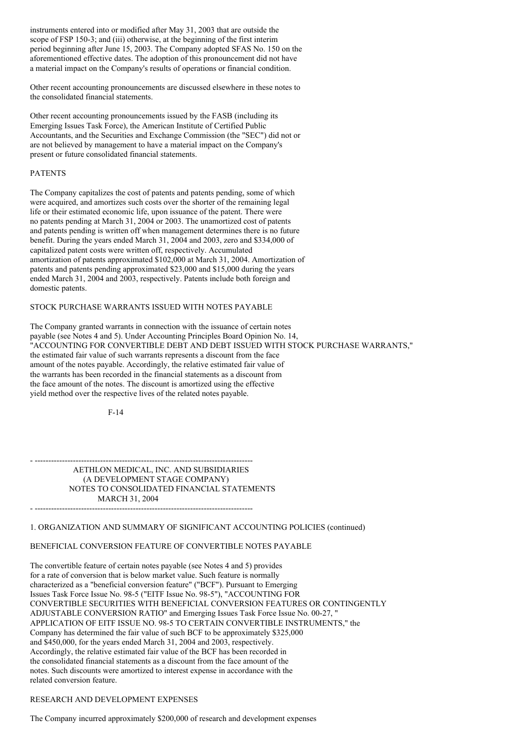instruments entered into or modified after May 31, 2003 that are outside the scope of FSP 150-3; and (iii) otherwise, at the beginning of the first interim period beginning after June 15, 2003. The Company adopted SFAS No. 150 on the aforementioned effective dates. The adoption of this pronouncement did not have a material impact on the Company's results of operations or financial condition.

Other recent accounting pronouncements are discussed elsewhere in these notes to the consolidated financial statements.

Other recent accounting pronouncements issued by the FASB (including its Emerging Issues Task Force), the American Institute of Certified Public Accountants, and the Securities and Exchange Commission (the "SEC") did not or are not believed by management to have a material impact on the Company's present or future consolidated financial statements.

# PATENTS

The Company capitalizes the cost of patents and patents pending, some of which were acquired, and amortizes such costs over the shorter of the remaining legal life or their estimated economic life, upon issuance of the patent. There were no patents pending at March 31, 2004 or 2003. The unamortized cost of patents and patents pending is written off when management determines there is no future benefit. During the years ended March 31, 2004 and 2003, zero and \$334,000 of capitalized patent costs were written off, respectively. Accumulated amortization of patents approximated \$102,000 at March 31, 2004. Amortization of patents and patents pending approximated \$23,000 and \$15,000 during the years ended March 31, 2004 and 2003, respectively. Patents include both foreign and domestic patents.

# STOCK PURCHASE WARRANTS ISSUED WITH NOTES PAYABLE

The Company granted warrants in connection with the issuance of certain notes payable (see Notes 4 and 5). Under Accounting Principles Board Opinion No. 14, "ACCOUNTING FOR CONVERTIBLE DEBT AND DEBT ISSUED WITH STOCK PURCHASE WARRANTS," the estimated fair value of such warrants represents a discount from the face amount of the notes payable. Accordingly, the relative estimated fair value of the warrants has been recorded in the financial statements as a discount from the face amount of the notes. The discount is amortized using the effective yield method over the respective lives of the related notes payable.

F-14

- -------------------------------------------------------------------------------- AETHLON MEDICAL, INC. AND SUBSIDIARIES (A DEVELOPMENT STAGE COMPANY) NOTES TO CONSOLIDATED FINANCIAL STATEMENTS MARCH 31, 2004

#### - --------------------------------------------------------------------------------

## 1. ORGANIZATION AND SUMMARY OF SIGNIFICANT ACCOUNTING POLICIES (continued)

## BENEFICIAL CONVERSION FEATURE OF CONVERTIBLE NOTES PAYABLE

The convertible feature of certain notes payable (see Notes 4 and 5) provides for a rate of conversion that is below market value. Such feature is normally characterized as a "beneficial conversion feature" ("BCF"). Pursuant to Emerging Issues Task Force Issue No. 98-5 ("EITF Issue No. 98-5"), "ACCOUNTING FOR CONVERTIBLE SECURITIES WITH BENEFICIAL CONVERSION FEATURES OR CONTINGENTLY ADJUSTABLE CONVERSION RATIO" and Emerging Issues Task Force Issue No. 00-27, " APPLICATION OF EITF ISSUE NO. 98-5 TO CERTAIN CONVERTIBLE INSTRUMENTS," the Company has determined the fair value of such BCF to be approximately \$325,000 and \$450,000, for the years ended March 31, 2004 and 2003, respectively. Accordingly, the relative estimated fair value of the BCF has been recorded in the consolidated financial statements as a discount from the face amount of the notes. Such discounts were amortized to interest expense in accordance with the related conversion feature.

### RESEARCH AND DEVELOPMENT EXPENSES

The Company incurred approximately \$200,000 of research and development expenses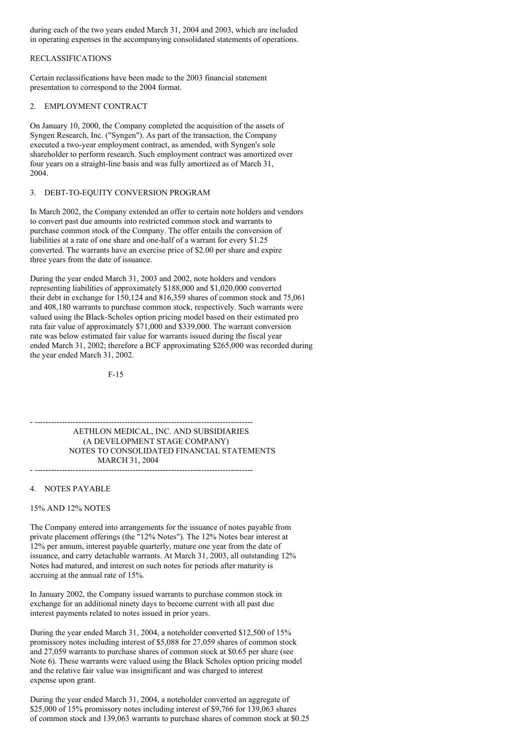during each of the two years ended March 31, 2004 and 2003, which are included in operating expenses in the accompanying consolidated statements of operations.

# RECLASSIFICATIONS

Certain reclassifications have been made to the 2003 financial statement presentation to correspond to the 2004 format.

### 2. EMPLOYMENT CONTRACT

On January 10, 2000, the Company completed the acquisition of the assets of Syngen Research, Inc. ("Syngen"). As part of the transaction, the Company executed a two-year employment contract, as amended, with Syngen's sole shareholder to perform research. Such employment contract was amortized over four years on a straight-line basis and was fully amortized as of March 31, 2004.

# 3. DEBT-TO-EQUITY CONVERSION PROGRAM

In March 2002, the Company extended an offer to certain note holders and vendors to convert past due amounts into restricted common stock and warrants to purchase common stock of the Company. The offer entails the conversion of liabilities at a rate of one share and one-half of a warrant for every \$1.25 converted. The warrants have an exercise price of \$2.00 per share and expire three years from the date of issuance.

During the year ended March 31, 2003 and 2002, note holders and vendors representing liabilities of approximately \$188,000 and \$1,020,000 converted their debt in exchange for 150,124 and 816,359 shares of common stock and 75,061 and 408,180 warrants to purchase common stock, respectively. Such warrants were valued using the Black-Scholes option pricing model based on their estimated pro rata fair value of approximately \$71,000 and \$339,000. The warrant conversion rate was below estimated fair value for warrants issued during the fiscal year ended March 31, 2002; therefore a BCF approximating \$265,000 was recorded during the year ended March 31, 2002.

F-15

- -------------------------------------------------------------------------------- AETHLON MEDICAL, INC. AND SUBSIDIARIES (A DEVELOPMENT STAGE COMPANY) NOTES TO CONSOLIDATED FINANCIAL STATEMENTS MARCH 31, 2004

- --------------------------------------------------------------------------------

#### 4. NOTES PAYABLE

## 15% AND 12% NOTES

The Company entered into arrangements for the issuance of notes payable from private placement offerings (the "12% Notes"). The 12% Notes bear interest at 12% per annum, interest payable quarterly, mature one year from the date of issuance, and carry detachable warrants. At March 31, 2003, all outstanding 12% Notes had matured, and interest on such notes for periods after maturity is accruing at the annual rate of 15%.

In January 2002, the Company issued warrants to purchase common stock in exchange for an additional ninety days to become current with all past due interest payments related to notes issued in prior years.

During the year ended March 31, 2004, a noteholder converted \$12,500 of 15% promissory notes including interest of \$5,088 for 27,059 shares of common stock and 27,059 warrants to purchase shares of common stock at \$0.65 per share (see Note 6). These warrants were valued using the Black Scholes option pricing model and the relative fair value was insignificant and was charged to interest expense upon grant.

During the year ended March 31, 2004, a noteholder converted an aggregate of \$25,000 of 15% promissory notes including interest of \$9,766 for 139,063 shares of common stock and 139,063 warrants to purchase shares of common stock at \$0.25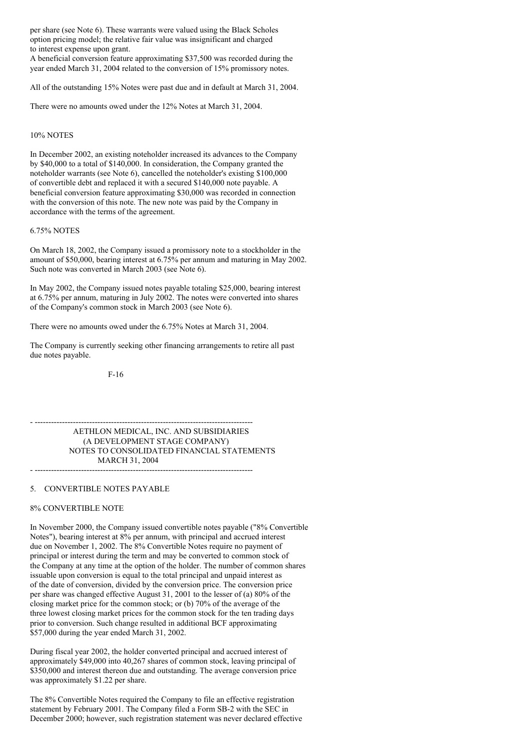per share (see Note 6). These warrants were valued using the Black Scholes option pricing model; the relative fair value was insignificant and charged to interest expense upon grant.

A beneficial conversion feature approximating \$37,500 was recorded during the year ended March 31, 2004 related to the conversion of 15% promissory notes.

All of the outstanding 15% Notes were past due and in default at March 31, 2004.

There were no amounts owed under the 12% Notes at March 31, 2004.

### 10% NOTES

In December 2002, an existing noteholder increased its advances to the Company by \$40,000 to a total of \$140,000. In consideration, the Company granted the noteholder warrants (see Note 6), cancelled the noteholder's existing \$100,000 of convertible debt and replaced it with a secured \$140,000 note payable. A beneficial conversion feature approximating \$30,000 was recorded in connection with the conversion of this note. The new note was paid by the Company in accordance with the terms of the agreement.

# 6.75% NOTES

On March 18, 2002, the Company issued a promissory note to a stockholder in the amount of \$50,000, bearing interest at 6.75% per annum and maturing in May 2002. Such note was converted in March 2003 (see Note 6).

In May 2002, the Company issued notes payable totaling \$25,000, bearing interest at 6.75% per annum, maturing in July 2002. The notes were converted into shares of the Company's common stock in March 2003 (see Note 6).

There were no amounts owed under the 6.75% Notes at March 31, 2004.

The Company is currently seeking other financing arrangements to retire all past due notes payable.

F-16

- -------------------------------------------------------------------------------- AETHLON MEDICAL, INC. AND SUBSIDIARIES (A DEVELOPMENT STAGE COMPANY) NOTES TO CONSOLIDATED FINANCIAL STATEMENTS MARCH 31, 2004 - --------------------------------------------------------------------------------

## 5. CONVERTIBLE NOTES PAYABLE

#### 8% CONVERTIBLE NOTE

In November 2000, the Company issued convertible notes payable ("8% Convertible Notes"), bearing interest at 8% per annum, with principal and accrued interest due on November 1, 2002. The 8% Convertible Notes require no payment of principal or interest during the term and may be converted to common stock of the Company at any time at the option of the holder. The number of common shares issuable upon conversion is equal to the total principal and unpaid interest as of the date of conversion, divided by the conversion price. The conversion price per share was changed effective August 31, 2001 to the lesser of (a) 80% of the closing market price for the common stock; or (b) 70% of the average of the three lowest closing market prices for the common stock for the ten trading days prior to conversion. Such change resulted in additional BCF approximating \$57,000 during the year ended March 31, 2002.

During fiscal year 2002, the holder converted principal and accrued interest of approximately \$49,000 into 40,267 shares of common stock, leaving principal of \$350,000 and interest thereon due and outstanding. The average conversion price was approximately \$1.22 per share.

The 8% Convertible Notes required the Company to file an effective registration statement by February 2001. The Company filed a Form SB-2 with the SEC in December 2000; however, such registration statement was never declared effective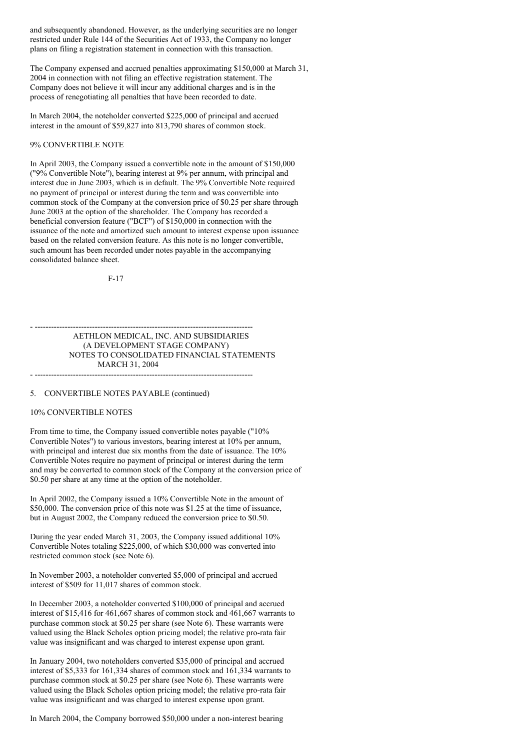and subsequently abandoned. However, as the underlying securities are no longer restricted under Rule 144 of the Securities Act of 1933, the Company no longer plans on filing a registration statement in connection with this transaction.

The Company expensed and accrued penalties approximating \$150,000 at March 31, 2004 in connection with not filing an effective registration statement. The Company does not believe it will incur any additional charges and is in the process of renegotiating all penalties that have been recorded to date.

In March 2004, the noteholder converted \$225,000 of principal and accrued interest in the amount of \$59,827 into 813,790 shares of common stock.

#### 9% CONVERTIBLE NOTE

In April 2003, the Company issued a convertible note in the amount of \$150,000 ("9% Convertible Note"), bearing interest at 9% per annum, with principal and interest due in June 2003, which is in default. The 9% Convertible Note required no payment of principal or interest during the term and was convertible into common stock of the Company at the conversion price of \$0.25 per share through June 2003 at the option of the shareholder. The Company has recorded a beneficial conversion feature ("BCF") of \$150,000 in connection with the issuance of the note and amortized such amount to interest expense upon issuance based on the related conversion feature. As this note is no longer convertible, such amount has been recorded under notes payable in the accompanying consolidated balance sheet.

F-17

- -------------------------------------------------------------------------------- AETHLON MEDICAL, INC. AND SUBSIDIARIES (A DEVELOPMENT STAGE COMPANY) NOTES TO CONSOLIDATED FINANCIAL STATEMENTS MARCH 31, 2004

5. CONVERTIBLE NOTES PAYABLE (continued)

- --------------------------------------------------------------------------------

### 10% CONVERTIBLE NOTES

From time to time, the Company issued convertible notes payable ("10% Convertible Notes") to various investors, bearing interest at 10% per annum, with principal and interest due six months from the date of issuance. The  $10\%$ Convertible Notes require no payment of principal or interest during the term and may be converted to common stock of the Company at the conversion price of \$0.50 per share at any time at the option of the noteholder.

In April 2002, the Company issued a 10% Convertible Note in the amount of \$50,000. The conversion price of this note was \$1.25 at the time of issuance, but in August 2002, the Company reduced the conversion price to \$0.50.

During the year ended March 31, 2003, the Company issued additional 10% Convertible Notes totaling \$225,000, of which \$30,000 was converted into restricted common stock (see Note 6).

In November 2003, a noteholder converted \$5,000 of principal and accrued interest of \$509 for 11,017 shares of common stock.

In December 2003, a noteholder converted \$100,000 of principal and accrued interest of \$15,416 for 461,667 shares of common stock and 461,667 warrants to purchase common stock at \$0.25 per share (see Note 6). These warrants were valued using the Black Scholes option pricing model; the relative pro-rata fair value was insignificant and was charged to interest expense upon grant.

In January 2004, two noteholders converted \$35,000 of principal and accrued interest of \$5,333 for 161,334 shares of common stock and 161,334 warrants to purchase common stock at \$0.25 per share (see Note 6). These warrants were valued using the Black Scholes option pricing model; the relative pro-rata fair value was insignificant and was charged to interest expense upon grant.

In March 2004, the Company borrowed \$50,000 under a non-interest bearing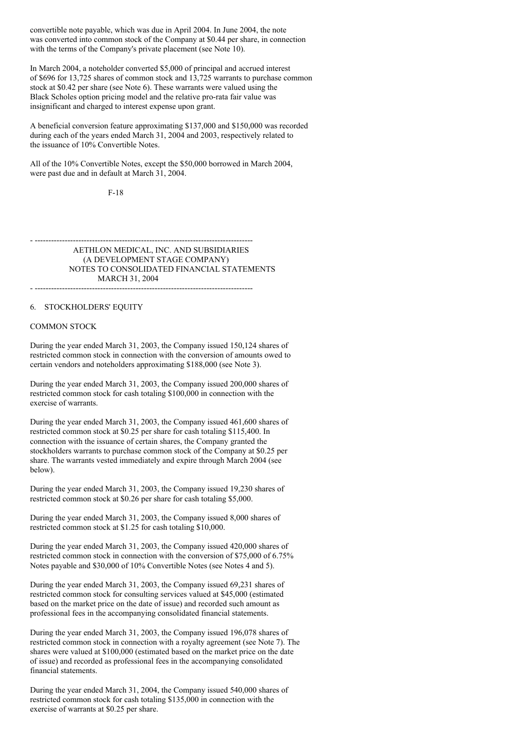convertible note payable, which was due in April 2004. In June 2004, the note was converted into common stock of the Company at \$0.44 per share, in connection with the terms of the Company's private placement (see Note 10).

In March 2004, a noteholder converted \$5,000 of principal and accrued interest of \$696 for 13,725 shares of common stock and 13,725 warrants to purchase common stock at \$0.42 per share (see Note 6). These warrants were valued using the Black Scholes option pricing model and the relative pro-rata fair value was insignificant and charged to interest expense upon grant.

A beneficial conversion feature approximating \$137,000 and \$150,000 was recorded during each of the years ended March 31, 2004 and 2003, respectively related to the issuance of 10% Convertible Notes.

All of the 10% Convertible Notes, except the \$50,000 borrowed in March 2004, were past due and in default at March 31, 2004.

F-18

- -------------------------------------------------------------------------------- AETHLON MEDICAL, INC. AND SUBSIDIARIES (A DEVELOPMENT STAGE COMPANY) NOTES TO CONSOLIDATED FINANCIAL STATEMENTS MARCH 31, 2004 - --------------------------------------------------------------------------------

#### 6. STOCKHOLDERS' EQUITY

#### COMMON STOCK

During the year ended March 31, 2003, the Company issued 150,124 shares of restricted common stock in connection with the conversion of amounts owed to certain vendors and noteholders approximating \$188,000 (see Note 3).

During the year ended March 31, 2003, the Company issued 200,000 shares of restricted common stock for cash totaling \$100,000 in connection with the exercise of warrants.

During the year ended March 31, 2003, the Company issued 461,600 shares of restricted common stock at \$0.25 per share for cash totaling \$115,400. In connection with the issuance of certain shares, the Company granted the stockholders warrants to purchase common stock of the Company at \$0.25 per share. The warrants vested immediately and expire through March 2004 (see below).

During the year ended March 31, 2003, the Company issued 19,230 shares of restricted common stock at \$0.26 per share for cash totaling \$5,000.

During the year ended March 31, 2003, the Company issued 8,000 shares of restricted common stock at \$1.25 for cash totaling \$10,000.

During the year ended March 31, 2003, the Company issued 420,000 shares of restricted common stock in connection with the conversion of \$75,000 of 6.75% Notes payable and \$30,000 of 10% Convertible Notes (see Notes 4 and 5).

During the year ended March 31, 2003, the Company issued 69,231 shares of restricted common stock for consulting services valued at \$45,000 (estimated based on the market price on the date of issue) and recorded such amount as professional fees in the accompanying consolidated financial statements.

During the year ended March 31, 2003, the Company issued 196,078 shares of restricted common stock in connection with a royalty agreement (see Note 7). The shares were valued at \$100,000 (estimated based on the market price on the date of issue) and recorded as professional fees in the accompanying consolidated financial statements.

During the year ended March 31, 2004, the Company issued 540,000 shares of restricted common stock for cash totaling \$135,000 in connection with the exercise of warrants at \$0.25 per share.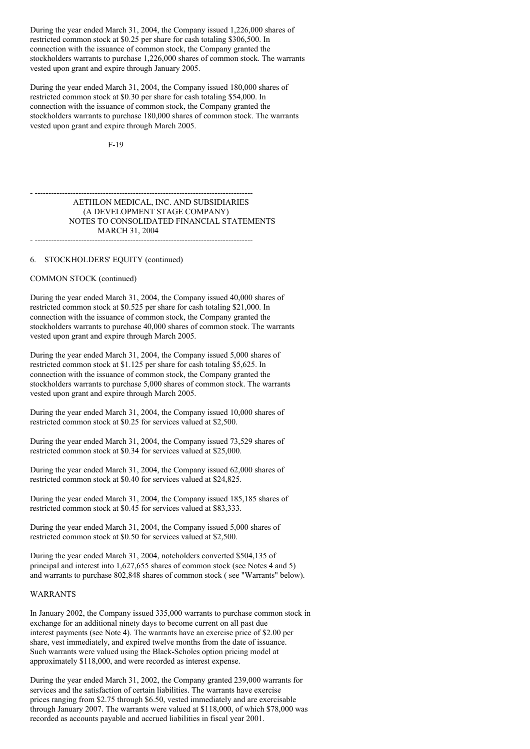During the year ended March 31, 2004, the Company issued 1,226,000 shares of restricted common stock at \$0.25 per share for cash totaling \$306,500. In connection with the issuance of common stock, the Company granted the stockholders warrants to purchase 1,226,000 shares of common stock. The warrants vested upon grant and expire through January 2005.

During the year ended March 31, 2004, the Company issued 180,000 shares of restricted common stock at \$0.30 per share for cash totaling \$54,000. In connection with the issuance of common stock, the Company granted the stockholders warrants to purchase 180,000 shares of common stock. The warrants vested upon grant and expire through March 2005.

F-19

- -------------------------------------------------------------------------------- AETHLON MEDICAL, INC. AND SUBSIDIARIES (A DEVELOPMENT STAGE COMPANY) NOTES TO CONSOLIDATED FINANCIAL STATEMENTS MARCH 31, 2004

- --------------------------------------------------------------------------------

6. STOCKHOLDERS' EQUITY (continued)

#### COMMON STOCK (continued)

During the year ended March 31, 2004, the Company issued 40,000 shares of restricted common stock at \$0.525 per share for cash totaling \$21,000. In connection with the issuance of common stock, the Company granted the stockholders warrants to purchase 40,000 shares of common stock. The warrants vested upon grant and expire through March 2005.

During the year ended March 31, 2004, the Company issued 5,000 shares of restricted common stock at \$1.125 per share for cash totaling \$5,625. In connection with the issuance of common stock, the Company granted the stockholders warrants to purchase 5,000 shares of common stock. The warrants vested upon grant and expire through March 2005.

During the year ended March 31, 2004, the Company issued 10,000 shares of restricted common stock at \$0.25 for services valued at \$2,500.

During the year ended March 31, 2004, the Company issued 73,529 shares of restricted common stock at \$0.34 for services valued at \$25,000.

During the year ended March 31, 2004, the Company issued 62,000 shares of restricted common stock at \$0.40 for services valued at \$24,825.

During the year ended March 31, 2004, the Company issued 185,185 shares of restricted common stock at \$0.45 for services valued at \$83,333.

During the year ended March 31, 2004, the Company issued 5,000 shares of restricted common stock at \$0.50 for services valued at \$2,500.

During the year ended March 31, 2004, noteholders converted \$504,135 of principal and interest into 1,627,655 shares of common stock (see Notes 4 and 5) and warrants to purchase 802,848 shares of common stock ( see "Warrants" below).

#### WARRANTS

In January 2002, the Company issued 335,000 warrants to purchase common stock in exchange for an additional ninety days to become current on all past due interest payments (see Note 4). The warrants have an exercise price of \$2.00 per share, vest immediately, and expired twelve months from the date of issuance. Such warrants were valued using the Black-Scholes option pricing model at approximately \$118,000, and were recorded as interest expense.

During the year ended March 31, 2002, the Company granted 239,000 warrants for services and the satisfaction of certain liabilities. The warrants have exercise prices ranging from \$2.75 through \$6.50, vested immediately and are exercisable through January 2007. The warrants were valued at \$118,000, of which \$78,000 was recorded as accounts payable and accrued liabilities in fiscal year 2001.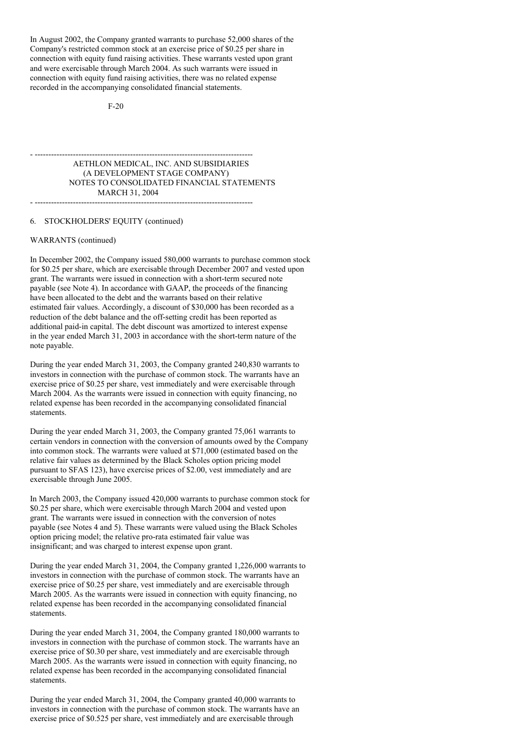In August 2002, the Company granted warrants to purchase 52,000 shares of the Company's restricted common stock at an exercise price of \$0.25 per share in connection with equity fund raising activities. These warrants vested upon grant and were exercisable through March 2004. As such warrants were issued in connection with equity fund raising activities, there was no related expense recorded in the accompanying consolidated financial statements.

F-20

- --------------------------------------------------------------------------------

AETHLON MEDICAL, INC. AND SUBSIDIARIES (A DEVELOPMENT STAGE COMPANY) NOTES TO CONSOLIDATED FINANCIAL STATEMENTS MARCH 31, 2004 - --------------------------------------------------------------------------------

#### 6. STOCKHOLDERS' EQUITY (continued)

#### WARRANTS (continued)

In December 2002, the Company issued 580,000 warrants to purchase common stock for \$0.25 per share, which are exercisable through December 2007 and vested upon grant. The warrants were issued in connection with a short-term secured note payable (see Note 4). In accordance with GAAP, the proceeds of the financing have been allocated to the debt and the warrants based on their relative estimated fair values. Accordingly, a discount of \$30,000 has been recorded as a reduction of the debt balance and the off-setting credit has been reported as additional paid-in capital. The debt discount was amortized to interest expense in the year ended March 31, 2003 in accordance with the short-term nature of the note payable.

During the year ended March 31, 2003, the Company granted 240,830 warrants to investors in connection with the purchase of common stock. The warrants have an exercise price of \$0.25 per share, vest immediately and were exercisable through March 2004. As the warrants were issued in connection with equity financing, no related expense has been recorded in the accompanying consolidated financial statements.

During the year ended March 31, 2003, the Company granted 75,061 warrants to certain vendors in connection with the conversion of amounts owed by the Company into common stock. The warrants were valued at \$71,000 (estimated based on the relative fair values as determined by the Black Scholes option pricing model pursuant to SFAS 123), have exercise prices of \$2.00, vest immediately and are exercisable through June 2005.

In March 2003, the Company issued 420,000 warrants to purchase common stock for \$0.25 per share, which were exercisable through March 2004 and vested upon grant. The warrants were issued in connection with the conversion of notes payable (see Notes 4 and 5). These warrants were valued using the Black Scholes option pricing model; the relative pro-rata estimated fair value was insignificant; and was charged to interest expense upon grant.

During the year ended March 31, 2004, the Company granted 1,226,000 warrants to investors in connection with the purchase of common stock. The warrants have an exercise price of \$0.25 per share, vest immediately and are exercisable through March 2005. As the warrants were issued in connection with equity financing, no related expense has been recorded in the accompanying consolidated financial statements.

During the year ended March 31, 2004, the Company granted 180,000 warrants to investors in connection with the purchase of common stock. The warrants have an exercise price of \$0.30 per share, vest immediately and are exercisable through March 2005. As the warrants were issued in connection with equity financing, no related expense has been recorded in the accompanying consolidated financial statements.

During the year ended March 31, 2004, the Company granted 40,000 warrants to investors in connection with the purchase of common stock. The warrants have an exercise price of \$0.525 per share, vest immediately and are exercisable through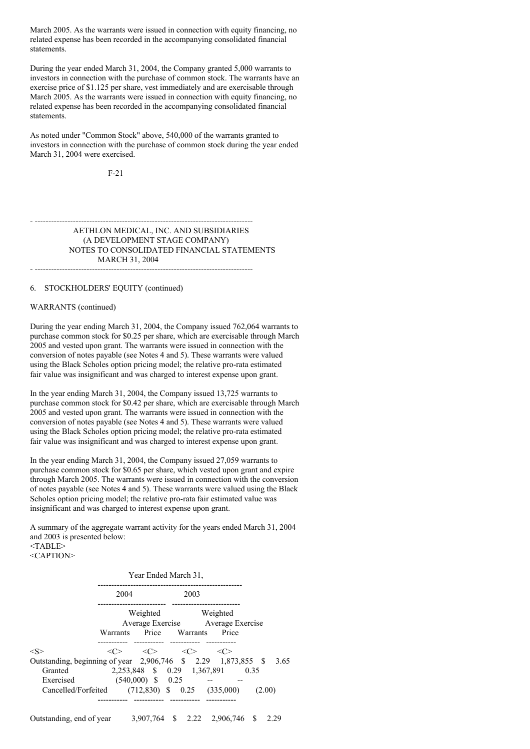March 2005. As the warrants were issued in connection with equity financing, no related expense has been recorded in the accompanying consolidated financial statements.

During the year ended March 31, 2004, the Company granted 5,000 warrants to investors in connection with the purchase of common stock. The warrants have an exercise price of \$1.125 per share, vest immediately and are exercisable through March 2005. As the warrants were issued in connection with equity financing, no related expense has been recorded in the accompanying consolidated financial statements.

As noted under "Common Stock" above, 540,000 of the warrants granted to investors in connection with the purchase of common stock during the year ended March 31, 2004 were exercised.

F-21

- -------------------------------------------------------------------------------- AETHLON MEDICAL, INC. AND SUBSIDIARIES (A DEVELOPMENT STAGE COMPANY) NOTES TO CONSOLIDATED FINANCIAL STATEMENTS MARCH 31, 2004 - --------------------------------------------------------------------------------

6. STOCKHOLDERS' EQUITY (continued)

# WARRANTS (continued)

During the year ending March 31, 2004, the Company issued 762,064 warrants to purchase common stock for \$0.25 per share, which are exercisable through March 2005 and vested upon grant. The warrants were issued in connection with the conversion of notes payable (see Notes 4 and 5). These warrants were valued using the Black Scholes option pricing model; the relative pro-rata estimated fair value was insignificant and was charged to interest expense upon grant.

In the year ending March 31, 2004, the Company issued 13,725 warrants to purchase common stock for \$0.42 per share, which are exercisable through March 2005 and vested upon grant. The warrants were issued in connection with the conversion of notes payable (see Notes 4 and 5). These warrants were valued using the Black Scholes option pricing model; the relative pro-rata estimated fair value was insignificant and was charged to interest expense upon grant.

In the year ending March 31, 2004, the Company issued 27,059 warrants to purchase common stock for \$0.65 per share, which vested upon grant and expire through March 2005. The warrants were issued in connection with the conversion of notes payable (see Notes 4 and 5). These warrants were valued using the Black Scholes option pricing model; the relative pro-rata fair estimated value was insignificant and was charged to interest expense upon grant.

A summary of the aggregate warrant activity for the years ended March 31, 2004 and 2003 is presented below: <TABLE>

<CAPTION>

#### Year Ended March 31,

|                                                                    | 2004     |                     | 2003                                          |       |        |  |
|--------------------------------------------------------------------|----------|---------------------|-----------------------------------------------|-------|--------|--|
|                                                                    |          | Weighted            | Weighted<br>Average Exercise Average Exercise |       |        |  |
|                                                                    | Warrants |                     | Price Warrants                                | Price |        |  |
| $<\!\!S\!\!>$                                                      |          | $\ll$               | $\langle$ C $>$                               | $\ll$ |        |  |
| Outstanding, beginning of year 2,906,746 \$ 2.29 1,873,855 \$ 3.65 |          |                     |                                               |       |        |  |
| Granted                                                            |          |                     | 2,253,848 \$ 0.29 1,367,891                   |       | 0.35   |  |
| Exercised                                                          |          | $(540,000)$ \$ 0.25 |                                               |       |        |  |
| Cancelled/Forfeited                                                |          |                     | $(712,830)$ \$ 0.25 $(335,000)$               |       | (2.00) |  |
|                                                                    |          |                     |                                               |       |        |  |

Outstanding, end of year 3,907,764 \$ 2.22 2,906,746 \$ 2.29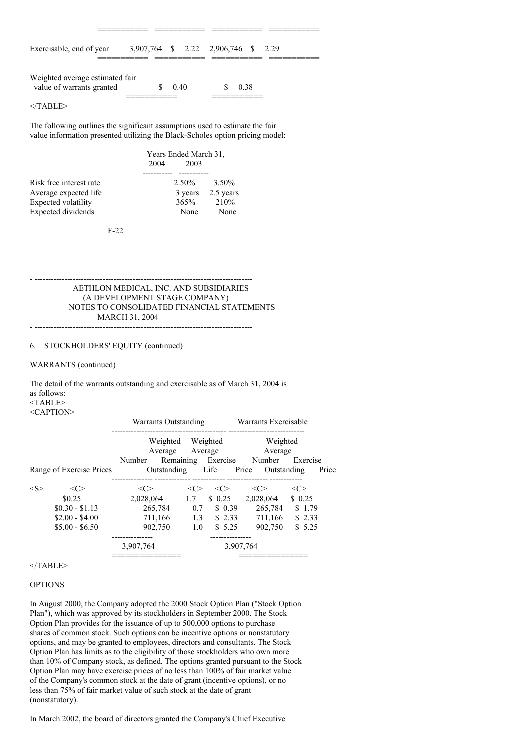| Exercisable, end of year                                     | 3,907,764 \$ 2.22 2,906,746 \$ |      |  |      | 2.29 |
|--------------------------------------------------------------|--------------------------------|------|--|------|------|
| Weighted average estimated fair<br>value of warrants granted |                                | 0.40 |  | 0.38 |      |
| `ABLE>                                                       |                                |      |  |      |      |

=========== =========== =========== ===========

The following outlines the significant assumptions used to estimate the fair value information presented utilizing the Black-Scholes option pricing model:

|                         | Years Ended March 31, |          |                   |  |
|-------------------------|-----------------------|----------|-------------------|--|
|                         | 2004                  | 2003     |                   |  |
|                         |                       |          |                   |  |
| Risk free interest rate |                       | $2.50\%$ | $3.50\%$          |  |
| Average expected life   |                       |          | 3 years 2.5 years |  |
| Expected volatility     |                       | 365%     | 210%              |  |
| Expected dividends      |                       | None     | None              |  |

F-22

- -------------------------------------------------------------------------------- AETHLON MEDICAL, INC. AND SUBSIDIARIES (A DEVELOPMENT STAGE COMPANY) NOTES TO CONSOLIDATED FINANCIAL STATEMENTS MARCH 31, 2004

# 6. STOCKHOLDERS' EQUITY (continued)

## WARRANTS (continued)

The detail of the warrants outstanding and exercisable as of March 31, 2004 is as follows:  $<$ TABLE>

- --------------------------------------------------------------------------------

<CAPTION>

|         |                          | Warrants Outstanding |         |                    | Warrants Exercisable |          |  |  |
|---------|--------------------------|----------------------|---------|--------------------|----------------------|----------|--|--|
|         |                          | Weighted             |         | Weighted           | Weighted             |          |  |  |
|         |                          | Average              | Average |                    | Average              |          |  |  |
|         |                          | Number               |         | Remaining Exercise | Number               | Exercise |  |  |
|         | Range of Exercise Prices | Outstanding          |         | Life               | Price<br>Outstanding | Price    |  |  |
| $<\!S>$ | <<>                      | <<>                  | <<>     | <<>                | <<>                  | <c></c>  |  |  |
|         | \$0.25                   | 2,028,064            | 1.7     | \$0.25             | 2,028,064            | \$0.25   |  |  |
|         | $$0.30 - $1.13$          | 265,784              | 0.7     | \$0.39             | 265,784              | \$1.79   |  |  |
|         | $$2.00 - $4.00$          | 711,166              | 1.3     | \$2.33             | 711,166              | \$2.33   |  |  |
|         | $$5.00 - $6.50$          | 902.750              | 1.0     | \$5.25             | 902,750              | \$5.25   |  |  |
|         |                          |                      |         |                    |                      |          |  |  |
|         |                          | 3.907.764            |         | 3.907.764          |                      |          |  |  |
|         |                          |                      |         |                    |                      |          |  |  |

# $<$ /TABLE>

# **OPTIONS**

In August 2000, the Company adopted the 2000 Stock Option Plan ("Stock Option Plan"), which was approved by its stockholders in September 2000. The Stock Option Plan provides for the issuance of up to 500,000 options to purchase shares of common stock. Such options can be incentive options or nonstatutory options, and may be granted to employees, directors and consultants. The Stock Option Plan has limits as to the eligibility of those stockholders who own more than 10% of Company stock, as defined. The options granted pursuant to the Stock Option Plan may have exercise prices of no less than 100% of fair market value of the Company's common stock at the date of grant (incentive options), or no less than 75% of fair market value of such stock at the date of grant (nonstatutory).

In March 2002, the board of directors granted the Company's Chief Executive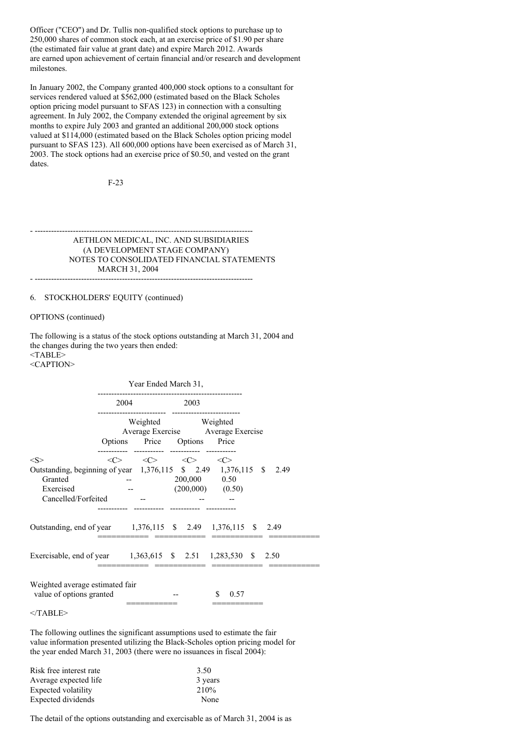Officer ("CEO") and Dr. Tullis non-qualified stock options to purchase up to 250,000 shares of common stock each, at an exercise price of \$1.90 per share (the estimated fair value at grant date) and expire March 2012. Awards are earned upon achievement of certain financial and/or research and development milestones.

In January 2002, the Company granted 400,000 stock options to a consultant for services rendered valued at \$562,000 (estimated based on the Black Scholes option pricing model pursuant to SFAS 123) in connection with a consulting agreement. In July 2002, the Company extended the original agreement by six months to expire July 2003 and granted an additional 200,000 stock options valued at \$114,000 (estimated based on the Black Scholes option pricing model pursuant to SFAS 123). All 600,000 options have been exercised as of March 31, 2003. The stock options had an exercise price of \$0.50, and vested on the grant dates.

F-23

AETHLON MEDICAL, INC. AND SUBSIDIARIES (A DEVELOPMENT STAGE COMPANY) NOTES TO CONSOLIDATED FINANCIAL STATEMENTS MARCH 31, 2004 - --------------------------------------------------------------------------------

- --------------------------------------------------------------------------------

### 6. STOCKHOLDERS' EQUITY (continued)

OPTIONS (continued)

The following is a status of the stock options outstanding at March 31, 2004 and the changes during the two years then ended: <TABLE> <CAPTION>

|                                                                                                                   | Year Ended March 31,                                                                  |                                                                                 |                                      |            |  |
|-------------------------------------------------------------------------------------------------------------------|---------------------------------------------------------------------------------------|---------------------------------------------------------------------------------|--------------------------------------|------------|--|
|                                                                                                                   | 2004<br>2003                                                                          |                                                                                 |                                      |            |  |
|                                                                                                                   | Weighted Weighted<br>Average Exercise Average Exercise<br>Options Price Options Price |                                                                                 |                                      |            |  |
| < S >                                                                                                             |                                                                                       | $\langle C \rangle$ $\langle C \rangle$ $\langle C \rangle$ $\langle C \rangle$ |                                      |            |  |
| Outstanding, beginning of year 1,376,115 \$ 2.49 1,376,115 \$ 2.49<br>Granted<br>Exercised<br>Cancelled/Forfeited | $\sim$ $-$                                                                            |                                                                                 | 200,000 0.50<br>$(200,000)$ $(0.50)$ |            |  |
| Outstanding, end of year 1,376,115 \$ 2.49 1,376,115 \$ 2.49                                                      |                                                                                       |                                                                                 |                                      |            |  |
| Exercisable, end of year 1,363,615 \$ 2.51 1,283,530 \$ 2.50                                                      |                                                                                       |                                                                                 |                                      |            |  |
| Weighted average estimated fair<br>value of options granted                                                       |                                                                                       |                                                                                 |                                      | \$<br>0.57 |  |

</TABLE>

The following outlines the significant assumptions used to estimate the fair value information presented utilizing the Black-Scholes option pricing model for the year ended March 31, 2003 (there were no issuances in fiscal 2004):

| Risk free interest rate | 3.50    |
|-------------------------|---------|
| Average expected life   | 3 years |
| Expected volatility     | 210%    |
| Expected dividends      | None    |

The detail of the options outstanding and exercisable as of March 31, 2004 is as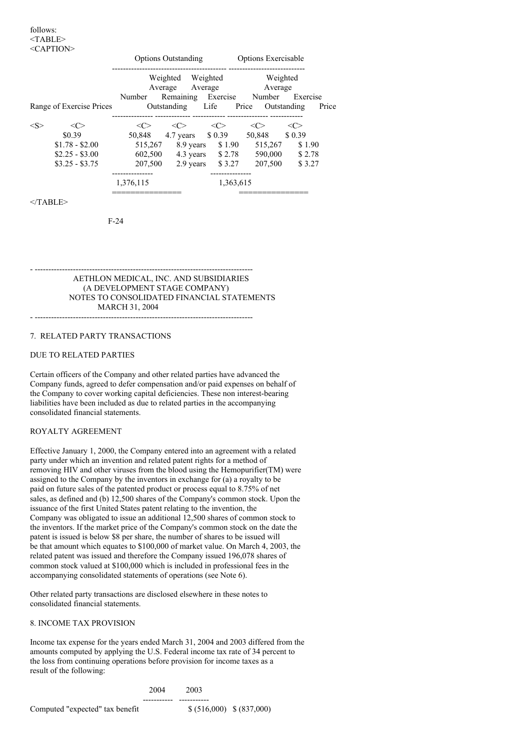follows: <TABLE> <CAPTION>

|                          | <b>Options Outstanding</b>              |                    |                            | Options Exercisable |                      |  |
|--------------------------|-----------------------------------------|--------------------|----------------------------|---------------------|----------------------|--|
|                          | Weighted<br>Weighted<br>Average Average |                    |                            | Weighted<br>Average |                      |  |
|                          |                                         |                    |                            |                     |                      |  |
|                          | Number                                  | Remaining Exercise |                            | Number              | Exercise             |  |
| Range of Exercise Prices |                                         | Outstanding        | Life                       | Price               | Outstanding<br>Price |  |
| $<\!S$<br><<>            | <<>                                     | <<>                | <<>                        | <<>                 | <<>                  |  |
| \$0.39                   | 50,848                                  | 4.7 years \$ 0.39  |                            | 50,848              | \$0.39               |  |
| $$1.78 - $2.00$          | 515,267                                 | 8.9 years          | \$1.90                     | 515,267             | \$1.90               |  |
| $$2.25 - $3.00$          | 602,500                                 |                    | 4.3 years \$2.78           | 590,000             | \$2.78               |  |
| $$3.25 - $3.75$          | 207,500                                 | 2.9 years          | \$3.27                     | 207,500             | \$3.27               |  |
|                          | ------------<br>1,376,115               |                    | -------------<br>1,363,615 |                     |                      |  |
| $<$ TABLE>               |                                         |                    |                            |                     |                      |  |

F-24

- -------------------------------------------------------------------------------- AETHLON MEDICAL, INC. AND SUBSIDIARIES (A DEVELOPMENT STAGE COMPANY) NOTES TO CONSOLIDATED FINANCIAL STATEMENTS MARCH 31, 2004 - --------------------------------------------------------------------------------

## 7. RELATED PARTY TRANSACTIONS

#### DUE TO RELATED PARTIES

Certain officers of the Company and other related parties have advanced the Company funds, agreed to defer compensation and/or paid expenses on behalf of the Company to cover working capital deficiencies. These non interest-bearing liabilities have been included as due to related parties in the accompanying consolidated financial statements.

#### ROYALTY AGREEMENT

Effective January 1, 2000, the Company entered into an agreement with a related party under which an invention and related patent rights for a method of removing HIV and other viruses from the blood using the Hemopurifier(TM) were assigned to the Company by the inventors in exchange for (a) a royalty to be paid on future sales of the patented product or process equal to 8.75% of net sales, as defined and (b) 12,500 shares of the Company's common stock. Upon the issuance of the first United States patent relating to the invention, the Company was obligated to issue an additional 12,500 shares of common stock to the inventors. If the market price of the Company's common stock on the date the patent is issued is below \$8 per share, the number of shares to be issued will be that amount which equates to \$100,000 of market value. On March 4, 2003, the related patent was issued and therefore the Company issued 196,078 shares of common stock valued at \$100,000 which is included in professional fees in the accompanying consolidated statements of operations (see Note 6).

Other related party transactions are disclosed elsewhere in these notes to consolidated financial statements.

# 8. INCOME TAX PROVISION

Income tax expense for the years ended March 31, 2004 and 2003 differed from the amounts computed by applying the U.S. Federal income tax rate of 34 percent to the loss from continuing operations before provision for income taxes as a result of the following:

### 2004 2003 ----------- -----------

Computed "expected" tax benefit  $$ (516,000) $ (837,000)$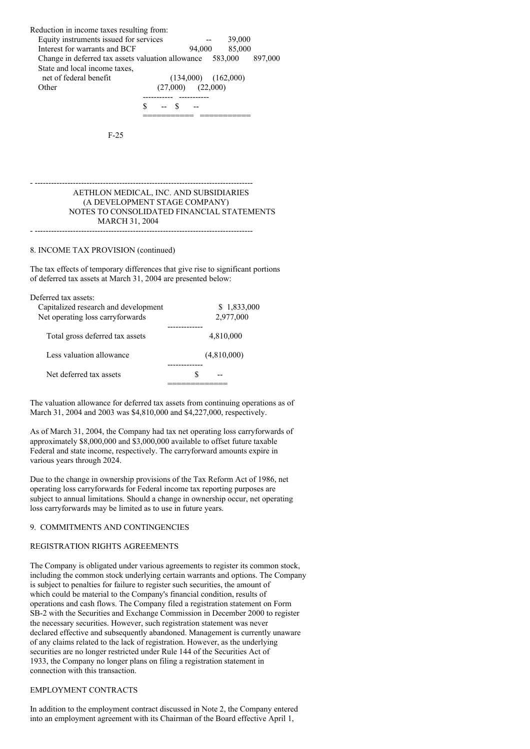| Requeston in income taxes resulting from.                 |   |                       |        |                         |         |
|-----------------------------------------------------------|---|-----------------------|--------|-------------------------|---------|
| Equity instruments issued for services                    |   |                       |        | 39,000                  |         |
| Interest for warrants and BCF                             |   |                       | 94,000 | 85,000                  |         |
| Change in deferred tax assets valuation allowance 583,000 |   |                       |        |                         | 897,000 |
| State and local income taxes,                             |   |                       |        |                         |         |
| net of federal benefit                                    |   |                       |        | $(134,000)$ $(162,000)$ |         |
| Other                                                     |   | $(27,000)$ $(22,000)$ |        |                         |         |
|                                                           |   |                       |        |                         |         |
|                                                           | S |                       |        |                         |         |
|                                                           |   |                       |        |                         |         |
|                                                           |   |                       |        |                         |         |
| $F-25$                                                    |   |                       |        |                         |         |
|                                                           |   |                       |        |                         |         |
|                                                           |   |                       |        |                         |         |

### - -------------------------------------------------------------------------------- AETHLON MEDICAL, INC. AND SUBSIDIARIES (A DEVELOPMENT STAGE COMPANY) NOTES TO CONSOLIDATED FINANCIAL STATEMENTS MARCH 31, 2004 - --------------------------------------------------------------------------------

8. INCOME TAX PROVISION (continued)

Reduction in income taxes resulting from:

The tax effects of temporary differences that give rise to significant portions of deferred tax assets at March 31, 2004 are presented below:

| \$1,833,000 |  |  |  |
|-------------|--|--|--|
| 2,977,000   |  |  |  |
|             |  |  |  |
| 4,810,000   |  |  |  |
| (4,810,000) |  |  |  |
|             |  |  |  |
| ς           |  |  |  |
|             |  |  |  |
|             |  |  |  |

The valuation allowance for deferred tax assets from continuing operations as of March 31, 2004 and 2003 was \$4,810,000 and \$4,227,000, respectively.

As of March 31, 2004, the Company had tax net operating loss carryforwards of approximately \$8,000,000 and \$3,000,000 available to offset future taxable Federal and state income, respectively. The carryforward amounts expire in various years through 2024.

Due to the change in ownership provisions of the Tax Reform Act of 1986, net operating loss carryforwards for Federal income tax reporting purposes are subject to annual limitations. Should a change in ownership occur, net operating loss carryforwards may be limited as to use in future years.

## 9. COMMITMENTS AND CONTINGENCIES

## REGISTRATION RIGHTS AGREEMENTS

The Company is obligated under various agreements to register its common stock, including the common stock underlying certain warrants and options. The Company is subject to penalties for failure to register such securities, the amount of which could be material to the Company's financial condition, results of operations and cash flows. The Company filed a registration statement on Form SB-2 with the Securities and Exchange Commission in December 2000 to register the necessary securities. However, such registration statement was never declared effective and subsequently abandoned. Management is currently unaware of any claims related to the lack of registration. However, as the underlying securities are no longer restricted under Rule 144 of the Securities Act of 1933, the Company no longer plans on filing a registration statement in connection with this transaction.

# EMPLOYMENT CONTRACTS

In addition to the employment contract discussed in Note 2, the Company entered into an employment agreement with its Chairman of the Board effective April 1,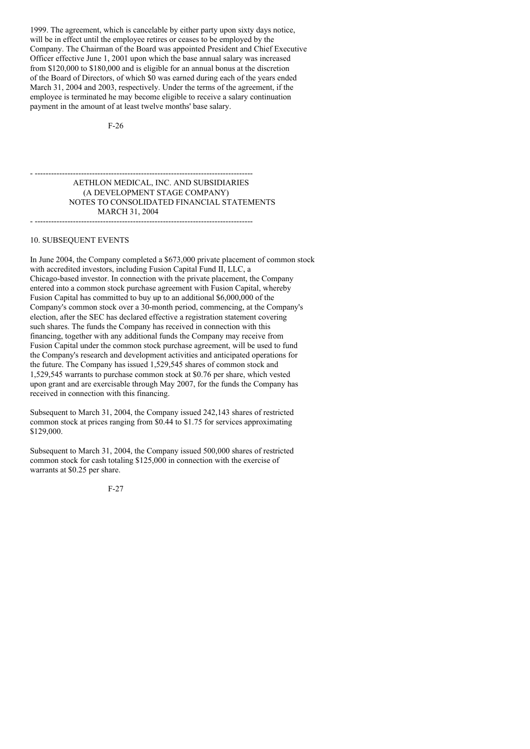1999. The agreement, which is cancelable by either party upon sixty days notice, will be in effect until the employee retires or ceases to be employed by the Company. The Chairman of the Board was appointed President and Chief Executive Officer effective June 1, 2001 upon which the base annual salary was increased from \$120,000 to \$180,000 and is eligible for an annual bonus at the discretion of the Board of Directors, of which \$0 was earned during each of the years ended March 31, 2004 and 2003, respectively. Under the terms of the agreement, if the employee is terminated he may become eligible to receive a salary continuation payment in the amount of at least twelve months' base salary.

F-26

- -------------------------------------------------------------------------------- AETHLON MEDICAL, INC. AND SUBSIDIARIES (A DEVELOPMENT STAGE COMPANY) NOTES TO CONSOLIDATED FINANCIAL STATEMENTS MARCH 31, 2004

- --------------------------------------------------------------------------------

#### 10. SUBSEQUENT EVENTS

In June 2004, the Company completed a \$673,000 private placement of common stock with accredited investors, including Fusion Capital Fund II, LLC, a Chicago-based investor. In connection with the private placement, the Company entered into a common stock purchase agreement with Fusion Capital, whereby Fusion Capital has committed to buy up to an additional \$6,000,000 of the Company's common stock over a 30-month period, commencing, at the Company's election, after the SEC has declared effective a registration statement covering such shares. The funds the Company has received in connection with this financing, together with any additional funds the Company may receive from Fusion Capital under the common stock purchase agreement, will be used to fund the Company's research and development activities and anticipated operations for the future. The Company has issued 1,529,545 shares of common stock and 1,529,545 warrants to purchase common stock at \$0.76 per share, which vested upon grant and are exercisable through May 2007, for the funds the Company has received in connection with this financing.

Subsequent to March 31, 2004, the Company issued 242,143 shares of restricted common stock at prices ranging from \$0.44 to \$1.75 for services approximating \$129,000.

Subsequent to March 31, 2004, the Company issued 500,000 shares of restricted common stock for cash totaling \$125,000 in connection with the exercise of warrants at \$0.25 per share.

F-27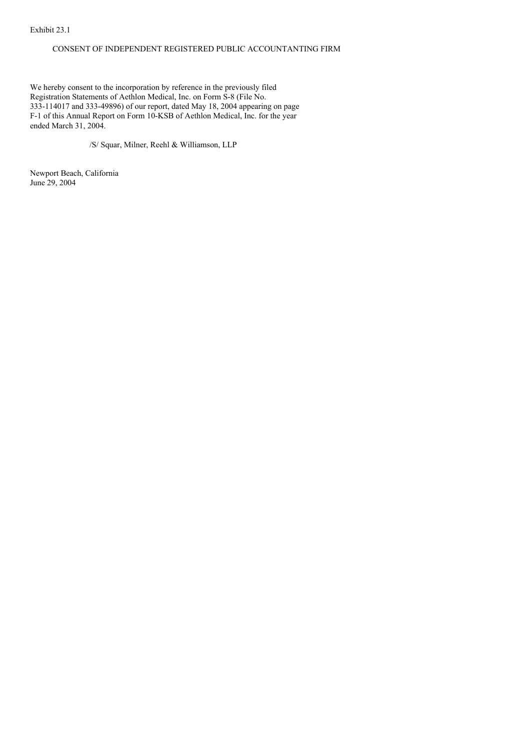# CONSENT OF INDEPENDENT REGISTERED PUBLIC ACCOUNTANTING FIRM

We hereby consent to the incorporation by reference in the previously filed Registration Statements of Aethlon Medical, Inc. on Form S-8 (File No. 333-114017 and 333-49896) of our report, dated May 18, 2004 appearing on page F-1 of this Annual Report on Form 10-KSB of Aethlon Medical, Inc. for the year ended March 31, 2004.

/S/ Squar, Milner, Reehl & Williamson, LLP

Newport Beach, California June 29, 2004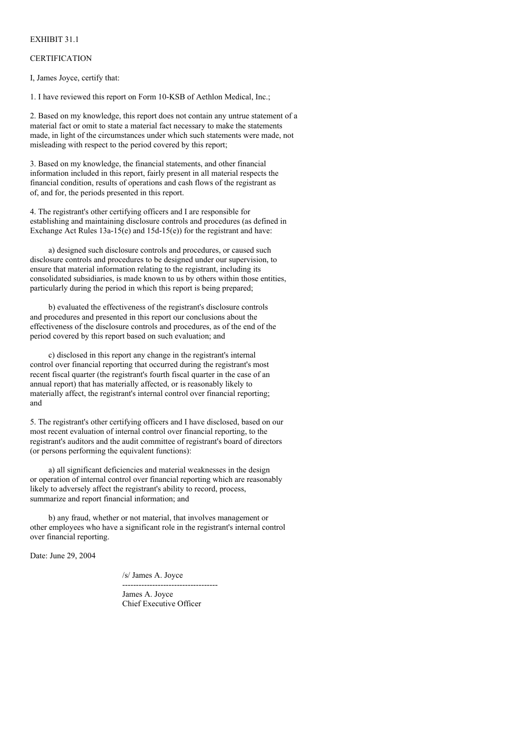## EXHIBIT 31.1

## **CERTIFICATION**

I, James Joyce, certify that:

1. I have reviewed this report on Form 10-KSB of Aethlon Medical, Inc.;

2. Based on my knowledge, this report does not contain any untrue statement of a material fact or omit to state a material fact necessary to make the statements made, in light of the circumstances under which such statements were made, not misleading with respect to the period covered by this report;

3. Based on my knowledge, the financial statements, and other financial information included in this report, fairly present in all material respects the financial condition, results of operations and cash flows of the registrant as of, and for, the periods presented in this report.

4. The registrant's other certifying officers and I are responsible for establishing and maintaining disclosure controls and procedures (as defined in Exchange Act Rules  $13a-15(e)$  and  $15d-15(e)$  for the registrant and have:

a) designed such disclosure controls and procedures, or caused such disclosure controls and procedures to be designed under our supervision, to ensure that material information relating to the registrant, including its consolidated subsidiaries, is made known to us by others within those entities, particularly during the period in which this report is being prepared;

b) evaluated the effectiveness of the registrant's disclosure controls and procedures and presented in this report our conclusions about the effectiveness of the disclosure controls and procedures, as of the end of the period covered by this report based on such evaluation; and

c) disclosed in this report any change in the registrant's internal control over financial reporting that occurred during the registrant's most recent fiscal quarter (the registrant's fourth fiscal quarter in the case of an annual report) that has materially affected, or is reasonably likely to materially affect, the registrant's internal control over financial reporting; and

5. The registrant's other certifying officers and I have disclosed, based on our most recent evaluation of internal control over financial reporting, to the registrant's auditors and the audit committee of registrant's board of directors (or persons performing the equivalent functions):

a) all significant deficiencies and material weaknesses in the design or operation of internal control over financial reporting which are reasonably likely to adversely affect the registrant's ability to record, process, summarize and report financial information; and

b) any fraud, whether or not material, that involves management or other employees who have a significant role in the registrant's internal control over financial reporting.

Date: June 29, 2004

/s/ James A. Joyce -----------------------------------

James A. Joyce Chief Executive Officer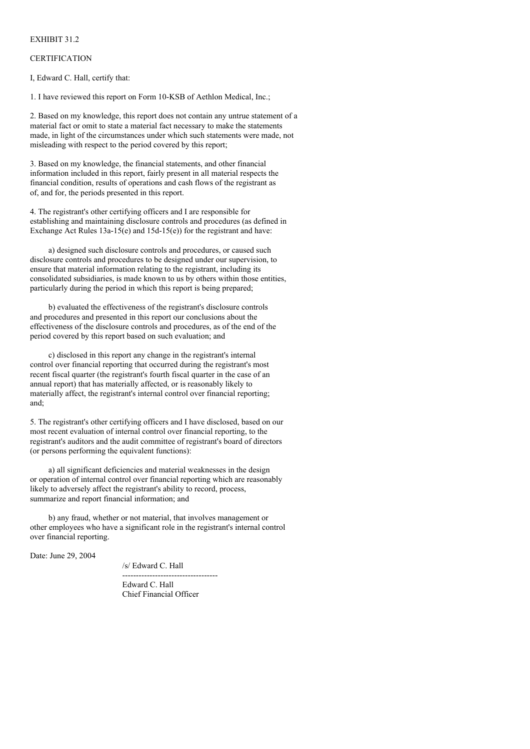## EXHIBIT 31.2

# **CERTIFICATION**

I, Edward C. Hall, certify that:

1. I have reviewed this report on Form 10-KSB of Aethlon Medical, Inc.;

2. Based on my knowledge, this report does not contain any untrue statement of a material fact or omit to state a material fact necessary to make the statements made, in light of the circumstances under which such statements were made, not misleading with respect to the period covered by this report;

3. Based on my knowledge, the financial statements, and other financial information included in this report, fairly present in all material respects the financial condition, results of operations and cash flows of the registrant as of, and for, the periods presented in this report.

4. The registrant's other certifying officers and I are responsible for establishing and maintaining disclosure controls and procedures (as defined in Exchange Act Rules  $13a-15(e)$  and  $15d-15(e)$  for the registrant and have:

a) designed such disclosure controls and procedures, or caused such disclosure controls and procedures to be designed under our supervision, to ensure that material information relating to the registrant, including its consolidated subsidiaries, is made known to us by others within those entities, particularly during the period in which this report is being prepared;

b) evaluated the effectiveness of the registrant's disclosure controls and procedures and presented in this report our conclusions about the effectiveness of the disclosure controls and procedures, as of the end of the period covered by this report based on such evaluation; and

c) disclosed in this report any change in the registrant's internal control over financial reporting that occurred during the registrant's most recent fiscal quarter (the registrant's fourth fiscal quarter in the case of an annual report) that has materially affected, or is reasonably likely to materially affect, the registrant's internal control over financial reporting; and;

5. The registrant's other certifying officers and I have disclosed, based on our most recent evaluation of internal control over financial reporting, to the registrant's auditors and the audit committee of registrant's board of directors (or persons performing the equivalent functions):

a) all significant deficiencies and material weaknesses in the design or operation of internal control over financial reporting which are reasonably likely to adversely affect the registrant's ability to record, process, summarize and report financial information; and

b) any fraud, whether or not material, that involves management or other employees who have a significant role in the registrant's internal control over financial reporting.

Date: June 29, 2004

/s/ Edward C. Hall

----------------------------------- Edward C. Hall Chief Financial Officer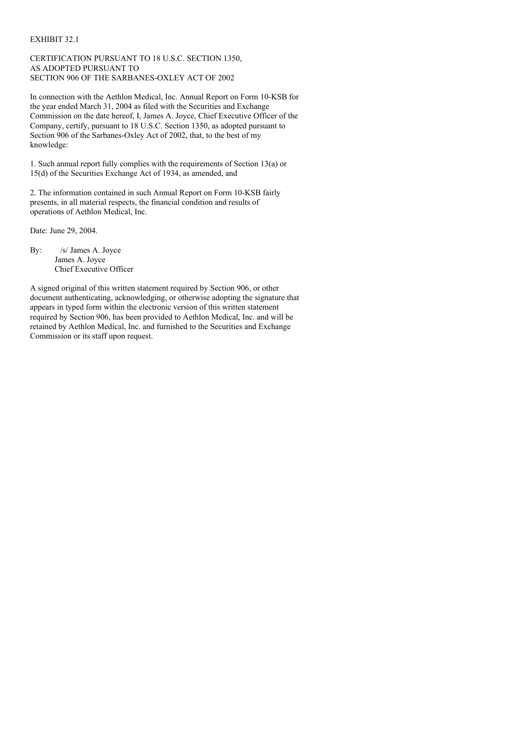## EXHIBIT 32.1

# CERTIFICATION PURSUANT TO 18 U.S.C. SECTION 1350, AS ADOPTED PURSUANT TO SECTION 906 OF THE SARBANES-OXLEY ACT OF 2002

In connection with the Aethlon Medical, Inc. Annual Report on Form 10-KSB for the year ended March 31, 2004 as filed with the Securities and Exchange Commission on the date hereof, I, James A. Joyce, Chief Executive Officer of the Company, certify, pursuant to 18 U.S.C. Section 1350, as adopted pursuant to Section 906 of the Sarbanes-Oxley Act of 2002, that, to the best of my knowledge:

1. Such annual report fully complies with the requirements of Section 13(a) or 15(d) of the Securities Exchange Act of 1934, as amended, and

2. The information contained in such Annual Report on Form 10-KSB fairly presents, in all material respects, the financial condition and results of operations of Aethlon Medical, Inc.

Date: June 29, 2004.

By: /s/ James A. Joyce James A. Joyce Chief Executive Officer

A signed original of this written statement required by Section 906, or other document authenticating, acknowledging, or otherwise adopting the signature that appears in typed form within the electronic version of this written statement required by Section 906, has been provided to Aethlon Medical, Inc. and will be retained by Aethlon Medical, Inc. and furnished to the Securities and Exchange Commission or its staff upon request.